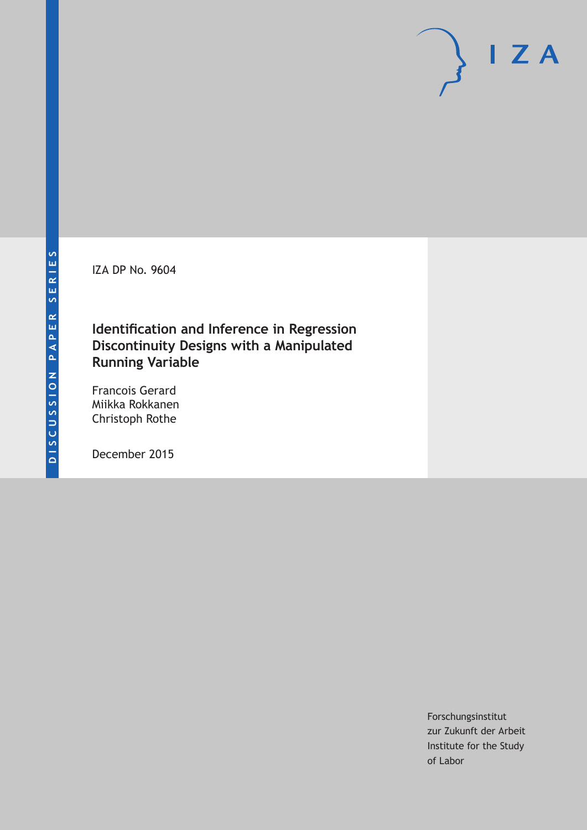IZA DP No. 9604

## **Identification and Inference in Regression Discontinuity Designs with a Manipulated Running Variable**

Francois Gerard Miikka Rokkanen Christoph Rothe

December 2015

Forschungsinstitut zur Zukunft der Arbeit Institute for the Study of Labor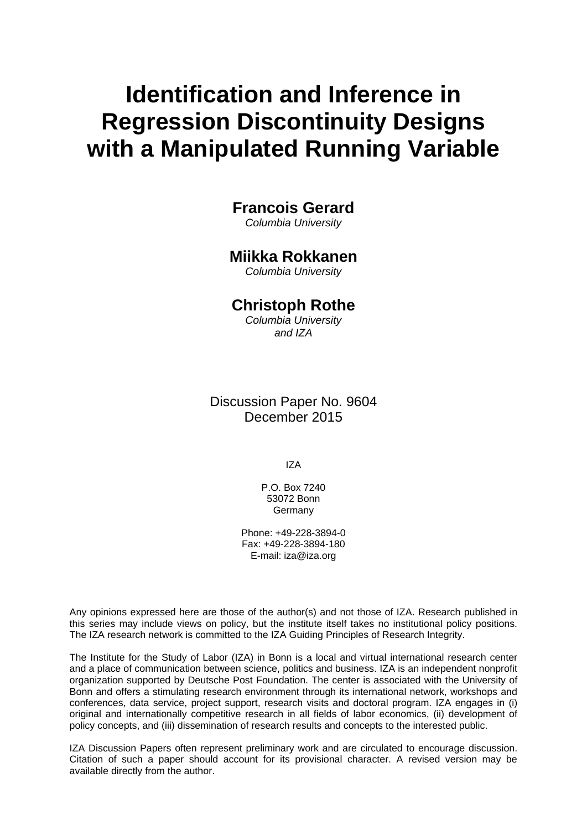# **Identification and Inference in Regression Discontinuity Designs with a Manipulated Running Variable**

## **Francois Gerard**

*Columbia University* 

## **Miikka Rokkanen**

*Columbia University* 

## **Christoph Rothe**

*Columbia University and IZA*

Discussion Paper No. 9604 December 2015

IZA

P.O. Box 7240 53072 Bonn **Germany** 

Phone: +49-228-3894-0 Fax: +49-228-3894-180 E-mail: iza@iza.org

Any opinions expressed here are those of the author(s) and not those of IZA. Research published in this series may include views on policy, but the institute itself takes no institutional policy positions. The IZA research network is committed to the IZA Guiding Principles of Research Integrity.

The Institute for the Study of Labor (IZA) in Bonn is a local and virtual international research center and a place of communication between science, politics and business. IZA is an independent nonprofit organization supported by Deutsche Post Foundation. The center is associated with the University of Bonn and offers a stimulating research environment through its international network, workshops and conferences, data service, project support, research visits and doctoral program. IZA engages in (i) original and internationally competitive research in all fields of labor economics, (ii) development of policy concepts, and (iii) dissemination of research results and concepts to the interested public.

IZA Discussion Papers often represent preliminary work and are circulated to encourage discussion. Citation of such a paper should account for its provisional character. A revised version may be available directly from the author.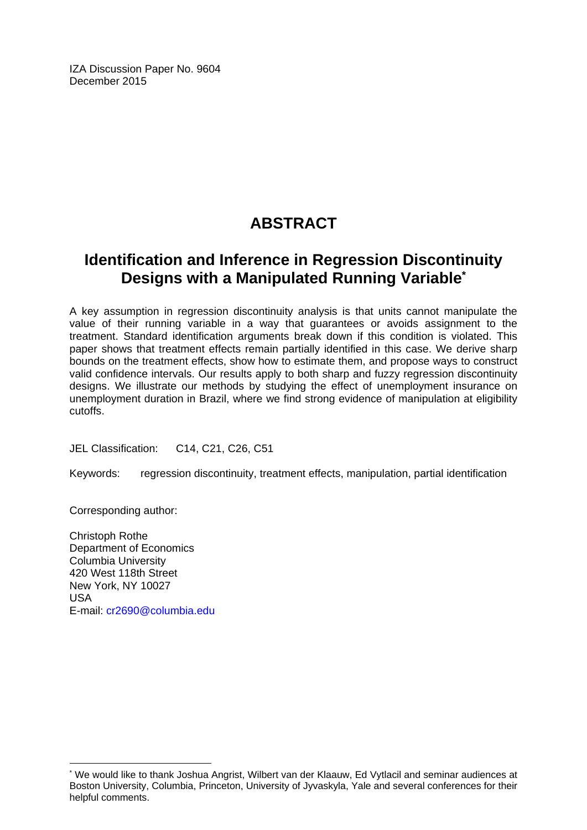IZA Discussion Paper No. 9604 December 2015

## **ABSTRACT**

## **Identification and Inference in Regression Discontinuity Designs with a Manipulated Running Variable\***

A key assumption in regression discontinuity analysis is that units cannot manipulate the value of their running variable in a way that guarantees or avoids assignment to the treatment. Standard identification arguments break down if this condition is violated. This paper shows that treatment effects remain partially identified in this case. We derive sharp bounds on the treatment effects, show how to estimate them, and propose ways to construct valid confidence intervals. Our results apply to both sharp and fuzzy regression discontinuity designs. We illustrate our methods by studying the effect of unemployment insurance on unemployment duration in Brazil, where we find strong evidence of manipulation at eligibility cutoffs.

JEL Classification: C14, C21, C26, C51

Keywords: regression discontinuity, treatment effects, manipulation, partial identification

Corresponding author:

 $\overline{\phantom{a}}$ 

Christoph Rothe Department of Economics Columbia University 420 West 118th Street New York, NY 10027 USA E-mail: cr2690@columbia.edu

<sup>\*</sup> We would like to thank Joshua Angrist, Wilbert van der Klaauw, Ed Vytlacil and seminar audiences at Boston University, Columbia, Princeton, University of Jyvaskyla, Yale and several conferences for their helpful comments.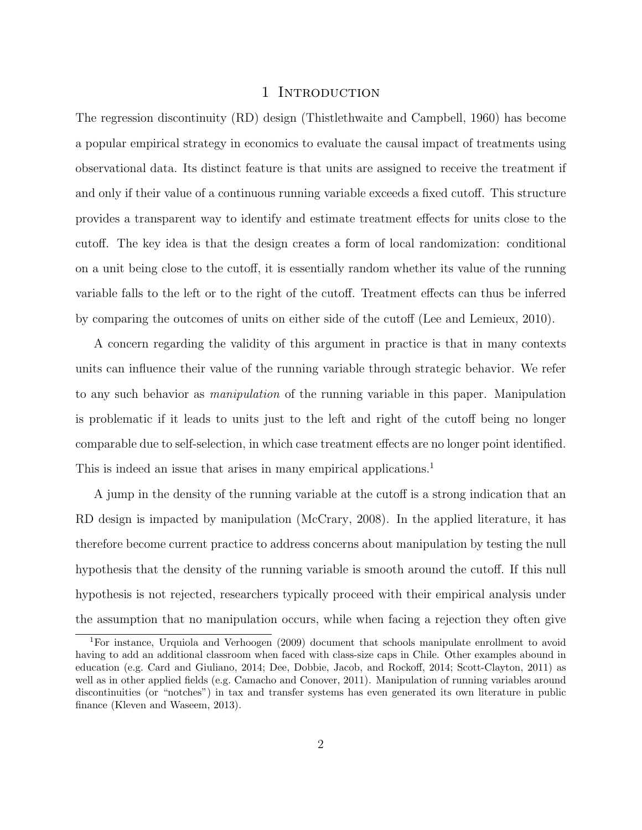## 1 INTRODUCTION

The regression discontinuity (RD) design (Thistlethwaite and Campbell, 1960) has become a popular empirical strategy in economics to evaluate the causal impact of treatments using observational data. Its distinct feature is that units are assigned to receive the treatment if and only if their value of a continuous running variable exceeds a fixed cutoff. This structure provides a transparent way to identify and estimate treatment effects for units close to the cutoff. The key idea is that the design creates a form of local randomization: conditional on a unit being close to the cutoff, it is essentially random whether its value of the running variable falls to the left or to the right of the cutoff. Treatment effects can thus be inferred by comparing the outcomes of units on either side of the cutoff (Lee and Lemieux, 2010).

A concern regarding the validity of this argument in practice is that in many contexts units can influence their value of the running variable through strategic behavior. We refer to any such behavior as *manipulation* of the running variable in this paper. Manipulation is problematic if it leads to units just to the left and right of the cutoff being no longer comparable due to self-selection, in which case treatment effects are no longer point identified. This is indeed an issue that arises in many empirical applications.<sup>1</sup>

A jump in the density of the running variable at the cutoff is a strong indication that an RD design is impacted by manipulation (McCrary, 2008). In the applied literature, it has therefore become current practice to address concerns about manipulation by testing the null hypothesis that the density of the running variable is smooth around the cutoff. If this null hypothesis is not rejected, researchers typically proceed with their empirical analysis under the assumption that no manipulation occurs, while when facing a rejection they often give

<sup>1</sup>For instance, Urquiola and Verhoogen (2009) document that schools manipulate enrollment to avoid having to add an additional classroom when faced with class-size caps in Chile. Other examples abound in education (e.g. Card and Giuliano, 2014; Dee, Dobbie, Jacob, and Rockoff, 2014; Scott-Clayton, 2011) as well as in other applied fields (e.g. Camacho and Conover, 2011). Manipulation of running variables around discontinuities (or "notches") in tax and transfer systems has even generated its own literature in public finance (Kleven and Waseem, 2013).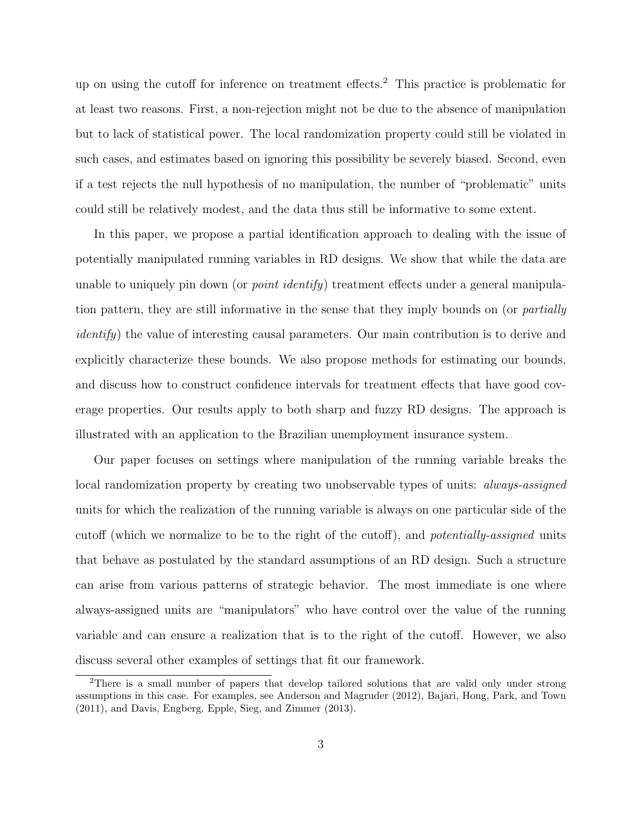up on using the cutoff for inference on treatment effects.<sup>2</sup> This practice is problematic for at least two reasons. First, a non-rejection might not be due to the absence of manipulation but to lack of statistical power. The local randomization property could still be violated in such cases, and estimates based on ignoring this possibility be severely biased. Second, even if a test rejects the null hypothesis of no manipulation, the number of "problematic" units could still be relatively modest, and the data thus still be informative to some extent.

In this paper, we propose a partial identification approach to dealing with the issue of potentially manipulated running variables in RD designs. We show that while the data are unable to uniquely pin down (or *point identify*) treatment effects under a general manipulation pattern, they are still informative in the sense that they imply bounds on (or *partially identify*) the value of interesting causal parameters. Our main contribution is to derive and explicitly characterize these bounds. We also propose methods for estimating our bounds, and discuss how to construct confidence intervals for treatment effects that have good coverage properties. Our results apply to both sharp and fuzzy RD designs. The approach is illustrated with an application to the Brazilian unemployment insurance system.

Our paper focuses on settings where manipulation of the running variable breaks the local randomization property by creating two unobservable types of units: *always-assigned* units for which the realization of the running variable is always on one particular side of the cutoff (which we normalize to be to the right of the cutoff), and *potentially-assigned* units that behave as postulated by the standard assumptions of an RD design. Such a structure can arise from various patterns of strategic behavior. The most immediate is one where always-assigned units are "manipulators" who have control over the value of the running variable and can ensure a realization that is to the right of the cutoff. However, we also discuss several other examples of settings that fit our framework.

<sup>2</sup>There is a small number of papers that develop tailored solutions that are valid only under strong assumptions in this case. For examples, see Anderson and Magruder (2012), Bajari, Hong, Park, and Town (2011), and Davis, Engberg, Epple, Sieg, and Zimmer (2013).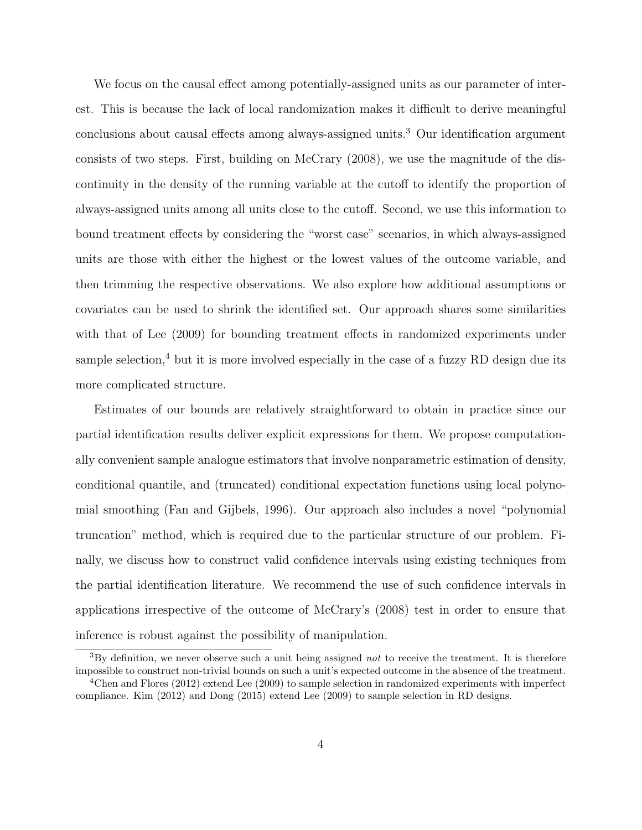We focus on the causal effect among potentially-assigned units as our parameter of interest. This is because the lack of local randomization makes it difficult to derive meaningful conclusions about causal effects among always-assigned units.<sup>3</sup> Our identification argument consists of two steps. First, building on McCrary (2008), we use the magnitude of the discontinuity in the density of the running variable at the cutoff to identify the proportion of always-assigned units among all units close to the cutoff. Second, we use this information to bound treatment effects by considering the "worst case" scenarios, in which always-assigned units are those with either the highest or the lowest values of the outcome variable, and then trimming the respective observations. We also explore how additional assumptions or covariates can be used to shrink the identified set. Our approach shares some similarities with that of Lee (2009) for bounding treatment effects in randomized experiments under sample selection, $4$  but it is more involved especially in the case of a fuzzy RD design due its more complicated structure.

Estimates of our bounds are relatively straightforward to obtain in practice since our partial identification results deliver explicit expressions for them. We propose computationally convenient sample analogue estimators that involve nonparametric estimation of density, conditional quantile, and (truncated) conditional expectation functions using local polynomial smoothing (Fan and Gijbels, 1996). Our approach also includes a novel "polynomial truncation" method, which is required due to the particular structure of our problem. Finally, we discuss how to construct valid confidence intervals using existing techniques from the partial identification literature. We recommend the use of such confidence intervals in applications irrespective of the outcome of McCrary's (2008) test in order to ensure that inference is robust against the possibility of manipulation.

<sup>3</sup>By definition, we never observe such a unit being assigned *not* to receive the treatment. It is therefore impossible to construct non-trivial bounds on such a unit's expected outcome in the absence of the treatment.

<sup>4</sup>Chen and Flores (2012) extend Lee (2009) to sample selection in randomized experiments with imperfect compliance. Kim (2012) and Dong (2015) extend Lee (2009) to sample selection in RD designs.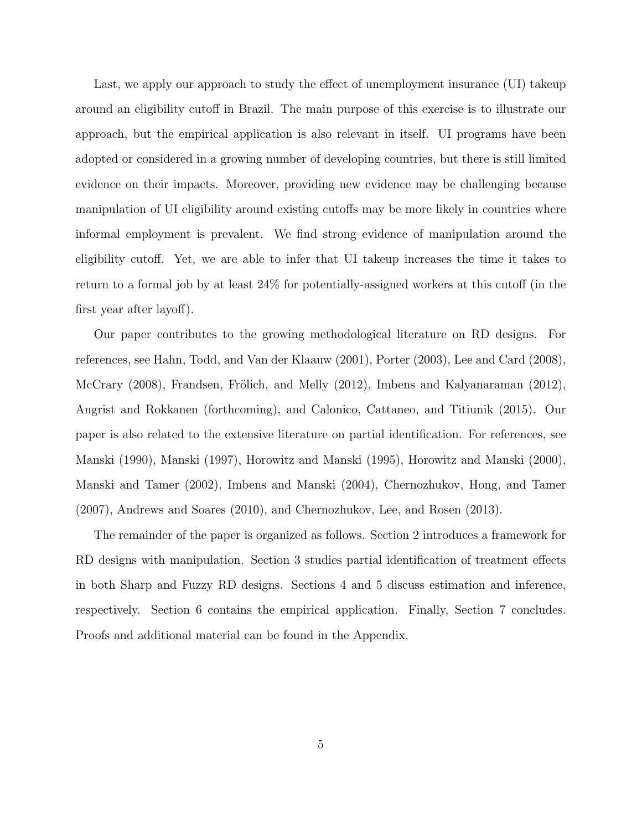Last, we apply our approach to study the effect of unemployment insurance (UI) takeup around an eligibility cutoff in Brazil. The main purpose of this exercise is to illustrate our approach, but the empirical application is also relevant in itself. UI programs have been adopted or considered in a growing number of developing countries, but there is still limited evidence on their impacts. Moreover, providing new evidence may be challenging because manipulation of UI eligibility around existing cutoffs may be more likely in countries where informal employment is prevalent. We find strong evidence of manipulation around the eligibility cutoff. Yet, we are able to infer that UI takeup increases the time it takes to return to a formal job by at least 24% for potentially-assigned workers at this cutoff (in the first year after layoff).

Our paper contributes to the growing methodological literature on RD designs. For references, see Hahn, Todd, and Van der Klaauw (2001), Porter (2003), Lee and Card (2008), McCrary (2008), Frandsen, Frölich, and Melly (2012), Imbens and Kalyanaraman (2012), Angrist and Rokkanen (forthcoming), and Calonico, Cattaneo, and Titiunik (2015). Our paper is also related to the extensive literature on partial identification. For references, see Manski (1990), Manski (1997), Horowitz and Manski (1995), Horowitz and Manski (2000), Manski and Tamer (2002), Imbens and Manski (2004), Chernozhukov, Hong, and Tamer (2007), Andrews and Soares (2010), and Chernozhukov, Lee, and Rosen (2013).

The remainder of the paper is organized as follows. Section 2 introduces a framework for RD designs with manipulation. Section 3 studies partial identification of treatment effects in both Sharp and Fuzzy RD designs. Sections 4 and 5 discuss estimation and inference, respectively. Section 6 contains the empirical application. Finally, Section 7 concludes. Proofs and additional material can be found in the Appendix.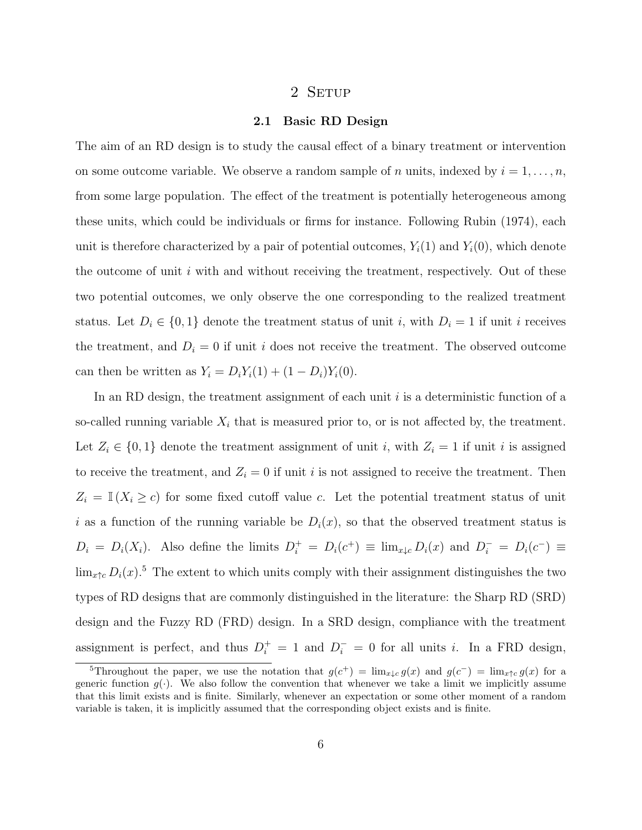## 2 SETUP

## **2.1 Basic RD Design**

The aim of an RD design is to study the causal effect of a binary treatment or intervention on some outcome variable. We observe a random sample of *n* units, indexed by  $i = 1, \ldots, n$ , from some large population. The effect of the treatment is potentially heterogeneous among these units, which could be individuals or firms for instance. Following Rubin (1974), each unit is therefore characterized by a pair of potential outcomes,  $Y_i(1)$  and  $Y_i(0)$ , which denote the outcome of unit *i* with and without receiving the treatment, respectively. Out of these two potential outcomes, we only observe the one corresponding to the realized treatment status. Let  $D_i \in \{0, 1\}$  denote the treatment status of unit *i*, with  $D_i = 1$  if unit *i* receives the treatment, and  $D_i = 0$  if unit *i* does not receive the treatment. The observed outcome can then be written as  $Y_i = D_i Y_i(1) + (1 - D_i) Y_i(0)$ .

In an RD design, the treatment assignment of each unit *i* is a deterministic function of a so-called running variable  $X_i$  that is measured prior to, or is not affected by, the treatment. Let  $Z_i \in \{0,1\}$  denote the treatment assignment of unit *i*, with  $Z_i = 1$  if unit *i* is assigned to receive the treatment, and  $Z_i = 0$  if unit *i* is not assigned to receive the treatment. Then  $Z_i = \mathbb{I}(X_i \geq c)$  for some fixed cutoff value *c*. Let the potential treatment status of unit *i* as a function of the running variable be  $D_i(x)$ , so that the observed treatment status is  $D_i = D_i(X_i)$ . Also define the limits  $D_i^+ = D_i(c^+) \equiv \lim_{x \downarrow c} D_i(x)$  and  $D_i^- = D_i(c^-) \equiv$  $\lim_{x \uparrow c} D_i(x)$ .<sup>5</sup> The extent to which units comply with their assignment distinguishes the two types of RD designs that are commonly distinguished in the literature: the Sharp RD (SRD) design and the Fuzzy RD (FRD) design. In a SRD design, compliance with the treatment assignment is perfect, and thus  $D_i^+ = 1$  and  $D_i^- = 0$  for all units *i*. In a FRD design,

<sup>5</sup>Throughout the paper, we use the notation that  $g(c^+) = \lim_{x \downarrow c} g(x)$  and  $g(c^-) = \lim_{x \uparrow c} g(x)$  for a generic function  $g(\cdot)$ . We also follow the convention that whenever we take a limit we implicitly assume that this limit exists and is finite. Similarly, whenever an expectation or some other moment of a random variable is taken, it is implicitly assumed that the corresponding object exists and is finite.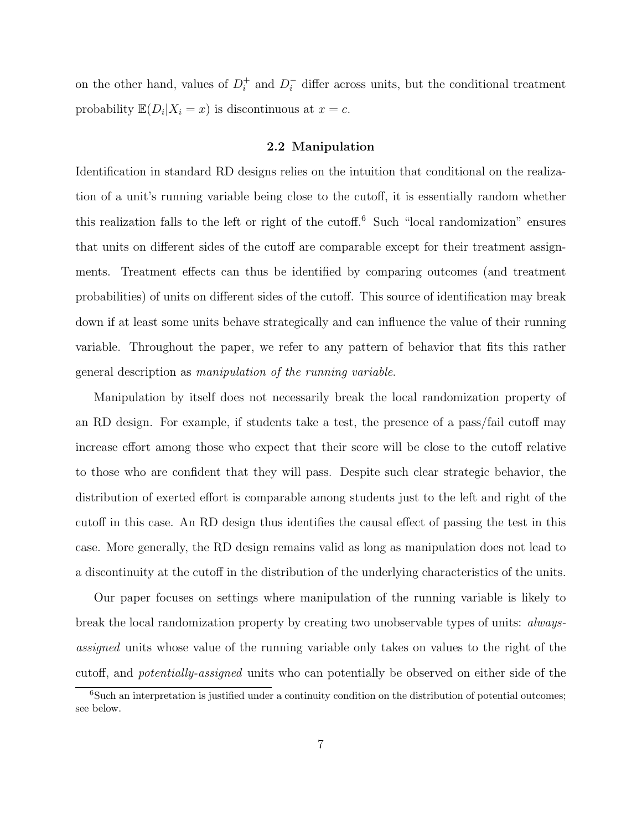on the other hand, values of  $D_i^+$ <sup>+</sup> *i* **and**  $D_i^-$ differ across units, but the conditional treatment probability  $\mathbb{E}(D_i | X_i = x)$  is discontinuous at  $x = c$ .

#### **2.2 Manipulation**

Identification in standard RD designs relies on the intuition that conditional on the realization of a unit's running variable being close to the cutoff, it is essentially random whether this realization falls to the left or right of the cutoff.<sup>6</sup> Such "local randomization" ensures that units on different sides of the cutoff are comparable except for their treatment assignments. Treatment effects can thus be identified by comparing outcomes (and treatment probabilities) of units on different sides of the cutoff. This source of identification may break down if at least some units behave strategically and can influence the value of their running variable. Throughout the paper, we refer to any pattern of behavior that fits this rather general description as *manipulation of the running variable*.

Manipulation by itself does not necessarily break the local randomization property of an RD design. For example, if students take a test, the presence of a pass/fail cutoff may increase effort among those who expect that their score will be close to the cutoff relative to those who are confident that they will pass. Despite such clear strategic behavior, the distribution of exerted effort is comparable among students just to the left and right of the cutoff in this case. An RD design thus identifies the causal effect of passing the test in this case. More generally, the RD design remains valid as long as manipulation does not lead to a discontinuity at the cutoff in the distribution of the underlying characteristics of the units.

Our paper focuses on settings where manipulation of the running variable is likely to break the local randomization property by creating two unobservable types of units: *alwaysassigned* units whose value of the running variable only takes on values to the right of the cutoff, and *potentially-assigned* units who can potentially be observed on either side of the

<sup>&</sup>lt;sup>6</sup>Such an interpretation is justified under a continuity condition on the distribution of potential outcomes; see below.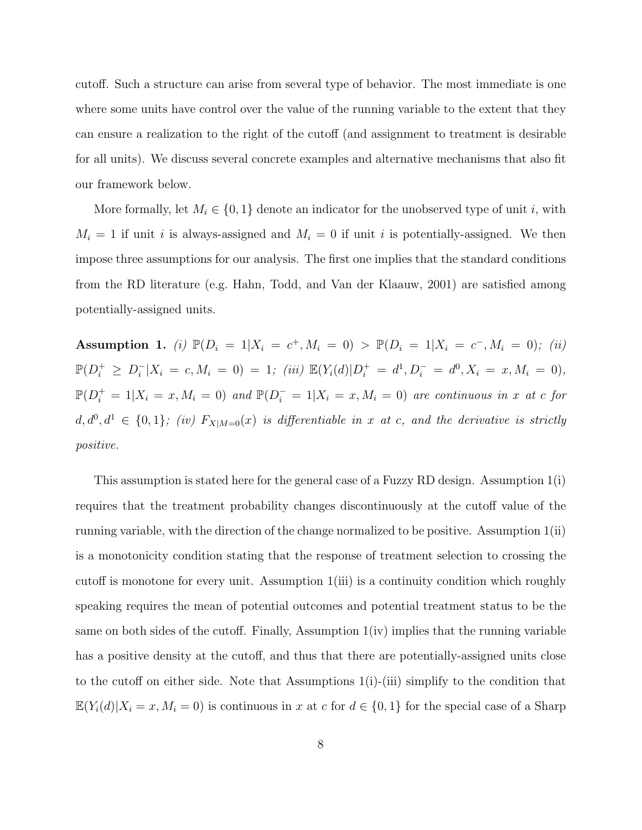cutoff. Such a structure can arise from several type of behavior. The most immediate is one where some units have control over the value of the running variable to the extent that they can ensure a realization to the right of the cutoff (and assignment to treatment is desirable for all units). We discuss several concrete examples and alternative mechanisms that also fit our framework below.

More formally, let  $M_i \in \{0, 1\}$  denote an indicator for the unobserved type of unit *i*, with  $M_i = 1$  if unit *i* is always-assigned and  $M_i = 0$  if unit *i* is potentially-assigned. We then impose three assumptions for our analysis. The first one implies that the standard conditions from the RD literature (e.g. Hahn, Todd, and Van der Klaauw, 2001) are satisfied among potentially-assigned units.

**Assumption 1.** (i)  $\mathbb{P}(D_i = 1 | X_i = c^+, M_i = 0) > \mathbb{P}(D_i = 1 | X_i = c^-, M_i = 0)$ ; (ii)  $\mathbb{P}(D_i^+ \geq D_i^- | X_i = c, M_i = 0) = 1;$  (iii)  $\mathbb{E}(Y_i(d)|D_i^+ = d^1, D_i^- = d^0, X_i = x, M_i = 0),$  $\mathbb{P}(D_i^+ = 1 | X_i = x, M_i = 0)$  and  $\mathbb{P}(D_i^- = 1 | X_i = x, M_i = 0)$  are continuous in x at c for  $d, d^0, d^1 \in \{0, 1\}$ ; (iv)  $F_{X|M=0}(x)$  is differentiable in x at c, and the derivative is strictly *positive.*

This assumption is stated here for the general case of a Fuzzy RD design. Assumption 1(i) requires that the treatment probability changes discontinuously at the cutoff value of the running variable, with the direction of the change normalized to be positive. Assumption 1(ii) is a monotonicity condition stating that the response of treatment selection to crossing the cutoff is monotone for every unit. Assumption 1(iii) is a continuity condition which roughly speaking requires the mean of potential outcomes and potential treatment status to be the same on both sides of the cutoff. Finally, Assumption  $1(iv)$  implies that the running variable has a positive density at the cutoff, and thus that there are potentially-assigned units close to the cutoff on either side. Note that Assumptions  $1(i)$ -(iii) simplify to the condition that  $\mathbb{E}(Y_i(d)|X_i=x, M_i=0)$  is continuous in *x* at *c* for  $d \in \{0,1\}$  for the special case of a Sharp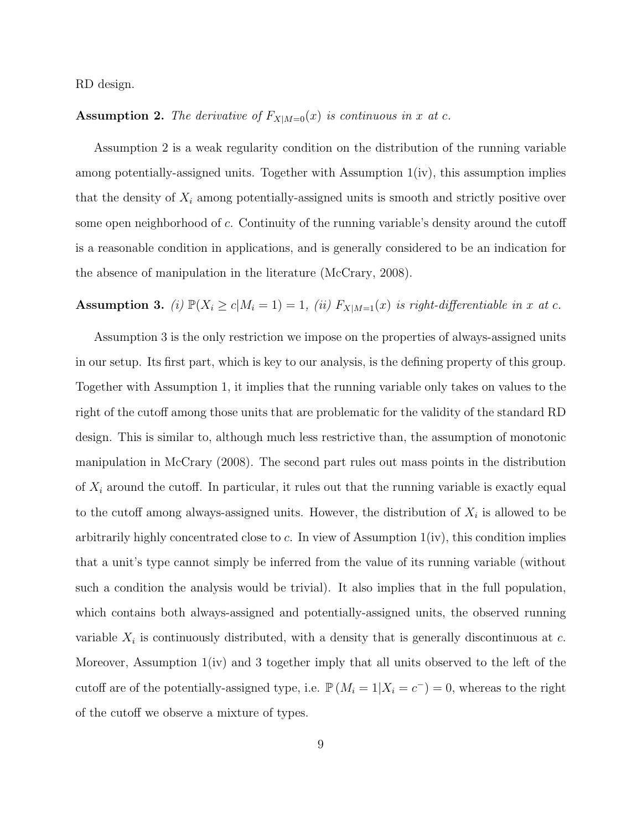RD design.

## **Assumption 2.** The derivative of  $F_{X|M=0}(x)$  is continuous in *x* at *c*.

Assumption 2 is a weak regularity condition on the distribution of the running variable among potentially-assigned units. Together with Assumption 1(iv), this assumption implies that the density of  $X_i$  among potentially-assigned units is smooth and strictly positive over some open neighborhood of *c*. Continuity of the running variable's density around the cutoff is a reasonable condition in applications, and is generally considered to be an indication for the absence of manipulation in the literature (McCrary, 2008).

## **Assumption 3.** (i)  $\mathbb{P}(X_i \ge c | M_i = 1) = 1$ , (ii)  $F_{X|M=1}(x)$  is right-differentiable in x at c.

Assumption 3 is the only restriction we impose on the properties of always-assigned units in our setup. Its first part, which is key to our analysis, is the defining property of this group. Together with Assumption 1, it implies that the running variable only takes on values to the right of the cutoff among those units that are problematic for the validity of the standard RD design. This is similar to, although much less restrictive than, the assumption of monotonic manipulation in McCrary (2008). The second part rules out mass points in the distribution of *X<sup>i</sup>* around the cutoff. In particular, it rules out that the running variable is exactly equal to the cutoff among always-assigned units. However, the distribution of  $X_i$  is allowed to be arbitrarily highly concentrated close to *c*. In view of Assumption 1(iv), this condition implies that a unit's type cannot simply be inferred from the value of its running variable (without such a condition the analysis would be trivial). It also implies that in the full population, which contains both always-assigned and potentially-assigned units, the observed running variable  $X_i$  is continuously distributed, with a density that is generally discontinuous at  $c$ . Moreover, Assumption 1(iv) and 3 together imply that all units observed to the left of the cutoff are of the potentially-assigned type, i.e.  $\mathbb{P}(M_i = 1 | X_i = c^-) = 0$ , whereas to the right of the cutoff we observe a mixture of types.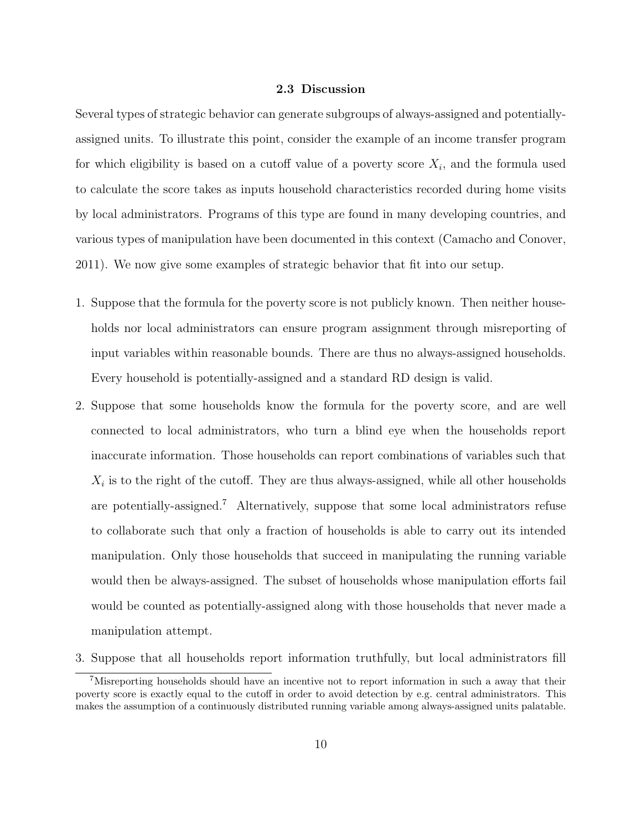## **2.3 Discussion**

Several types of strategic behavior can generate subgroups of always-assigned and potentiallyassigned units. To illustrate this point, consider the example of an income transfer program for which eligibility is based on a cutoff value of a poverty score *X<sup>i</sup>* , and the formula used to calculate the score takes as inputs household characteristics recorded during home visits by local administrators. Programs of this type are found in many developing countries, and various types of manipulation have been documented in this context (Camacho and Conover, 2011). We now give some examples of strategic behavior that fit into our setup.

- 1. Suppose that the formula for the poverty score is not publicly known. Then neither households nor local administrators can ensure program assignment through misreporting of input variables within reasonable bounds. There are thus no always-assigned households. Every household is potentially-assigned and a standard RD design is valid.
- 2. Suppose that some households know the formula for the poverty score, and are well connected to local administrators, who turn a blind eye when the households report inaccurate information. Those households can report combinations of variables such that  $X_i$  is to the right of the cutoff. They are thus always-assigned, while all other households are potentially-assigned.<sup>7</sup> Alternatively, suppose that some local administrators refuse to collaborate such that only a fraction of households is able to carry out its intended manipulation. Only those households that succeed in manipulating the running variable would then be always-assigned. The subset of households whose manipulation efforts fail would be counted as potentially-assigned along with those households that never made a manipulation attempt.
- 3. Suppose that all households report information truthfully, but local administrators fill

<sup>&</sup>lt;sup>7</sup>Misreporting households should have an incentive not to report information in such a away that their poverty score is exactly equal to the cutoff in order to avoid detection by e.g. central administrators. This makes the assumption of a continuously distributed running variable among always-assigned units palatable.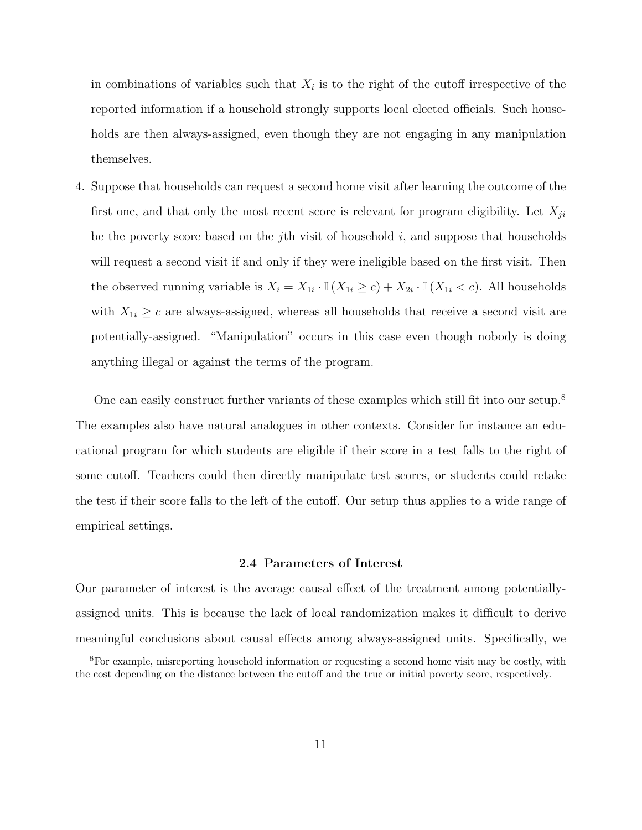in combinations of variables such that  $X_i$  is to the right of the cutoff irrespective of the reported information if a household strongly supports local elected officials. Such households are then always-assigned, even though they are not engaging in any manipulation themselves.

4. Suppose that households can request a second home visit after learning the outcome of the first one, and that only the most recent score is relevant for program eligibility. Let  $X_{ji}$ be the poverty score based on the *j*th visit of household *i*, and suppose that households will request a second visit if and only if they were ineligible based on the first visit. Then the observed running variable is  $X_i = X_{1i} \cdot \mathbb{I}(X_{1i} \ge c) + X_{2i} \cdot \mathbb{I}(X_{1i} < c)$ . All households with  $X_{1i} \geq c$  are always-assigned, whereas all households that receive a second visit are potentially-assigned. "Manipulation" occurs in this case even though nobody is doing anything illegal or against the terms of the program.

One can easily construct further variants of these examples which still fit into our setup.<sup>8</sup> The examples also have natural analogues in other contexts. Consider for instance an educational program for which students are eligible if their score in a test falls to the right of some cutoff. Teachers could then directly manipulate test scores, or students could retake the test if their score falls to the left of the cutoff. Our setup thus applies to a wide range of empirical settings.

#### **2.4 Parameters of Interest**

Our parameter of interest is the average causal effect of the treatment among potentiallyassigned units. This is because the lack of local randomization makes it difficult to derive meaningful conclusions about causal effects among always-assigned units. Specifically, we

<sup>8</sup>For example, misreporting household information or requesting a second home visit may be costly, with the cost depending on the distance between the cutoff and the true or initial poverty score, respectively.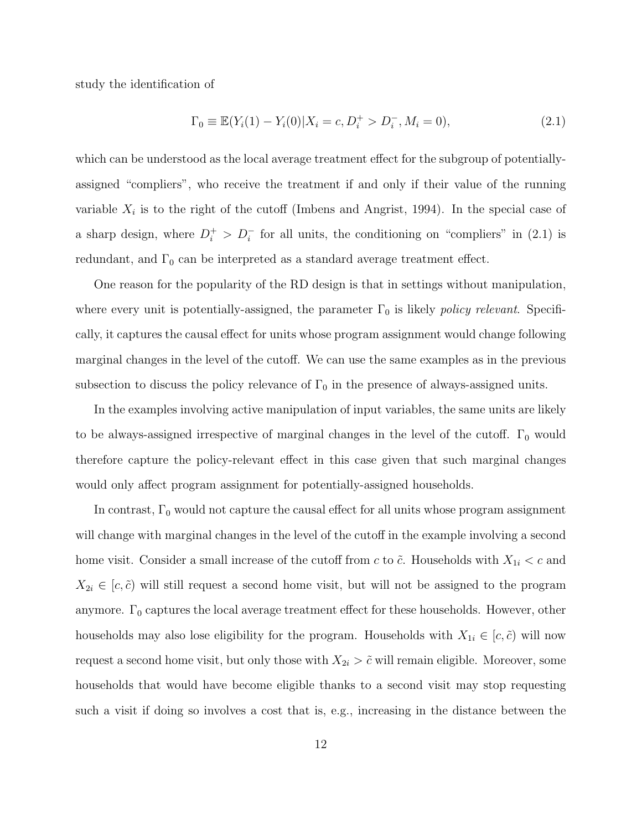study the identification of

$$
\Gamma_0 \equiv \mathbb{E}(Y_i(1) - Y_i(0) | X_i = c, D_i^+ > D_i^-, M_i = 0),
$$
\n(2.1)

which can be understood as the local average treatment effect for the subgroup of potentiallyassigned "compliers", who receive the treatment if and only if their value of the running variable  $X_i$  is to the right of the cutoff (Imbens and Angrist, 1994). In the special case of a sharp design, where  $D_i^+ > D_i^-$  for all units, the conditioning on "compliers" in (2.1) is redundant, and  $\Gamma_0$  can be interpreted as a standard average treatment effect.

One reason for the popularity of the RD design is that in settings without manipulation, where every unit is potentially-assigned, the parameter  $\Gamma_0$  is likely *policy relevant*. Specifically, it captures the causal effect for units whose program assignment would change following marginal changes in the level of the cutoff. We can use the same examples as in the previous subsection to discuss the policy relevance of  $\Gamma_0$  in the presence of always-assigned units.

In the examples involving active manipulation of input variables, the same units are likely to be always-assigned irrespective of marginal changes in the level of the cutoff.  $\Gamma_0$  would therefore capture the policy-relevant effect in this case given that such marginal changes would only affect program assignment for potentially-assigned households.

In contrast,  $\Gamma_0$  would not capture the causal effect for all units whose program assignment will change with marginal changes in the level of the cutoff in the example involving a second home visit. Consider a small increase of the cutoff from *c* to  $\tilde{c}$ . Households with  $X_{1i} < c$  and  $X_{2i} \in [c, \tilde{c})$  will still request a second home visit, but will not be assigned to the program anymore.  $\Gamma_0$  captures the local average treatment effect for these households. However, other households may also lose eligibility for the program. Households with  $X_{1i} \in [c, \tilde{c})$  will now request a second home visit, but only those with  $X_{2i} > \tilde{c}$  will remain eligible. Moreover, some households that would have become eligible thanks to a second visit may stop requesting such a visit if doing so involves a cost that is, e.g., increasing in the distance between the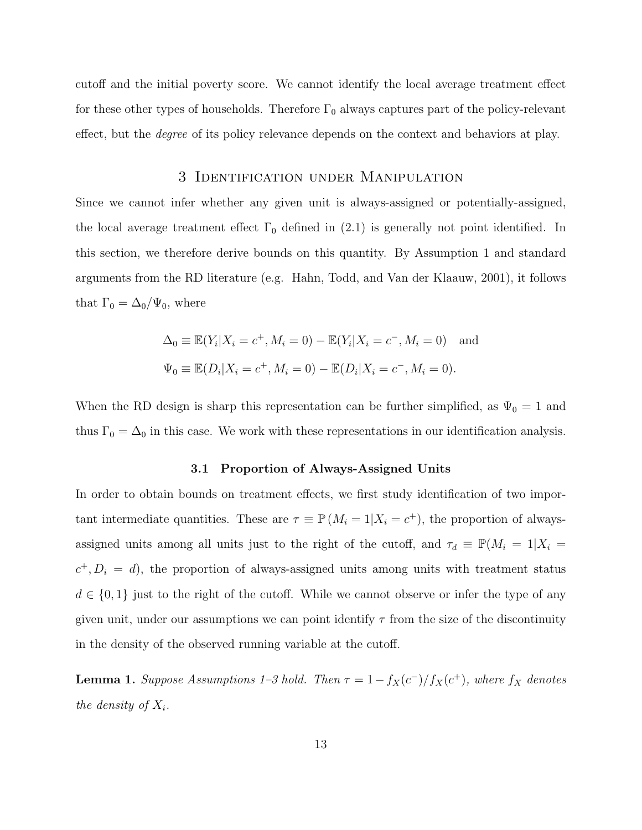cutoff and the initial poverty score. We cannot identify the local average treatment effect for these other types of households. Therefore  $\Gamma_0$  always captures part of the policy-relevant effect, but the *degree* of its policy relevance depends on the context and behaviors at play.

## 3 Identification under Manipulation

Since we cannot infer whether any given unit is always-assigned or potentially-assigned, the local average treatment effect  $\Gamma_0$  defined in (2.1) is generally not point identified. In this section, we therefore derive bounds on this quantity. By Assumption 1 and standard arguments from the RD literature (e.g. Hahn, Todd, and Van der Klaauw, 2001), it follows that  $\Gamma_0 = \Delta_0 / \Psi_0$ , where

$$
\Delta_0 \equiv \mathbb{E}(Y_i | X_i = c^+, M_i = 0) - \mathbb{E}(Y_i | X_i = c^-, M_i = 0) \text{ and}
$$
  

$$
\Psi_0 \equiv \mathbb{E}(D_i | X_i = c^+, M_i = 0) - \mathbb{E}(D_i | X_i = c^-, M_i = 0).
$$

When the RD design is sharp this representation can be further simplified, as  $\Psi_0 = 1$  and thus  $\Gamma_0 = \Delta_0$  in this case. We work with these representations in our identification analysis.

## **3.1 Proportion of Always-Assigned Units**

In order to obtain bounds on treatment effects, we first study identification of two important intermediate quantities. These are  $\tau \equiv \mathbb{P}(M_i = 1 | X_i = c^+)$ , the proportion of alwaysassigned units among all units just to the right of the cutoff, and  $\tau_d \equiv \mathbb{P}(M_i = 1 | X_i =$  $c^+$ ,  $D_i = d$ ), the proportion of always-assigned units among units with treatment status  $d \in \{0,1\}$  just to the right of the cutoff. While we cannot observe or infer the type of any given unit, under our assumptions we can point identify  $\tau$  from the size of the discontinuity in the density of the observed running variable at the cutoff.

**Lemma 1.** *Suppose Assumptions 1–3 hold. Then*  $\tau = 1 - f_X(c^-)/f_X(c^+)$ *, where*  $f_X$  *denotes the density of*  $X_i$ *.*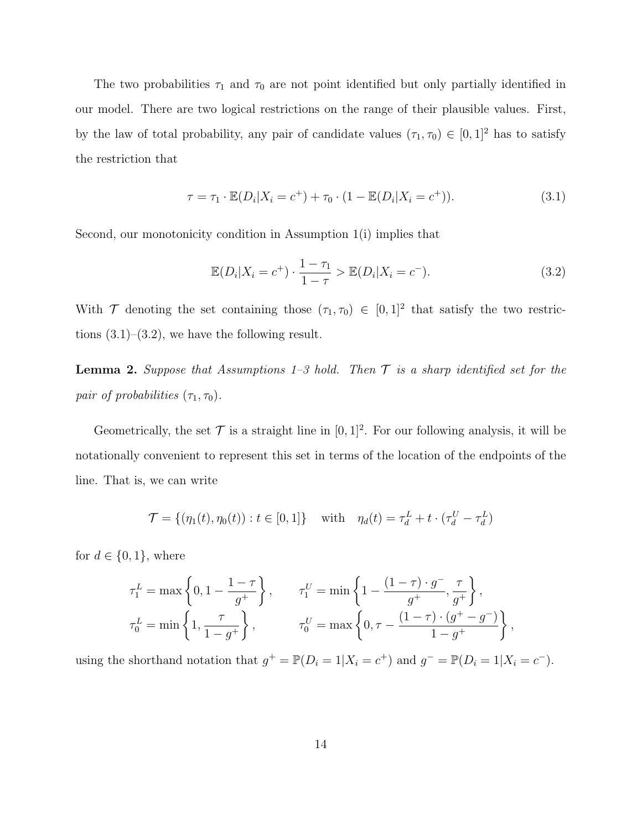The two probabilities  $\tau_1$  and  $\tau_0$  are not point identified but only partially identified in our model. There are two logical restrictions on the range of their plausible values. First, by the law of total probability, any pair of candidate values  $(\tau_1, \tau_0) \in [0, 1]^2$  has to satisfy the restriction that

$$
\tau = \tau_1 \cdot \mathbb{E}(D_i | X_i = c^+) + \tau_0 \cdot (1 - \mathbb{E}(D_i | X_i = c^+)). \tag{3.1}
$$

Second, our monotonicity condition in Assumption 1(i) implies that

$$
\mathbb{E}(D_i|X_i = c^+) \cdot \frac{1 - \tau_1}{1 - \tau} > \mathbb{E}(D_i|X_i = c^-).
$$
 (3.2)

With  $\mathcal{T}$  denoting the set containing those  $(\tau_1, \tau_0) \in [0,1]^2$  that satisfy the two restrictions  $(3.1)$ – $(3.2)$ , we have the following result.

**Lemma 2.** *Suppose that Assumptions 1–3 hold. Then T is a sharp identified set for the pair of probabilities*  $(\tau_1, \tau_0)$ *.* 

Geometrically, the set  $\mathcal T$  is a straight line in  $[0,1]^2$ . For our following analysis, it will be notationally convenient to represent this set in terms of the location of the endpoints of the line. That is, we can write

$$
\mathcal{T} = \{ (\eta_1(t), \eta_0(t)) : t \in [0, 1] \} \quad \text{with} \quad \eta_d(t) = \tau_d^L + t \cdot (\tau_d^U - \tau_d^L)
$$

for  $d \in \{0, 1\}$ , where

$$
\tau_1^L = \max\left\{0, 1 - \frac{1 - \tau}{g^+}\right\}, \qquad \tau_1^U = \min\left\{1 - \frac{(1 - \tau) \cdot g^-}{g^+}, \frac{\tau}{g^+}\right\},\
$$

$$
\tau_0^L = \min\left\{1, \frac{\tau}{1 - g^+}\right\}, \qquad \tau_0^U = \max\left\{0, \tau - \frac{(1 - \tau) \cdot (g^+ - g^-)}{1 - g^+}\right\},\
$$

using the shorthand notation that  $g^+ = \mathbb{P}(D_i = 1 | X_i = c^+)$  and  $g^- = \mathbb{P}(D_i = 1 | X_i = c^-)$ .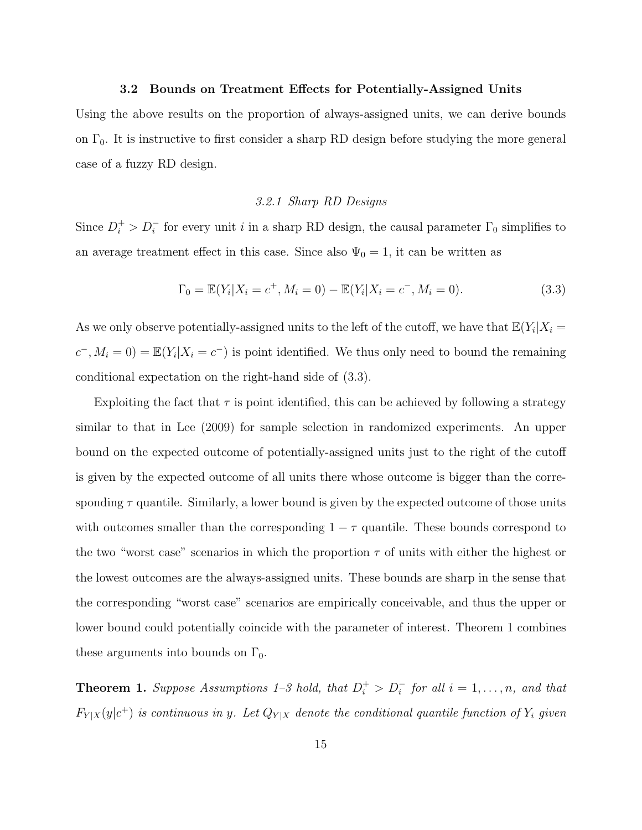## **3.2 Bounds on Treatment Effects for Potentially-Assigned Units**

Using the above results on the proportion of always-assigned units, we can derive bounds on  $\Gamma_0$ . It is instructive to first consider a sharp RD design before studying the more general case of a fuzzy RD design.

## *3.2.1 Sharp RD Designs*

Since  $D_i^+ > D_i^-$  for every unit *i* in a sharp RD design, the causal parameter  $\Gamma_0$  simplifies to an average treatment effect in this case. Since also  $\Psi_0 = 1$ , it can be written as

$$
\Gamma_0 = \mathbb{E}(Y_i | X_i = c^+, M_i = 0) - \mathbb{E}(Y_i | X_i = c^-, M_i = 0).
$$
\n(3.3)

As we only observe potentially-assigned units to the left of the cutoff, we have that  $\mathbb{E}(Y_i | X_i =$  $c^-$ ,  $M_i = 0$ ) =  $\mathbb{E}(Y_i | X_i = c^-)$  is point identified. We thus only need to bound the remaining conditional expectation on the right-hand side of (3.3).

Exploiting the fact that  $\tau$  is point identified, this can be achieved by following a strategy similar to that in Lee (2009) for sample selection in randomized experiments. An upper bound on the expected outcome of potentially-assigned units just to the right of the cutoff is given by the expected outcome of all units there whose outcome is bigger than the corresponding  $\tau$  quantile. Similarly, a lower bound is given by the expected outcome of those units with outcomes smaller than the corresponding  $1 - \tau$  quantile. These bounds correspond to the two "worst case" scenarios in which the proportion  $\tau$  of units with either the highest or the lowest outcomes are the always-assigned units. These bounds are sharp in the sense that the corresponding "worst case" scenarios are empirically conceivable, and thus the upper or lower bound could potentially coincide with the parameter of interest. Theorem 1 combines these arguments into bounds on  $\Gamma_0$ .

**Theorem 1.** *Suppose Assumptions 1–3 hold, that*  $D_i^+ > D_i^-$  *for all*  $i = 1, \ldots, n$ *, and that*  $F_{Y|X}(y|c^+)$  *is continuous in y. Let*  $Q_{Y|X}$  *denote the conditional quantile function of*  $Y_i$  *given*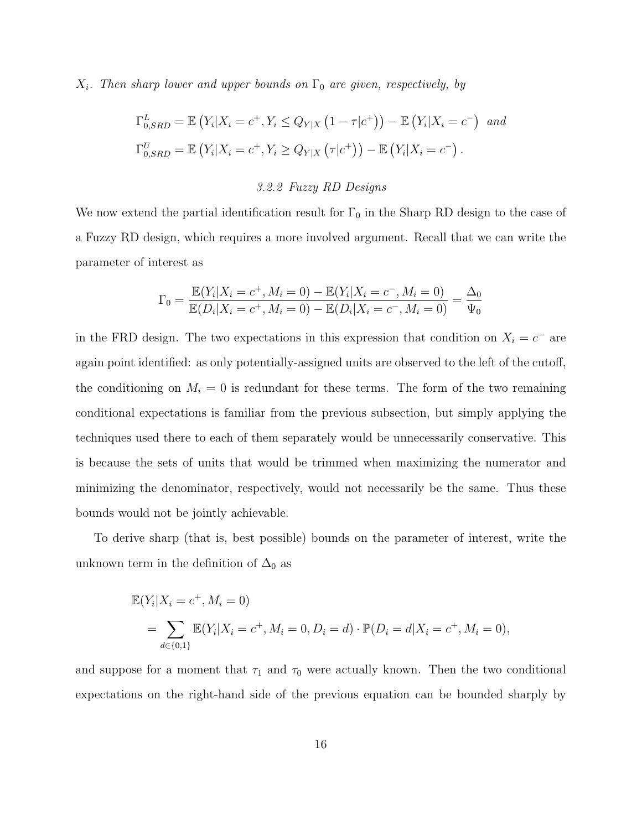$X_i$ *. Then sharp lower and upper bounds on*  $\Gamma_0$  *are given, respectively, by* 

$$
\Gamma_{0,SRD}^L = \mathbb{E}\left(Y_i|X_i = c^+, Y_i \le Q_{Y|X}\left(1 - \tau|c^+\right)\right) - \mathbb{E}\left(Y_i|X_i = c^-\right) \text{ and}
$$
  
\n
$$
\Gamma_{0,SRD}^U = \mathbb{E}\left(Y_i|X_i = c^+, Y_i \ge Q_{Y|X}\left(\tau|c^+\right)\right) - \mathbb{E}\left(Y_i|X_i = c^-\right).
$$

#### *3.2.2 Fuzzy RD Designs*

We now extend the partial identification result for  $\Gamma_0$  in the Sharp RD design to the case of a Fuzzy RD design, which requires a more involved argument. Recall that we can write the parameter of interest as

$$
\Gamma_0 = \frac{\mathbb{E}(Y_i | X_i = c^+, M_i = 0) - \mathbb{E}(Y_i | X_i = c^-, M_i = 0)}{\mathbb{E}(D_i | X_i = c^+, M_i = 0) - \mathbb{E}(D_i | X_i = c^-, M_i = 0)} = \frac{\Delta_0}{\Psi_0}
$$

in the FRD design. The two expectations in this expression that condition on  $X_i = c^-$  are again point identified: as only potentially-assigned units are observed to the left of the cutoff, the conditioning on  $M_i = 0$  is redundant for these terms. The form of the two remaining conditional expectations is familiar from the previous subsection, but simply applying the techniques used there to each of them separately would be unnecessarily conservative. This is because the sets of units that would be trimmed when maximizing the numerator and minimizing the denominator, respectively, would not necessarily be the same. Thus these bounds would not be jointly achievable.

To derive sharp (that is, best possible) bounds on the parameter of interest, write the unknown term in the definition of  $\Delta_0$  as

$$
\mathbb{E}(Y_i|X_i = c^+, M_i = 0)
$$
  
=  $\sum_{d \in \{0,1\}} \mathbb{E}(Y_i|X_i = c^+, M_i = 0, D_i = d) \cdot \mathbb{P}(D_i = d|X_i = c^+, M_i = 0),$ 

and suppose for a moment that  $\tau_1$  and  $\tau_0$  were actually known. Then the two conditional expectations on the right-hand side of the previous equation can be bounded sharply by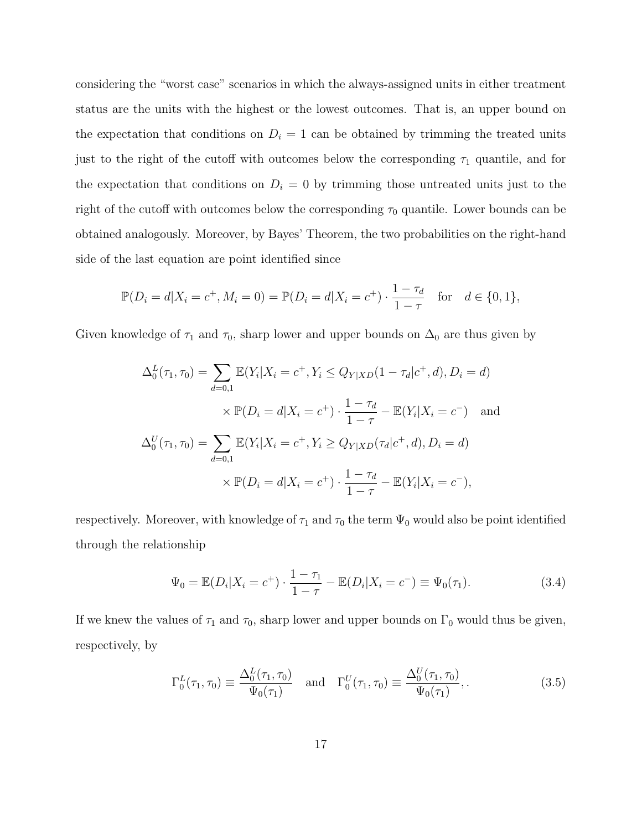considering the "worst case" scenarios in which the always-assigned units in either treatment status are the units with the highest or the lowest outcomes. That is, an upper bound on the expectation that conditions on  $D_i = 1$  can be obtained by trimming the treated units just to the right of the cutoff with outcomes below the corresponding  $\tau_1$  quantile, and for the expectation that conditions on  $D_i = 0$  by trimming those untreated units just to the right of the cutoff with outcomes below the corresponding  $\tau_0$  quantile. Lower bounds can be obtained analogously. Moreover, by Bayes' Theorem, the two probabilities on the right-hand side of the last equation are point identified since

$$
\mathbb{P}(D_i = d | X_i = c^+, M_i = 0) = \mathbb{P}(D_i = d | X_i = c^+) \cdot \frac{1 - \tau_d}{1 - \tau} \quad \text{for} \quad d \in \{0, 1\},
$$

Given knowledge of  $\tau_1$  and  $\tau_0$ , sharp lower and upper bounds on  $\Delta_0$  are thus given by

$$
\Delta_0^L(\tau_1, \tau_0) = \sum_{d=0,1} \mathbb{E}(Y_i | X_i = c^+, Y_i \le Q_{Y|XD}(1 - \tau_d | c^+, d), D_i = d)
$$
  
 
$$
\times \mathbb{P}(D_i = d | X_i = c^+) \cdot \frac{1 - \tau_d}{1 - \tau} - \mathbb{E}(Y_i | X_i = c^-) \text{ and}
$$
  
\n
$$
\Delta_0^U(\tau_1, \tau_0) = \sum_{d=0,1} \mathbb{E}(Y_i | X_i = c^+, Y_i \ge Q_{Y|XD}(\tau_d | c^+, d), D_i = d)
$$
  
\n
$$
\times \mathbb{P}(D_i = d | X_i = c^+) \cdot \frac{1 - \tau_d}{1 - \tau} - \mathbb{E}(Y_i | X_i = c^-),
$$

respectively. Moreover, with knowledge of  $\tau_1$  and  $\tau_0$  the term  $\Psi_0$  would also be point identified through the relationship

$$
\Psi_0 = \mathbb{E}(D_i | X_i = c^+) \cdot \frac{1 - \tau_1}{1 - \tau} - \mathbb{E}(D_i | X_i = c^-) \equiv \Psi_0(\tau_1). \tag{3.4}
$$

If we knew the values of  $\tau_1$  and  $\tau_0$ , sharp lower and upper bounds on  $\Gamma_0$  would thus be given, respectively, by

$$
\Gamma_0^L(\tau_1, \tau_0) \equiv \frac{\Delta_0^L(\tau_1, \tau_0)}{\Psi_0(\tau_1)} \quad \text{and} \quad \Gamma_0^U(\tau_1, \tau_0) \equiv \frac{\Delta_0^U(\tau_1, \tau_0)}{\Psi_0(\tau_1)}, \tag{3.5}
$$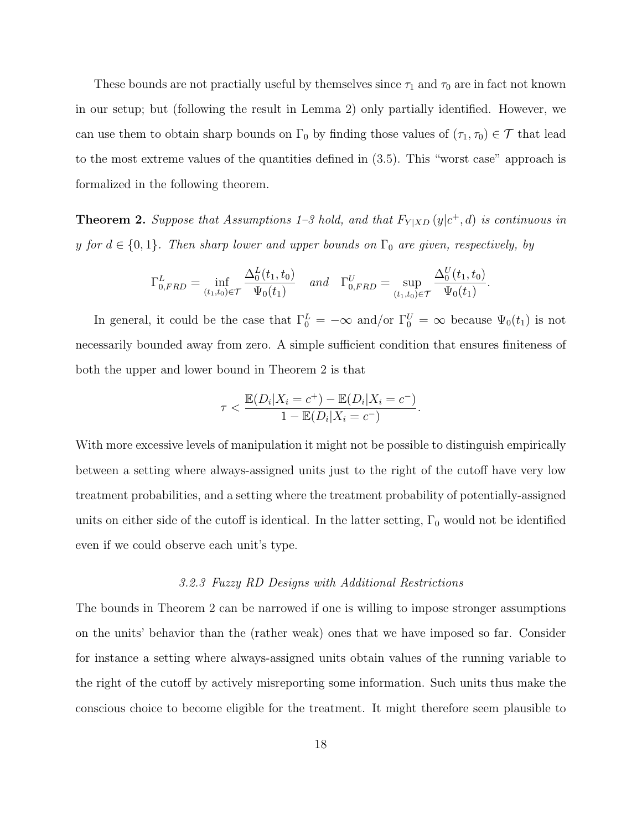These bounds are not practially useful by themselves since  $\tau_1$  and  $\tau_0$  are in fact not known in our setup; but (following the result in Lemma 2) only partially identified. However, we can use them to obtain sharp bounds on  $\Gamma_0$  by finding those values of  $(\tau_1, \tau_0) \in \mathcal{T}$  that lead to the most extreme values of the quantities defined in (3.5). This "worst case" approach is formalized in the following theorem.

**Theorem 2.** Suppose that Assumptions 1–3 hold, and that  $F_{Y|XD}(y|c^+, d)$  is continuous in *y for*  $d \in \{0, 1\}$ *. Then sharp lower and upper bounds on*  $\Gamma_0$  *are given, respectively, by* 

$$
\Gamma_{0,FRD}^{L} = \inf_{(t_1, t_0) \in \mathcal{T}} \frac{\Delta_0^{L}(t_1, t_0)}{\Psi_0(t_1)} \quad \text{and} \quad \Gamma_{0,FRD}^{U} = \sup_{(t_1, t_0) \in \mathcal{T}} \frac{\Delta_0^{U}(t_1, t_0)}{\Psi_0(t_1)}.
$$

In general, it could be the case that  $\Gamma_0^L = -\infty$  and/or  $\Gamma_0^U = \infty$  because  $\Psi_0(t_1)$  is not necessarily bounded away from zero. A simple sufficient condition that ensures finiteness of both the upper and lower bound in Theorem 2 is that

$$
\tau < \frac{\mathbb{E}(D_i | X_i = c^+) - \mathbb{E}(D_i | X_i = c^-)}{1 - \mathbb{E}(D_i | X_i = c^-)}.
$$

With more excessive levels of manipulation it might not be possible to distinguish empirically between a setting where always-assigned units just to the right of the cutoff have very low treatment probabilities, and a setting where the treatment probability of potentially-assigned units on either side of the cutoff is identical. In the latter setting,  $\Gamma_0$  would not be identified even if we could observe each unit's type.

## *3.2.3 Fuzzy RD Designs with Additional Restrictions*

The bounds in Theorem 2 can be narrowed if one is willing to impose stronger assumptions on the units' behavior than the (rather weak) ones that we have imposed so far. Consider for instance a setting where always-assigned units obtain values of the running variable to the right of the cutoff by actively misreporting some information. Such units thus make the conscious choice to become eligible for the treatment. It might therefore seem plausible to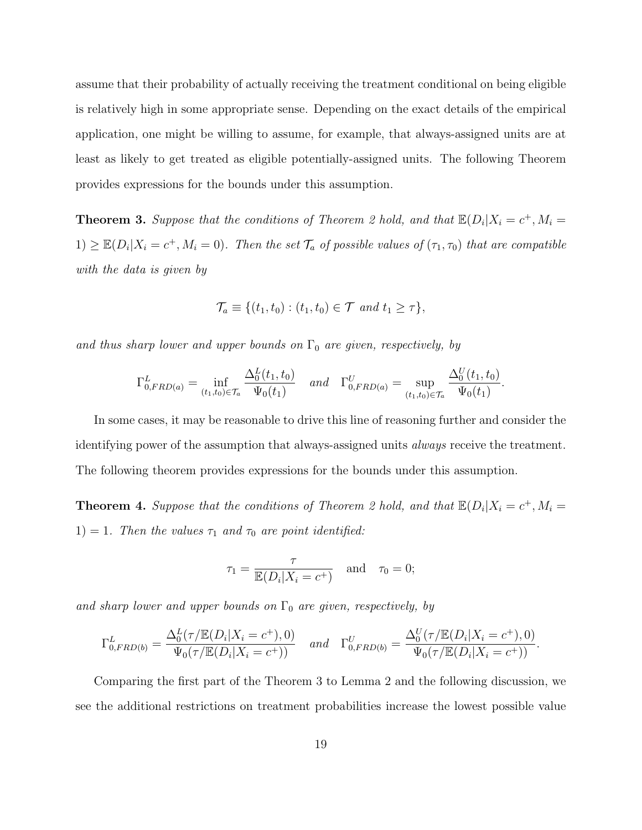assume that their probability of actually receiving the treatment conditional on being eligible is relatively high in some appropriate sense. Depending on the exact details of the empirical application, one might be willing to assume, for example, that always-assigned units are at least as likely to get treated as eligible potentially-assigned units. The following Theorem provides expressions for the bounds under this assumption.

**Theorem 3.** Suppose that the conditions of Theorem 2 hold, and that  $\mathbb{E}(D_i|X_i = c^+, M_i =$  $1) \geq \mathbb{E}(D_i | X_i = c^+, M_i = 0)$ . Then the set  $\mathcal{T}_a$  of possible values of  $(\tau_1, \tau_0)$  that are compatible *with the data is given by*

$$
\mathcal{T}_a \equiv \{ (t_1, t_0) : (t_1, t_0) \in \mathcal{T} \text{ and } t_1 \geq \tau \},
$$

*and thus sharp lower and upper bounds on*  $\Gamma_0$  *are given, respectively, by* 

$$
\Gamma_{0,FRD(a)}^{L} = \inf_{(t_1, t_0) \in \mathcal{T}_a} \frac{\Delta_0^L(t_1, t_0)}{\Psi_0(t_1)} \quad \text{and} \quad \Gamma_{0,FRD(a)}^{U} = \sup_{(t_1, t_0) \in \mathcal{T}_a} \frac{\Delta_0^U(t_1, t_0)}{\Psi_0(t_1)}
$$

*.*

In some cases, it may be reasonable to drive this line of reasoning further and consider the identifying power of the assumption that always-assigned units *always* receive the treatment. The following theorem provides expressions for the bounds under this assumption.

**Theorem 4.** Suppose that the conditions of Theorem 2 hold, and that  $\mathbb{E}(D_i|X_i = c^+, M_i =$ 1) = 1*. Then the values*  $\tau_1$  *and*  $\tau_0$  *are point identified:* 

$$
\tau_1 = \frac{\tau}{\mathbb{E}(D_i | X_i = c^+)} \quad \text{and} \quad \tau_0 = 0;
$$

and sharp lower and upper bounds on  $\Gamma_0$  are given, respectively, by

$$
\Gamma_{0,FRD(b)}^{L} = \frac{\Delta_0^{L}(\tau/\mathbb{E}(D_i|X_i = c^+), 0)}{\Psi_0(\tau/\mathbb{E}(D_i|X_i = c^+))} \quad and \quad \Gamma_{0,FRD(b)}^{U} = \frac{\Delta_0^{U}(\tau/\mathbb{E}(D_i|X_i = c^+), 0)}{\Psi_0(\tau/\mathbb{E}(D_i|X_i = c^+))}.
$$

Comparing the first part of the Theorem 3 to Lemma 2 and the following discussion, we see the additional restrictions on treatment probabilities increase the lowest possible value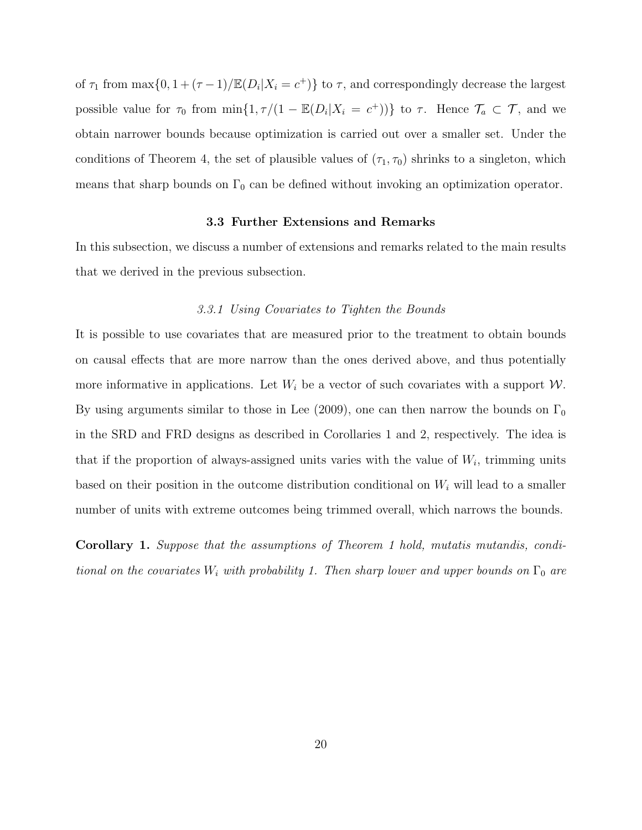of  $\tau_1$  from  $\max\{0, 1 + (\tau - 1)/\mathbb{E}(D_i | X_i = c^+)\}\)$  to  $\tau$ , and correspondingly decrease the largest possible value for  $\tau_0$  from  $\min\{1, \tau/(1 - \mathbb{E}(D_i|X_i = c^+))\}$  to  $\tau$ . Hence  $\mathcal{T}_a \subset \mathcal{T}$ , and we obtain narrower bounds because optimization is carried out over a smaller set. Under the conditions of Theorem 4, the set of plausible values of  $(\tau_1, \tau_0)$  shrinks to a singleton, which means that sharp bounds on  $\Gamma_0$  can be defined without invoking an optimization operator.

## **3.3 Further Extensions and Remarks**

In this subsection, we discuss a number of extensions and remarks related to the main results that we derived in the previous subsection.

### *3.3.1 Using Covariates to Tighten the Bounds*

It is possible to use covariates that are measured prior to the treatment to obtain bounds on causal effects that are more narrow than the ones derived above, and thus potentially more informative in applications. Let  $W_i$  be a vector of such covariates with a support  $W$ . By using arguments similar to those in Lee (2009), one can then narrow the bounds on  $\Gamma_0$ in the SRD and FRD designs as described in Corollaries 1 and 2, respectively. The idea is that if the proportion of always-assigned units varies with the value of  $W_i$ , trimming units based on their position in the outcome distribution conditional on *W<sup>i</sup>* will lead to a smaller number of units with extreme outcomes being trimmed overall, which narrows the bounds.

**Corollary 1.** *Suppose that the assumptions of Theorem 1 hold, mutatis mutandis, conditional on the covariates*  $W_i$  *with probability 1. Then sharp lower and upper bounds on*  $\Gamma_0$  *are*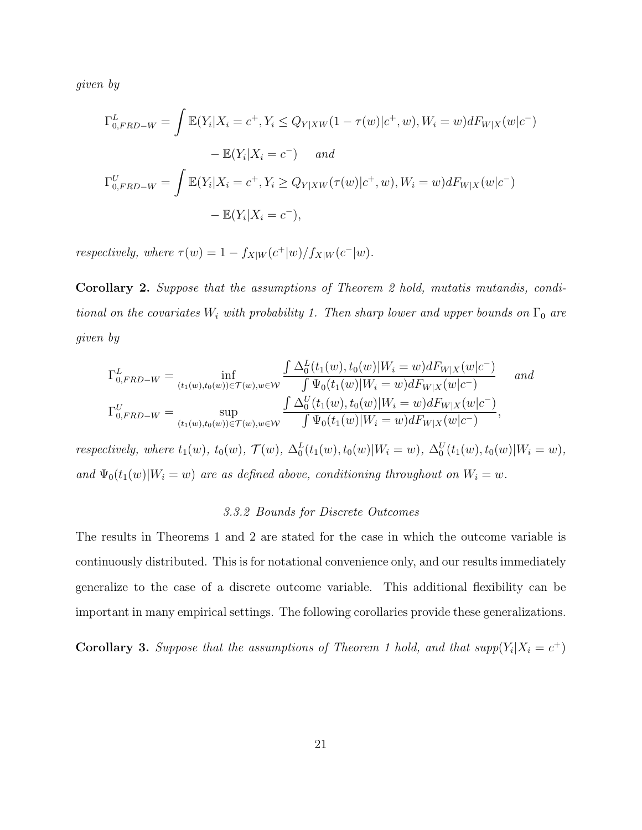*given by*

$$
\Gamma_{0,FRD-W}^{L} = \int \mathbb{E}(Y_i | X_i = c^+, Y_i \le Q_{Y|XW}(1 - \tau(w)|c^+, w), W_i = w)dF_{W|X}(w|c^-)
$$

$$
- \mathbb{E}(Y_i | X_i = c^-) \quad and
$$

$$
\Gamma_{0,FRD-W}^{U} = \int \mathbb{E}(Y_i | X_i = c^+, Y_i \ge Q_{Y|XW}(\tau(w)|c^+, w), W_i = w)dF_{W|X}(w|c^-)
$$

$$
- \mathbb{E}(Y_i | X_i = c^-),
$$

*respectively, where*  $\tau(w) = 1 - f_{X|W}(c^+|w)/f_{X|W}(c^-|w)$ .

**Corollary 2.** *Suppose that the assumptions of Theorem 2 hold, mutatis mutandis, conditional on the covariates*  $W_i$  *with probability 1. Then sharp lower and upper bounds on*  $\Gamma_0$  *are given by*

$$
\Gamma_{0,FRD-W}^{L} = \inf_{(t_{1}(w),t_{0}(w)) \in \mathcal{T}(w),w \in \mathcal{W}} \frac{\int \Delta_{0}^{L}(t_{1}(w),t_{0}(w)|W_{i}=w)dF_{W|X}(w|c^{-})}{\int \Psi_{0}(t_{1}(w)|W_{i}=w)dF_{W|X}(w|c^{-})} \quad and
$$

$$
\Gamma_{0,FRD-W}^{U} = \sup_{(t_{1}(w),t_{0}(w)) \in \mathcal{T}(w),w \in \mathcal{W}} \frac{\int \Delta_{0}^{U}(t_{1}(w),t_{0}(w)|W_{i}=w)dF_{W|X}(w|c^{-})}{\int \Psi_{0}(t_{1}(w)|W_{i}=w)dF_{W|X}(w|c^{-})},
$$

respectively, where  $t_1(w)$ ,  $t_0(w)$ ,  $\mathcal{T}(w)$ ,  $\Delta_0^L(t_1(w), t_0(w)|W_i = w)$ ,  $\Delta_0^U(t_1(w), t_0(w)|W_i = w)$ , *and*  $\Psi_0(t_1(w)|W_i = w)$  *are as defined above, conditioning throughout on*  $W_i = w$ *.* 

#### *3.3.2 Bounds for Discrete Outcomes*

The results in Theorems 1 and 2 are stated for the case in which the outcome variable is continuously distributed. This is for notational convenience only, and our results immediately generalize to the case of a discrete outcome variable. This additional flexibility can be important in many empirical settings. The following corollaries provide these generalizations.

**Corollary 3.** Suppose that the assumptions of Theorem 1 hold, and that  $supp(Y_i|X_i = c^+)$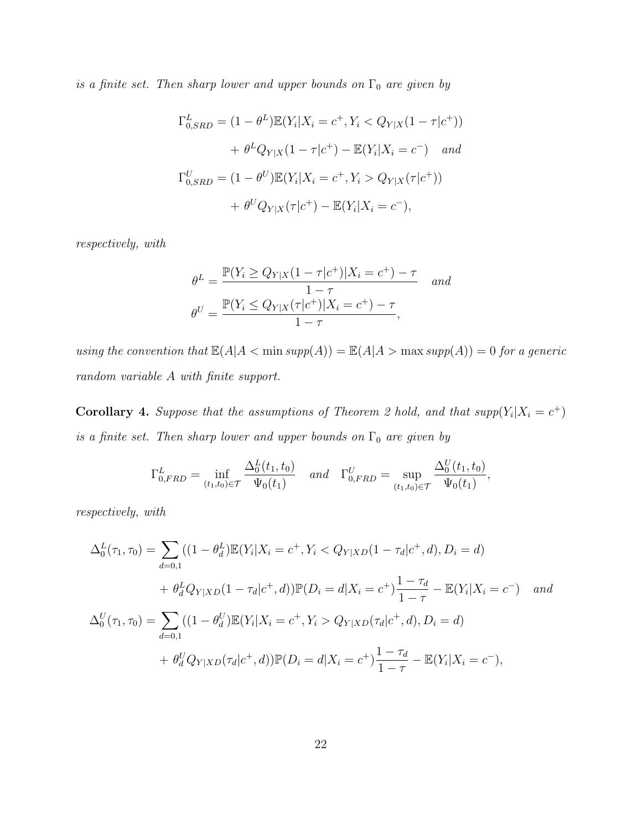*is a finite set. Then sharp lower and upper bounds on*  $\Gamma_0$  *are given by* 

$$
\Gamma_{0,SRD}^{L} = (1 - \theta^{L}) \mathbb{E}(Y_{i}|X_{i} = c^{+}, Y_{i} < Q_{Y|X}(1 - \tau|c^{+}))
$$
\n
$$
+ \theta^{L} Q_{Y|X}(1 - \tau|c^{+}) - \mathbb{E}(Y_{i}|X_{i} = c^{-}) \quad and
$$
\n
$$
\Gamma_{0,SRD}^{U} = (1 - \theta^{U}) \mathbb{E}(Y_{i}|X_{i} = c^{+}, Y_{i} > Q_{Y|X}(\tau|c^{+}))
$$
\n
$$
+ \theta^{U} Q_{Y|X}(\tau|c^{+}) - \mathbb{E}(Y_{i}|X_{i} = c^{-}),
$$

*respectively, with*

$$
\theta^{L} = \frac{\mathbb{P}(Y_{i} \ge Q_{Y|X}(1-\tau|c^{+})|X_{i}=c^{+})-\tau}{1-\tau} \quad and
$$

$$
\theta^{U} = \frac{\mathbb{P}(Y_{i} \le Q_{Y|X}(\tau|c^{+})|X_{i}=c^{+})-\tau}{1-\tau},
$$

*using the convention that*  $\mathbb{E}(A|A \leq \min supp(A)) = \mathbb{E}(A|A \geq \max supp(A)) = 0$  *for a generic random variable A with finite support.*

**Corollary 4.** Suppose that the assumptions of Theorem 2 hold, and that  $supp(Y_i|X_i = c^+)$ *is a finite set. Then sharp lower and upper bounds on*  $\Gamma_0$  *are given by* 

$$
\Gamma_{0,FRD}^{L} = \inf_{(t_1, t_0) \in \mathcal{T}} \frac{\Delta_0^L(t_1, t_0)}{\Psi_0(t_1)} \quad and \quad \Gamma_{0,FRD}^{U} = \sup_{(t_1, t_0) \in \mathcal{T}} \frac{\Delta_0^U(t_1, t_0)}{\Psi_0(t_1)},
$$

*respectively, with*

$$
\Delta_0^L(\tau_1, \tau_0) = \sum_{d=0,1} ((1 - \theta_d^L) \mathbb{E}(Y_i | X_i = c^+, Y_i < Q_{Y|XD}(1 - \tau_d | c^+, d), D_i = d)
$$
\n
$$
+ \theta_d^L Q_{Y|XD}(1 - \tau_d | c^+, d)) \mathbb{P}(D_i = d | X_i = c^+) \frac{1 - \tau_d}{1 - \tau} - \mathbb{E}(Y_i | X_i = c^-) \quad and
$$
\n
$$
\Delta_0^U(\tau_1, \tau_0) = \sum_{d=0,1} ((1 - \theta_d^U) \mathbb{E}(Y_i | X_i = c^+, Y_i > Q_{Y|XD}(\tau_d | c^+, d), D_i = d)
$$
\n
$$
+ \theta_d^U Q_{Y|XD}(\tau_d | c^+, d)) \mathbb{P}(D_i = d | X_i = c^+) \frac{1 - \tau_d}{1 - \tau} - \mathbb{E}(Y_i | X_i = c^-),
$$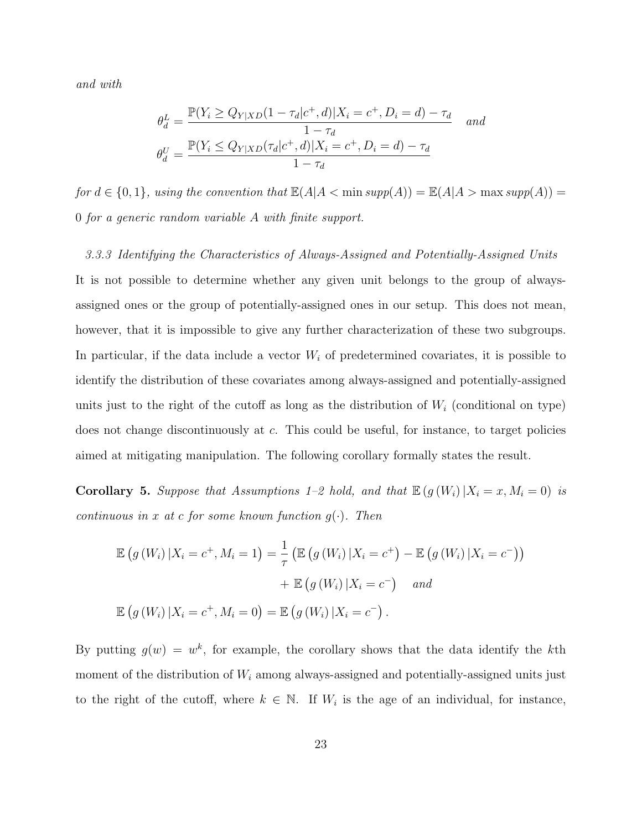*and with*

$$
\theta_d^L = \frac{\mathbb{P}(Y_i \ge Q_{Y|XD}(1 - \tau_d|c^+, d)|X_i = c^+, D_i = d) - \tau_d}{1 - \tau_d} \quad and
$$

$$
\theta_d^U = \frac{\mathbb{P}(Y_i \le Q_{Y|XD}(\tau_d|c^+, d)|X_i = c^+, D_i = d) - \tau_d}{1 - \tau_d}
$$

*for*  $d \in \{0, 1\}$ *, using the convention that*  $\mathbb{E}(A|A < \min supp(A)) = \mathbb{E}(A|A > \max supp(A)) =$ 0 *for a generic random variable A with finite support.*

*3.3.3 Identifying the Characteristics of Always-Assigned and Potentially-Assigned Units* It is not possible to determine whether any given unit belongs to the group of alwaysassigned ones or the group of potentially-assigned ones in our setup. This does not mean, however, that it is impossible to give any further characterization of these two subgroups. In particular, if the data include a vector *W<sup>i</sup>* of predetermined covariates, it is possible to identify the distribution of these covariates among always-assigned and potentially-assigned units just to the right of the cutoff as long as the distribution of  $W_i$  (conditional on type) does not change discontinuously at *c*. This could be useful, for instance, to target policies aimed at mitigating manipulation. The following corollary formally states the result.

**Corollary 5.** Suppose that Assumptions 1–2 hold, and that  $\mathbb{E} (g(W_i) | X_i = x, M_i = 0)$  is *continuous in x at c for some known function*  $g(\cdot)$ *. Then* 

$$
\mathbb{E}\left(g\left(W_{i}\right)|X_{i}=c^{+},M_{i}=1\right)=\frac{1}{\tau}\left(\mathbb{E}\left(g\left(W_{i}\right)|X_{i}=c^{+}\right)-\mathbb{E}\left(g\left(W_{i}\right)|X_{i}=c^{-}\right)\right)
$$

$$
+\mathbb{E}\left(g\left(W_{i}\right)|X_{i}=c^{-}\right) \quad and
$$

$$
\mathbb{E}\left(g\left(W_{i}\right)|X_{i}=c^{+},M_{i}=0\right)=\mathbb{E}\left(g\left(W_{i}\right)|X_{i}=c^{-}\right).
$$

By putting  $g(w) = w^k$ , for example, the corollary shows that the data identify the kth moment of the distribution of  $W_i$  among always-assigned and potentially-assigned units just to the right of the cutoff, where  $k \in \mathbb{N}$ . If  $W_i$  is the age of an individual, for instance,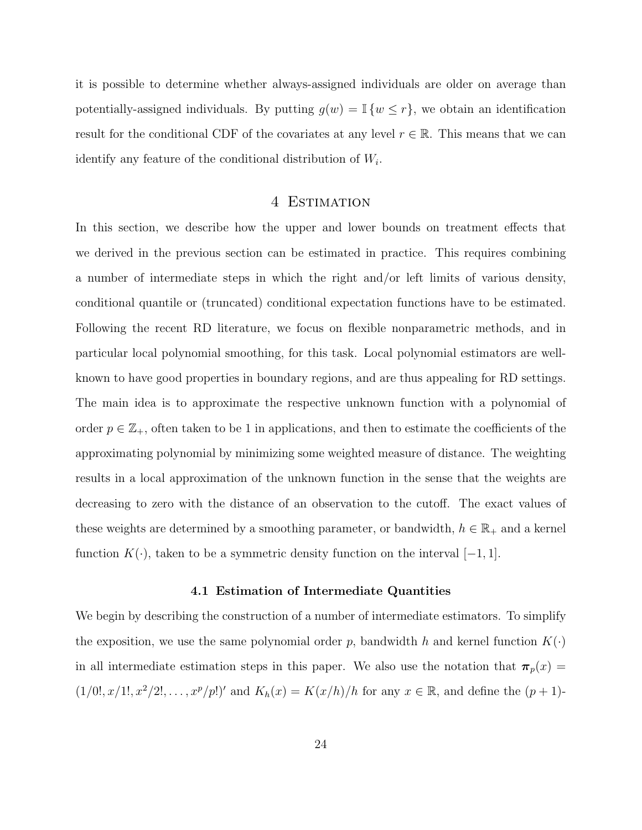it is possible to determine whether always-assigned individuals are older on average than potentially-assigned individuals. By putting  $g(w) = \mathbb{I} \{w \leq r\}$ , we obtain an identification result for the conditional CDF of the covariates at any level  $r \in \mathbb{R}$ . This means that we can identify any feature of the conditional distribution of *W<sup>i</sup>* .

## 4 Estimation

In this section, we describe how the upper and lower bounds on treatment effects that we derived in the previous section can be estimated in practice. This requires combining a number of intermediate steps in which the right and/or left limits of various density, conditional quantile or (truncated) conditional expectation functions have to be estimated. Following the recent RD literature, we focus on flexible nonparametric methods, and in particular local polynomial smoothing, for this task. Local polynomial estimators are wellknown to have good properties in boundary regions, and are thus appealing for RD settings. The main idea is to approximate the respective unknown function with a polynomial of order  $p \in \mathbb{Z}_+$ , often taken to be 1 in applications, and then to estimate the coefficients of the approximating polynomial by minimizing some weighted measure of distance. The weighting results in a local approximation of the unknown function in the sense that the weights are decreasing to zero with the distance of an observation to the cutoff. The exact values of these weights are determined by a smoothing parameter, or bandwidth,  $h \in \mathbb{R}_+$  and a kernel function  $K(\cdot)$ , taken to be a symmetric density function on the interval [−1, 1].

#### **4.1 Estimation of Intermediate Quantities**

We begin by describing the construction of a number of intermediate estimators. To simplify the exposition, we use the same polynomial order p, bandwidth h and kernel function  $K(\cdot)$ in all intermediate estimation steps in this paper. We also use the notation that  $\pi_p(x) =$  $(1/0!, x/1!, x^2/2!, \ldots, x^p/p!)'$  and  $K_h(x) = K(x/h)/h$  for any  $x \in \mathbb{R}$ , and define the  $(p+1)$ -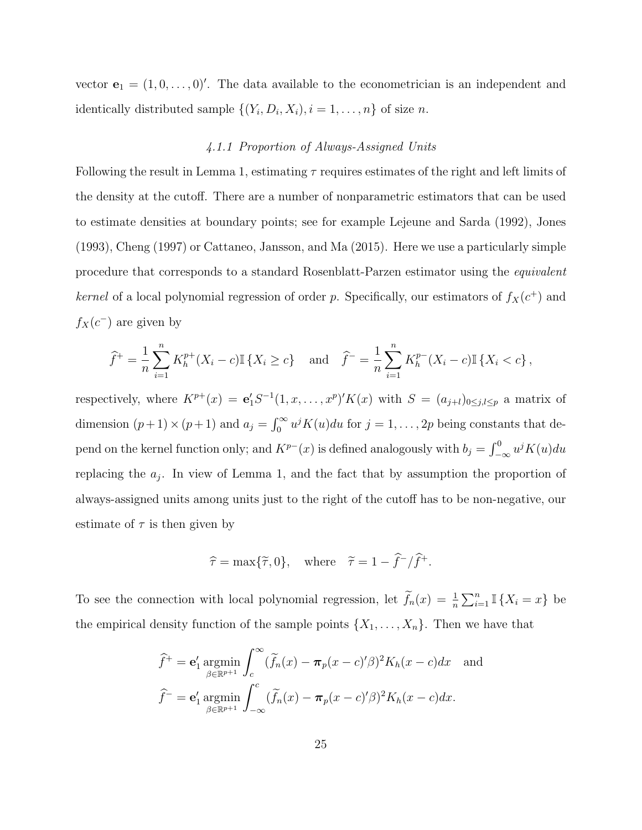vector  $\mathbf{e}_1 = (1, 0, \dots, 0)^\prime$ . The data available to the econometrician is an independent and identically distributed sample  $\{(Y_i, D_i, X_i), i = 1, \ldots, n\}$  of size *n*.

## *4.1.1 Proportion of Always-Assigned Units*

Following the result in Lemma 1, estimating *τ* requires estimates of the right and left limits of the density at the cutoff. There are a number of nonparametric estimators that can be used to estimate densities at boundary points; see for example Lejeune and Sarda (1992), Jones (1993), Cheng (1997) or Cattaneo, Jansson, and Ma (2015). Here we use a particularly simple procedure that corresponds to a standard Rosenblatt-Parzen estimator using the *equivalent kernel* of a local polynomial regression of order *p*. Specifically, our estimators of  $f_X(c^+)$  and  $f_X(c^-)$  are given by

$$
\hat{f}^+ = \frac{1}{n} \sum_{i=1}^n K_h^{p+}(X_i - c) \mathbb{I} \{ X_i \ge c \} \text{ and } \hat{f}^- = \frac{1}{n} \sum_{i=1}^n K_h^{p-}(X_i - c) \mathbb{I} \{ X_i < c \},
$$

respectively, where  $K^{p+}(x) = e'_1 S^{-1}(1, x, \ldots, x^p)' K(x)$  with  $S = (a_{j+l})_{0 \leq j,l \leq p}$  a matrix of dimension  $(p+1) \times (p+1)$  and  $a_j = \int_0^\infty u^j K(u) du$  for  $j = 1, \ldots, 2p$  being constants that depend on the kernel function only; and  $K^{p-}(x)$  is defined analogously with  $b_j = \int_{-\infty}^0 u^j K(u) du$ replacing the *a<sup>j</sup>* . In view of Lemma 1, and the fact that by assumption the proportion of always-assigned units among units just to the right of the cutoff has to be non-negative, our estimate of  $\tau$  is then given by

$$
\hat{\tau} = \max{\{\tilde{\tau}, 0\}}, \text{ where } \tilde{\tau} = 1 - \hat{f}^{-}/\hat{f}^{+}.
$$

To see the connection with local polynomial regression, let  $\tilde{f}_n(x) = \frac{1}{n} \sum_{i=1}^n \mathbb{I} \{X_i = x\}$  be the empirical density function of the sample points  $\{X_1, \ldots, X_n\}$ . Then we have that

$$
\widehat{f}^+ = \mathbf{e}'_1 \operatorname*{argmin}_{\beta \in \mathbb{R}^{p+1}} \int_c^{\infty} (\widetilde{f}_n(x) - \pi_p(x - c)'\beta)^2 K_h(x - c) dx \text{ and}
$$

$$
\widehat{f}^- = \mathbf{e}'_1 \operatorname*{argmin}_{\beta \in \mathbb{R}^{p+1}} \int_{-\infty}^c (\widetilde{f}_n(x) - \pi_p(x - c)'\beta)^2 K_h(x - c) dx.
$$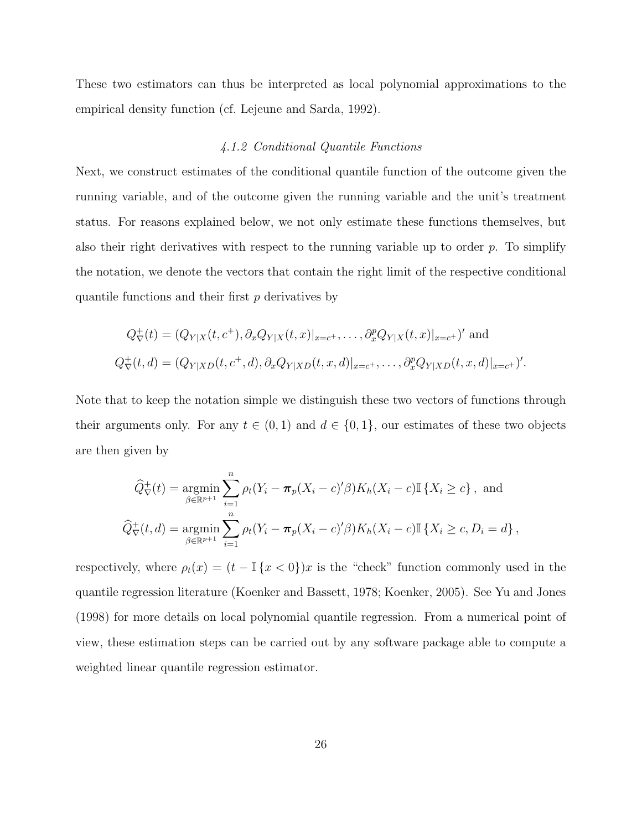These two estimators can thus be interpreted as local polynomial approximations to the empirical density function (cf. Lejeune and Sarda, 1992).

## *4.1.2 Conditional Quantile Functions*

Next, we construct estimates of the conditional quantile function of the outcome given the running variable, and of the outcome given the running variable and the unit's treatment status. For reasons explained below, we not only estimate these functions themselves, but also their right derivatives with respect to the running variable up to order *p*. To simplify the notation, we denote the vectors that contain the right limit of the respective conditional quantile functions and their first *p* derivatives by

$$
Q^+_{\nabla}(t) = (Q_{Y|X}(t, c^+), \partial_x Q_{Y|X}(t, x)|_{x=c^+}, \dots, \partial_x^p Q_{Y|X}(t, x)|_{x=c^+})' \text{ and}
$$
  

$$
Q^+_{\nabla}(t, d) = (Q_{Y|XD}(t, c^+, d), \partial_x Q_{Y|XD}(t, x, d)|_{x=c^+}, \dots, \partial_x^p Q_{Y|XD}(t, x, d)|_{x=c^+})'.
$$

Note that to keep the notation simple we distinguish these two vectors of functions through their arguments only. For any  $t \in (0,1)$  and  $d \in \{0,1\}$ , our estimates of these two objects are then given by

$$
\widehat{Q}_{\nabla}^{+}(t) = \underset{\beta \in \mathbb{R}^{p+1}}{\text{argmin}} \sum_{i=1}^{n} \rho_{t}(Y_{i} - \pi_{p}(X_{i} - c)^{t} \beta) K_{h}(X_{i} - c) \mathbb{I} \{X_{i} \ge c\}, \text{ and}
$$
  

$$
\widehat{Q}_{\nabla}^{+}(t, d) = \underset{\beta \in \mathbb{R}^{p+1}}{\text{argmin}} \sum_{i=1}^{n} \rho_{t}(Y_{i} - \pi_{p}(X_{i} - c)^{t} \beta) K_{h}(X_{i} - c) \mathbb{I} \{X_{i} \ge c, D_{i} = d\},
$$

respectively, where  $\rho_t(x) = (t - \mathbb{I}\{x < 0\})x$  is the "check" function commonly used in the quantile regression literature (Koenker and Bassett, 1978; Koenker, 2005). See Yu and Jones (1998) for more details on local polynomial quantile regression. From a numerical point of view, these estimation steps can be carried out by any software package able to compute a weighted linear quantile regression estimator.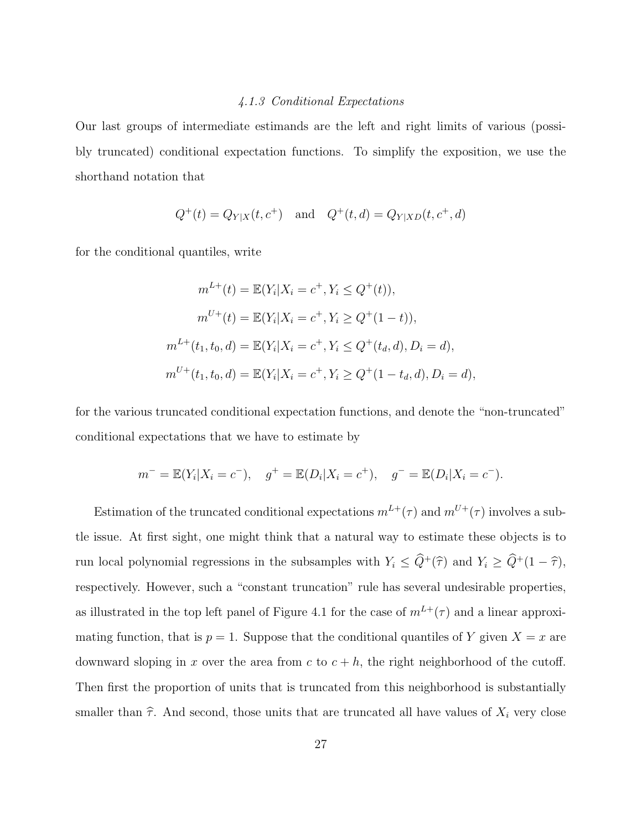## *4.1.3 Conditional Expectations*

Our last groups of intermediate estimands are the left and right limits of various (possibly truncated) conditional expectation functions. To simplify the exposition, we use the shorthand notation that

$$
Q^+(t) = Q_{Y|X}(t, c^+)
$$
 and  $Q^+(t, d) = Q_{Y|XD}(t, c^+, d)$ 

for the conditional quantiles, write

$$
m^{L+}(t) = \mathbb{E}(Y_i | X_i = c^+, Y_i \le Q^+(t)),
$$
  
\n
$$
m^{U+}(t) = \mathbb{E}(Y_i | X_i = c^+, Y_i \ge Q^+(1-t)),
$$
  
\n
$$
m^{L+}(t_1, t_0, d) = \mathbb{E}(Y_i | X_i = c^+, Y_i \le Q^+(t_d, d), D_i = d),
$$
  
\n
$$
m^{U+}(t_1, t_0, d) = \mathbb{E}(Y_i | X_i = c^+, Y_i \ge Q^+(1 - t_d, d), D_i = d),
$$

for the various truncated conditional expectation functions, and denote the "non-truncated" conditional expectations that we have to estimate by

$$
m^- = \mathbb{E}(Y_i | X_i = c^-), \quad g^+ = \mathbb{E}(D_i | X_i = c^+), \quad g^- = \mathbb{E}(D_i | X_i = c^-).
$$

Estimation of the truncated conditional expectations  $m^{L+}(\tau)$  and  $m^{U+}(\tau)$  involves a subtle issue. At first sight, one might think that a natural way to estimate these objects is to run local polynomial regressions in the subsamples with  $Y_i \leq \hat{Q}^+(\hat{\tau})$  and  $Y_i \geq \hat{Q}^+(1-\hat{\tau})$ , respectively. However, such a "constant truncation" rule has several undesirable properties, as illustrated in the top left panel of Figure 4.1 for the case of  $m^{L+}(\tau)$  and a linear approximating function, that is  $p = 1$ . Suppose that the conditional quantiles of *Y* given  $X = x$  are downward sloping in *x* over the area from  $c$  to  $c + h$ , the right neighborhood of the cutoff. Then first the proportion of units that is truncated from this neighborhood is substantially smaller than  $\hat{\tau}$ . And second, those units that are truncated all have values of  $X_i$  very close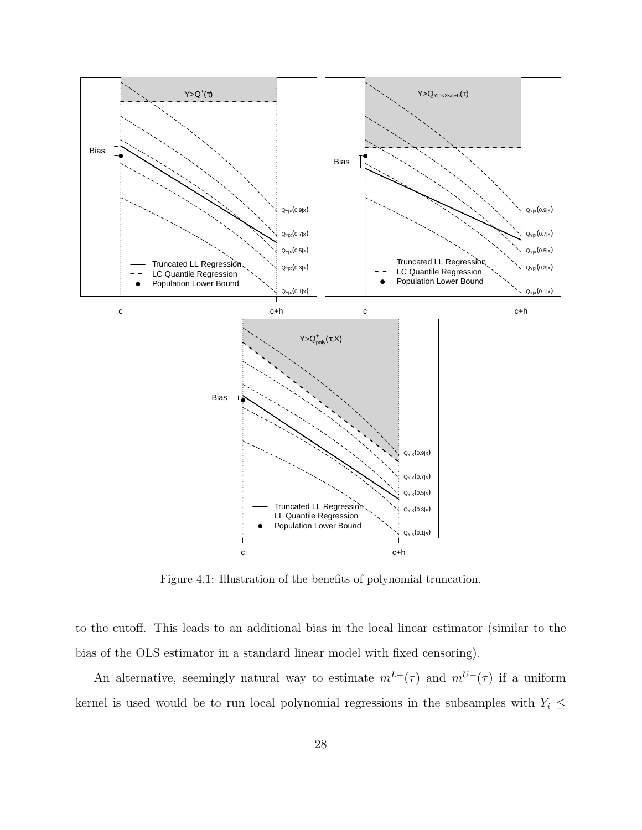

Figure 4.1: Illustration of the benefits of polynomial truncation.

to the cutoff. This leads to an additional bias in the local linear estimator (similar to the bias of the OLS estimator in a standard linear model with fixed censoring).

An alternative, seemingly natural way to estimate  $m^{L+}(\tau)$  and  $m^{U+}(\tau)$  if a uniform kernel is used would be to run local polynomial regressions in the subsamples with  $Y_i \leq$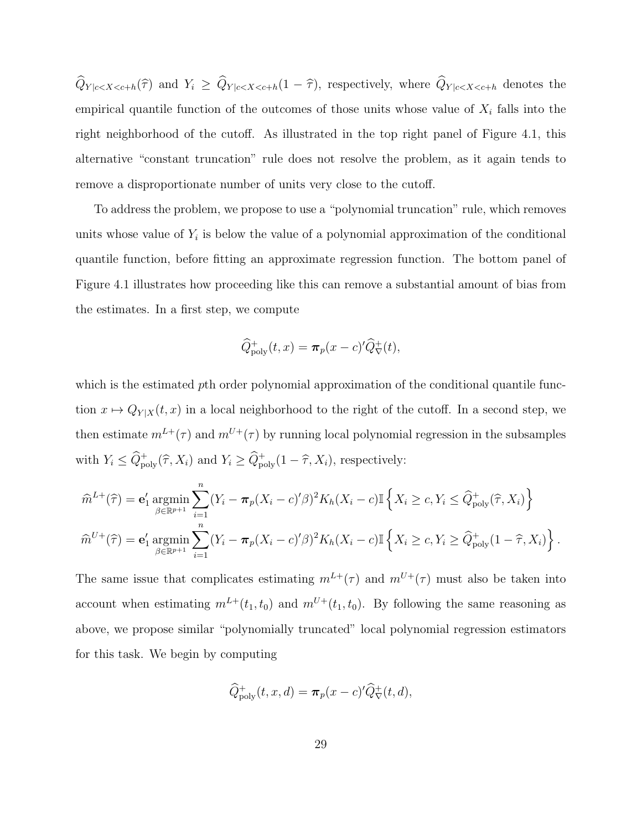$\widehat{Q}_{Y|c\leq X\leq c+h}(\widehat{\tau})$  and  $Y_i \geq \widehat{Q}_{Y|c\leq X\leq c+h}(1-\widehat{\tau})$ , respectively, where  $\widehat{Q}_{Y|c\leq X\leq c+h}$  denotes the empirical quantile function of the outcomes of those units whose value of  $X_i$  falls into the right neighborhood of the cutoff. As illustrated in the top right panel of Figure 4.1, this alternative "constant truncation" rule does not resolve the problem, as it again tends to remove a disproportionate number of units very close to the cutoff.

To address the problem, we propose to use a "polynomial truncation" rule, which removes units whose value of  $Y_i$  is below the value of a polynomial approximation of the conditional quantile function, before fitting an approximate regression function. The bottom panel of Figure 4.1 illustrates how proceeding like this can remove a substantial amount of bias from the estimates. In a first step, we compute

$$
\widehat{Q}_{\text{poly}}^+(t,x) = \pi_p(x-c)'\widehat{Q}_{\nabla}^+(t),
$$

which is the estimated *p*th order polynomial approximation of the conditional quantile function  $x \mapsto Q_{Y|X}(t, x)$  in a local neighborhood to the right of the cutoff. In a second step, we then estimate  $m^{L+}(\tau)$  and  $m^{U+}(\tau)$  by running local polynomial regression in the subsamples with  $Y_i \le \widehat{Q}_{poly}^+(\widehat{\tau}, X_i)$  and  $Y_i \ge \widehat{Q}_{poly}^+(1-\widehat{\tau}, X_i)$ , respectively:

$$
\widehat{m}^{L+}(\widehat{\tau}) = \mathbf{e}'_1 \operatorname*{argmin}_{\beta \in \mathbb{R}^{p+1}} \sum_{i=1}^n (Y_i - \pi_p (X_i - c)' \beta)^2 K_h(X_i - c) \mathbb{I} \left\{ X_i \ge c, Y_i \le \widehat{Q}^+_{\text{poly}}(\widehat{\tau}, X_i) \right\}
$$

$$
\widehat{m}^{U+}(\widehat{\tau}) = \mathbf{e}'_1 \operatorname*{argmin}_{\beta \in \mathbb{R}^{p+1}} \sum_{i=1}^n (Y_i - \pi_p (X_i - c)' \beta)^2 K_h(X_i - c) \mathbb{I} \left\{ X_i \ge c, Y_i \ge \widehat{Q}^+_{\text{poly}}(1 - \widehat{\tau}, X_i) \right\}.
$$

The same issue that complicates estimating  $m^{L+}(\tau)$  and  $m^{U+}(\tau)$  must also be taken into account when estimating  $m^{L+}(t_1, t_0)$  and  $m^{U+}(t_1, t_0)$ . By following the same reasoning as above, we propose similar "polynomially truncated" local polynomial regression estimators for this task. We begin by computing

$$
\widehat{Q}_{\text{poly}}^+(t,x,d) = \pi_p(x-c)'\widehat{Q}_{\nabla}^+(t,d),
$$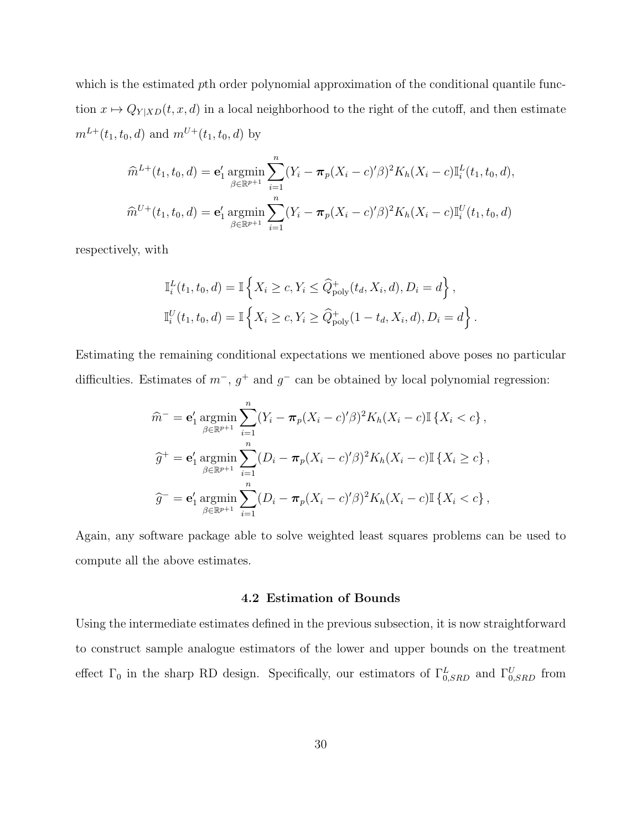which is the estimated *p*th order polynomial approximation of the conditional quantile function  $x \mapsto Q_{Y|XD}(t, x, d)$  in a local neighborhood to the right of the cutoff, and then estimate  $m^{L+}(t_1, t_0, d)$  and  $m^{U+}(t_1, t_0, d)$  by

$$
\widehat{m}^{L+}(t_1, t_0, d) = \mathbf{e}'_1 \operatorname*{argmin}_{\beta \in \mathbb{R}^{p+1}} \sum_{i=1}^n (Y_i - \pi_p(X_i - c)'\beta)^2 K_h(X_i - c) \mathbb{I}_i^L(t_1, t_0, d),
$$
  

$$
\widehat{m}^{U+}(t_1, t_0, d) = \mathbf{e}'_1 \operatorname*{argmin}_{\beta \in \mathbb{R}^{p+1}} \sum_{i=1}^n (Y_i - \pi_p(X_i - c)'\beta)^2 K_h(X_i - c) \mathbb{I}_i^U(t_1, t_0, d)
$$

respectively, with

$$
\mathbb{I}_i^L(t_1, t_0, d) = \mathbb{I}\left\{X_i \ge c, Y_i \le \widehat{Q}_{poly}^+(t_d, X_i, d), D_i = d\right\},\
$$
  

$$
\mathbb{I}_i^U(t_1, t_0, d) = \mathbb{I}\left\{X_i \ge c, Y_i \ge \widehat{Q}_{poly}^+(1 - t_d, X_i, d), D_i = d\right\}.
$$

Estimating the remaining conditional expectations we mentioned above poses no particular difficulties. Estimates of  $m^-, g^+$  and  $g^-$  can be obtained by local polynomial regression:

$$
\widehat{m}^{-} = \mathbf{e}'_1 \operatorname*{argmin}_{\beta \in \mathbb{R}^{p+1}} \sum_{i=1}^n (Y_i - \pi_p (X_i - c)' \beta)^2 K_h (X_i - c) \mathbb{I} \{ X_i < c \},
$$
\n
$$
\widehat{g}^{+} = \mathbf{e}'_1 \operatorname*{argmin}_{\beta \in \mathbb{R}^{p+1}} \sum_{i=1}^n (D_i - \pi_p (X_i - c)' \beta)^2 K_h (X_i - c) \mathbb{I} \{ X_i \ge c \},
$$
\n
$$
\widehat{g}^{-} = \mathbf{e}'_1 \operatorname*{argmin}_{\beta \in \mathbb{R}^{p+1}} \sum_{i=1}^n (D_i - \pi_p (X_i - c)' \beta)^2 K_h (X_i - c) \mathbb{I} \{ X_i < c \},
$$

Again, any software package able to solve weighted least squares problems can be used to compute all the above estimates.

## **4.2 Estimation of Bounds**

Using the intermediate estimates defined in the previous subsection, it is now straightforward to construct sample analogue estimators of the lower and upper bounds on the treatment effect  $\Gamma_0$  in the sharp RD design. Specifically, our estimators of  $\Gamma^L_{0,SRD}$  and  $\Gamma^U_{0,SRD}$  from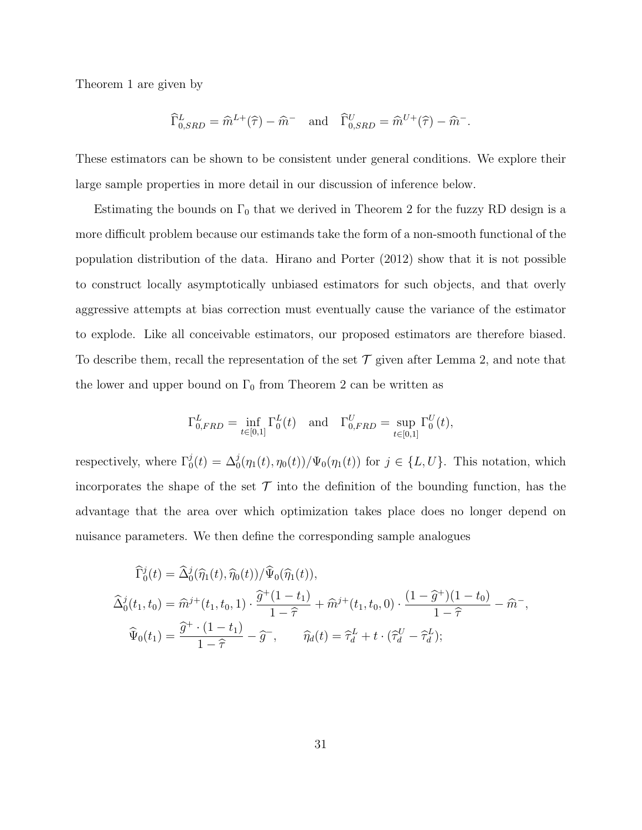Theorem 1 are given by

$$
\widehat{\Gamma}^{L}_{0,SRD} = \widehat{m}^{L+}(\widehat{\tau}) - \widehat{m}^{-} \quad \text{and} \quad \widehat{\Gamma}^{U}_{0,SRD} = \widehat{m}^{U+}(\widehat{\tau}) - \widehat{m}^{-}.
$$

These estimators can be shown to be consistent under general conditions. We explore their large sample properties in more detail in our discussion of inference below.

Estimating the bounds on  $\Gamma_0$  that we derived in Theorem 2 for the fuzzy RD design is a more difficult problem because our estimands take the form of a non-smooth functional of the population distribution of the data. Hirano and Porter (2012) show that it is not possible to construct locally asymptotically unbiased estimators for such objects, and that overly aggressive attempts at bias correction must eventually cause the variance of the estimator to explode. Like all conceivable estimators, our proposed estimators are therefore biased. To describe them, recall the representation of the set  $\mathcal T$  given after Lemma 2, and note that the lower and upper bound on  $\Gamma_0$  from Theorem 2 can be written as

$$
\Gamma_{0,FRD}^{L} = \inf_{t \in [0,1]} \Gamma_0^{L}(t)
$$
 and  $\Gamma_{0,FRD}^{U} = \sup_{t \in [0,1]} \Gamma_0^{U}(t)$ ,

respectively, where  $\Gamma_0^j(t) = \Delta_0^j(\eta_1(t), \eta_0(t))/\Psi_0(\eta_1(t))$  for  $j \in \{L, U\}$ . This notation, which incorporates the shape of the set  $\mathcal T$  into the definition of the bounding function, has the advantage that the area over which optimization takes place does no longer depend on nuisance parameters. We then define the corresponding sample analogues

$$
\begin{aligned}\n\widehat{\Gamma}_{0}^{j}(t) &= \widehat{\Delta}_{0}^{j}(\widehat{\eta}_{1}(t), \widehat{\eta}_{0}(t)) / \widehat{\Psi}_{0}(\widehat{\eta}_{1}(t)), \\
\widehat{\Delta}_{0}^{j}(t_{1}, t_{0}) &= \widehat{m}^{j+}(t_{1}, t_{0}, 1) \cdot \frac{\widehat{g}^{+}(1 - t_{1})}{1 - \widehat{\tau}} + \widehat{m}^{j+}(t_{1}, t_{0}, 0) \cdot \frac{(1 - \widehat{g}^{+})(1 - t_{0})}{1 - \widehat{\tau}} - \widehat{m}^{-}, \\
\widehat{\Psi}_{0}(t_{1}) &= \frac{\widehat{g}^{+} \cdot (1 - t_{1})}{1 - \widehat{\tau}} - \widehat{g}^{-}, \qquad \widehat{\eta}_{d}(t) = \widehat{\tau}_{d}^{L} + t \cdot (\widehat{\tau}_{d}^{U} - \widehat{\tau}_{d}^{L});\n\end{aligned}
$$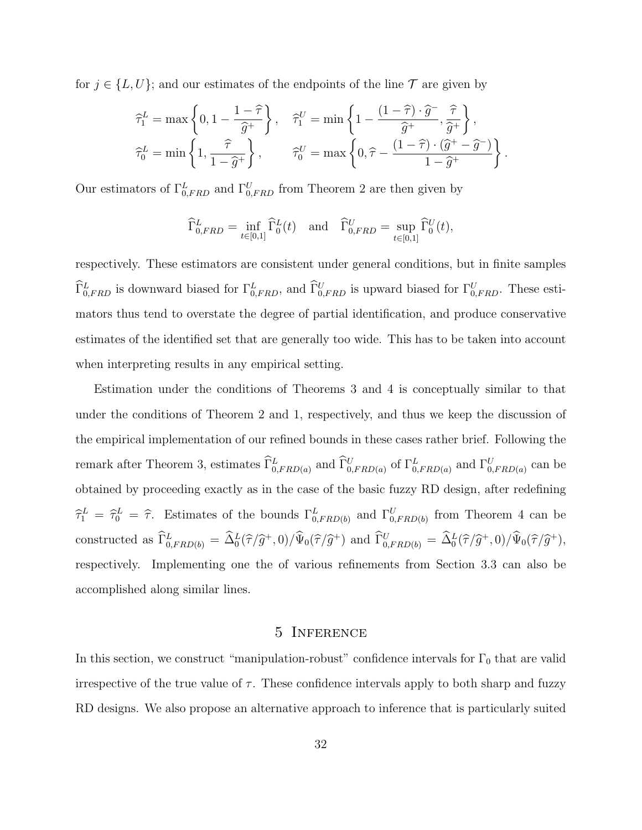for  $j \in \{L, U\}$ ; and our estimates of the endpoints of the line  $\mathcal T$  are given by

$$
\begin{aligned}\n\widehat{\tau}_1^L &= \max\left\{0, 1 - \frac{1 - \widehat{\tau}}{\widehat{g}^+}\right\}, \quad \widehat{\tau}_1^U = \min\left\{1 - \frac{\left(1 - \widehat{\tau}\right) \cdot \widehat{g}^-}{\widehat{g}^+}, \frac{\widehat{\tau}}{\widehat{g}^+}\right\}, \\
\widehat{\tau}_0^L &= \min\left\{1, \frac{\widehat{\tau}}{1 - \widehat{g}^+}\right\}, \quad \widehat{\tau}_0^U = \max\left\{0, \widehat{\tau} - \frac{\left(1 - \widehat{\tau}\right) \cdot \left(\widehat{g}^+ - \widehat{g}^-\right)}{1 - \widehat{g}^+}\right\}.\n\end{aligned}
$$

Our estimators of  $\Gamma^L_{0,FRD}$  and  $\Gamma^U_{0,FRD}$  from Theorem 2 are then given by

$$
\widehat{\Gamma}^L_{0,FRD} = \inf_{t \in [0,1]} \widehat{\Gamma}^L_0(t) \quad \text{and} \quad \widehat{\Gamma}^U_{0,FRD} = \sup_{t \in [0,1]} \widehat{\Gamma}^U_0(t),
$$

respectively. These estimators are consistent under general conditions, but in finite samples  $\widehat{\Gamma}_{0,FRD}^L$  is downward biased for  $\Gamma_{0,FRD}^L$ , and  $\widehat{\Gamma}_{0,FRD}^U$  is upward biased for  $\Gamma_{0,FRD}^U$ . These estimators thus tend to overstate the degree of partial identification, and produce conservative estimates of the identified set that are generally too wide. This has to be taken into account when interpreting results in any empirical setting.

Estimation under the conditions of Theorems 3 and 4 is conceptually similar to that under the conditions of Theorem 2 and 1, respectively, and thus we keep the discussion of the empirical implementation of our refined bounds in these cases rather brief. Following the remark after Theorem 3, estimates  $\widehat{\Gamma}^L_{0,FRD(a)}$  and  $\widehat{\Gamma}^U_{0,FRD(a)}$  of  $\Gamma^L_{0,FRD(a)}$  and  $\Gamma^U_{0,FRD(a)}$  can be obtained by proceeding exactly as in the case of the basic fuzzy RD design, after redefining  $\hat{\tau}_1^L = \hat{\tau}_0^L = \hat{\tau}$ . Estimates of the bounds  $\Gamma^L_{0,FRD(b)}$  and  $\Gamma^U_{0,FRD(b)}$  from Theorem 4 can be constructed as  $\tilde{\Gamma}_{0,FRD(b)}^L = \tilde{\Delta}_0^L(\hat{\tau}/\hat{g}^+,0)/\tilde{\Psi}_0(\hat{\tau}/\hat{g}^+)$  and  $\tilde{\Gamma}_{0,FRD(b)}^U = \tilde{\Delta}_0^L(\hat{\tau}/\hat{g}^+,0)/\tilde{\Psi}_0(\hat{\tau}/\hat{g}^+),$ respectively. Implementing one the of various refinements from Section 3.3 can also be accomplished along similar lines.

## 5 Inference

In this section, we construct "manipulation-robust" confidence intervals for  $\Gamma_0$  that are valid irrespective of the true value of  $\tau$ . These confidence intervals apply to both sharp and fuzzy RD designs. We also propose an alternative approach to inference that is particularly suited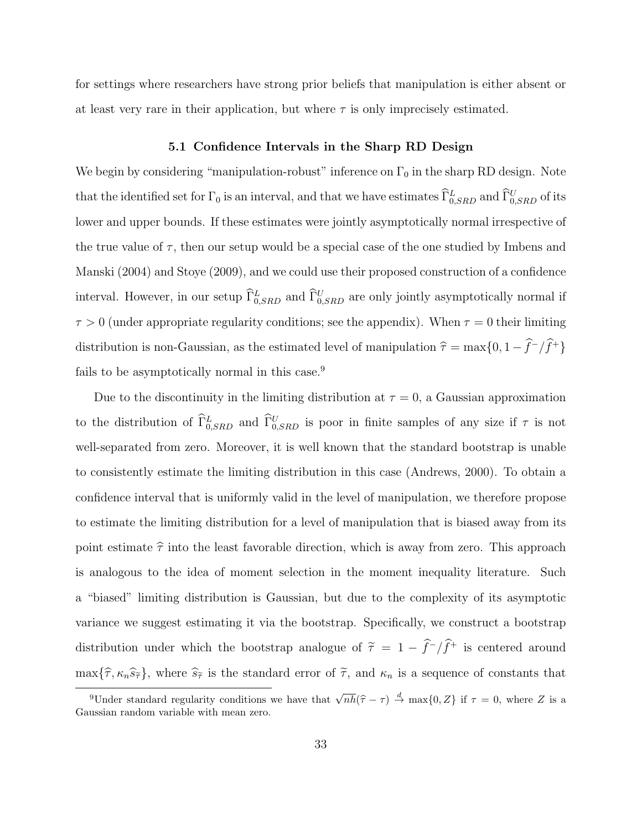for settings where researchers have strong prior beliefs that manipulation is either absent or at least very rare in their application, but where  $\tau$  is only imprecisely estimated.

## **5.1 Confidence Intervals in the Sharp RD Design**

We begin by considering "manipulation-robust" inference on  $\Gamma_0$  in the sharp RD design. Note that the identified set for  $\Gamma_0$  is an interval, and that we have estimates  $\widehat{\Gamma}^L_{0,SRD}$  and  $\widehat{\Gamma}^U_{0,SRD}$  of its lower and upper bounds. If these estimates were jointly asymptotically normal irrespective of the true value of  $\tau$ , then our setup would be a special case of the one studied by Imbens and Manski (2004) and Stoye (2009), and we could use their proposed construction of a confidence interval. However, in our setup  $\hat{\Gamma}_{0,SRD}^{L}$  and  $\hat{\Gamma}_{0,SRD}^{U}$  are only jointly asymptotically normal if  $\tau > 0$  (under appropriate regularity conditions; see the appendix). When  $\tau = 0$  their limiting distribution is non-Gaussian, as the estimated level of manipulation  $\hat{\tau} = \max\{0, 1 - \hat{f}^{-}/\hat{f}^{+}\}$ fails to be asymptotically normal in this case.<sup>9</sup>

Due to the discontinuity in the limiting distribution at  $\tau = 0$ , a Gaussian approximation to the distribution of  $\hat{\Gamma}_{0,SRD}^L$  and  $\hat{\Gamma}_{0,SRD}^U$  is poor in finite samples of any size if  $\tau$  is not well-separated from zero. Moreover, it is well known that the standard bootstrap is unable to consistently estimate the limiting distribution in this case (Andrews, 2000). To obtain a confidence interval that is uniformly valid in the level of manipulation, we therefore propose to estimate the limiting distribution for a level of manipulation that is biased away from its point estimate  $\hat{\tau}$  into the least favorable direction, which is away from zero. This approach is analogous to the idea of moment selection in the moment inequality literature. Such a "biased" limiting distribution is Gaussian, but due to the complexity of its asymptotic variance we suggest estimating it via the bootstrap. Specifically, we construct a bootstrap distribution under which the bootstrap analogue of  $\tilde{\tau} = 1 - \hat{f}$ <sup>-</sup>/ $\hat{f}$ <sup>+</sup> is centered around  $\max{\{\hat{\tau}, \kappa_n \hat{s}_{\hat{\tau}}\}}$ , where  $\hat{s}_{\hat{\tau}}$  is the standard error of  $\tilde{\tau}$ , and  $\kappa_n$  is a sequence of constants that

<sup>&</sup>lt;sup>9</sup>Under standard regularity conditions we have that  $\sqrt{n}h(\hat{\tau}-\tau) \stackrel{d}{\to} \max\{0,Z\}$  if  $\tau=0$ , where *Z* is a ussian random variable with mean zero. Gaussian random variable with mean zero.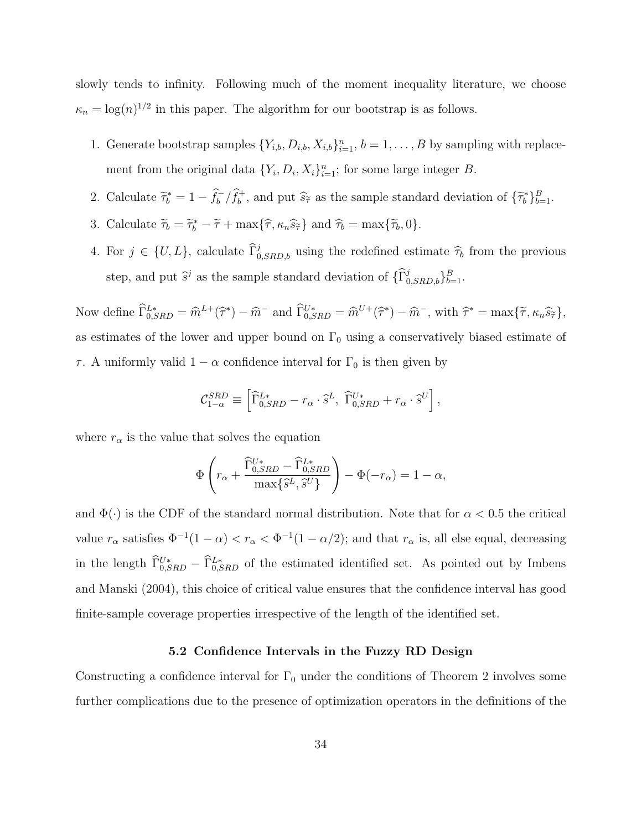slowly tends to infinity. Following much of the moment inequality literature, we choose  $\kappa_n = \log(n)^{1/2}$  in this paper. The algorithm for our bootstrap is as follows.

- 1. Generate bootstrap samples  $\{Y_{i,b}, D_{i,b}, X_{i,b}\}_{i=1}^n$ ,  $b = 1, \ldots, B$  by sampling with replacement from the original data  $\{Y_i, D_i, X_i\}_{i=1}^n$ ; for some large integer *B*.
- 2. Calculate  $\tilde{\tau}_b^* = 1 \hat{f}_b^- / \hat{f}_b^+$ , and put  $\hat{s}_{\tilde{\tau}}$  as the sample standard deviation of  $\{\tilde{\tau}_b^*\}_{b=1}^B$ .
- 3. Calculate  $\widetilde{\tau}_b = \widetilde{\tau}_b^* \widetilde{\tau} + \max{\lbrace \widehat{\tau}, \kappa_n \widehat{s}_{\widetilde{\tau}} \rbrace}$  and  $\widehat{\tau}_b = \max{\lbrace \widetilde{\tau}_b, 0 \rbrace}$ .
- 4. For  $j \in \{U, L\}$ , calculate  $\hat{\Gamma}_{0,SRD,b}^{j}$  using the redefined estimate  $\hat{\tau}_{b}$  from the previous step, and put  $\hat{s}^j$  as the sample standard deviation of  $\{\widehat{\Gamma}^j_{0,SRD,b}\}_{b=1}^B$ .

Now define  $\widehat{\Gamma}_{0,SRD}^{L*} = \widehat{m}^{L+}(\widehat{\tau}^*) - \widehat{m}^-$  and  $\widehat{\Gamma}_{0,SRD}^{U*} = \widehat{m}^{U+}(\widehat{\tau}^*) - \widehat{m}^-$ , with  $\widehat{\tau}^* = \max{\{\widetilde{\tau}, \kappa_n \widehat{s}_{\widetilde{\tau}}\}},$ as estimates of the lower and upper bound on  $\Gamma_0$  using a conservatively biased estimate of *τ*. A uniformly valid  $1 - \alpha$  confidence interval for  $\Gamma_0$  is then given by

$$
\mathcal{C}_{1-\alpha}^{SRD} \equiv \left[ \widehat{\Gamma}_{0,SRD}^{L*} - r_{\alpha} \cdot \widehat{s}^{L}, \ \widehat{\Gamma}_{0,SRD}^{U*} + r_{\alpha} \cdot \widehat{s}^{U} \right],
$$

where  $r_{\alpha}$  is the value that solves the equation

$$
\Phi\left(r_{\alpha} + \frac{\widehat{\Gamma}_{0,SRD}^{U*} - \widehat{\Gamma}_{0,SRD}^{L*}}{\max\{\widehat{s}^L, \widehat{s}^U\}}\right) - \Phi(-r_{\alpha}) = 1 - \alpha,
$$

and  $\Phi(\cdot)$  is the CDF of the standard normal distribution. Note that for  $\alpha < 0.5$  the critical value  $r_{\alpha}$  satisfies  $\Phi^{-1}(1-\alpha) < r_{\alpha} < \Phi^{-1}(1-\alpha/2)$ ; and that  $r_{\alpha}$  is, all else equal, decreasing in the length  $\tilde{\Gamma}_{0,SRD}^{U*} - \tilde{\Gamma}_{0,SRD}^{L*}$  of the estimated identified set. As pointed out by Imbens and Manski (2004), this choice of critical value ensures that the confidence interval has good finite-sample coverage properties irrespective of the length of the identified set.

## **5.2 Confidence Intervals in the Fuzzy RD Design**

Constructing a confidence interval for  $\Gamma_0$  under the conditions of Theorem 2 involves some further complications due to the presence of optimization operators in the definitions of the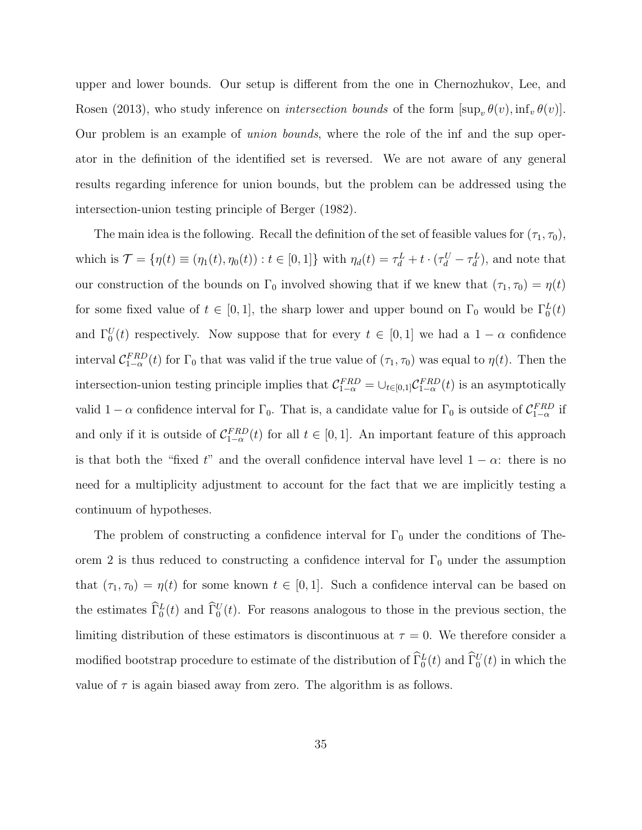upper and lower bounds. Our setup is different from the one in Chernozhukov, Lee, and Rosen (2013), who study inference on *intersection bounds* of the form  $[\sup_v \theta(v), \inf_v \theta(v)]$ . Our problem is an example of *union bounds*, where the role of the inf and the sup operator in the definition of the identified set is reversed. We are not aware of any general results regarding inference for union bounds, but the problem can be addressed using the intersection-union testing principle of Berger (1982).

The main idea is the following. Recall the definition of the set of feasible values for  $(\tau_1, \tau_0)$ , which is  $\mathcal{T} = \{\eta(t) \equiv (\eta_1(t), \eta_0(t)) : t \in [0, 1]\}\$ with  $\eta_d(t) = \tau_d^L + t \cdot (\tau_d^U - \tau_d^L)$ , and note that our construction of the bounds on  $\Gamma_0$  involved showing that if we knew that  $(\tau_1, \tau_0) = \eta(t)$ for some fixed value of  $t \in [0,1]$ , the sharp lower and upper bound on  $\Gamma_0$  would be  $\Gamma_0^L(t)$ and  $\Gamma_0^U(t)$  respectively. Now suppose that for every  $t \in [0,1]$  we had a  $1-\alpha$  confidence interval  $C_{1-\alpha}^{FRD}(t)$  for  $\Gamma_0$  that was valid if the true value of  $(\tau_1, \tau_0)$  was equal to  $\eta(t)$ . Then the intersection-union testing principle implies that  $C_{1-\alpha}^{FRD} = \bigcup_{t \in [0,1]} C_{1-\alpha}^{FRD}(t)$  is an asymptotically valid  $1 - \alpha$  confidence interval for  $\Gamma_0$ . That is, a candidate value for  $\Gamma_0$  is outside of  $C_{1-\alpha}^{FRD}$  if and only if it is outside of  $C_{1-\alpha}^{FRD}(t)$  for all  $t \in [0,1]$ . An important feature of this approach is that both the "fixed  $t$ " and the overall confidence interval have level  $1 - \alpha$ : there is no need for a multiplicity adjustment to account for the fact that we are implicitly testing a continuum of hypotheses.

The problem of constructing a confidence interval for  $\Gamma_0$  under the conditions of Theorem 2 is thus reduced to constructing a confidence interval for  $\Gamma_0$  under the assumption that  $(\tau_1, \tau_0) = \eta(t)$  for some known  $t \in [0, 1]$ . Such a confidence interval can be based on the estimates  $\hat{\Gamma}_0^L(t)$  and  $\hat{\Gamma}_0^U(t)$ . For reasons analogous to those in the previous section, the limiting distribution of these estimators is discontinuous at  $\tau = 0$ . We therefore consider a modified bootstrap procedure to estimate of the distribution of  $\Gamma_0^L(t)$  and  $\Gamma_0^U(t)$  in which the value of  $\tau$  is again biased away from zero. The algorithm is as follows.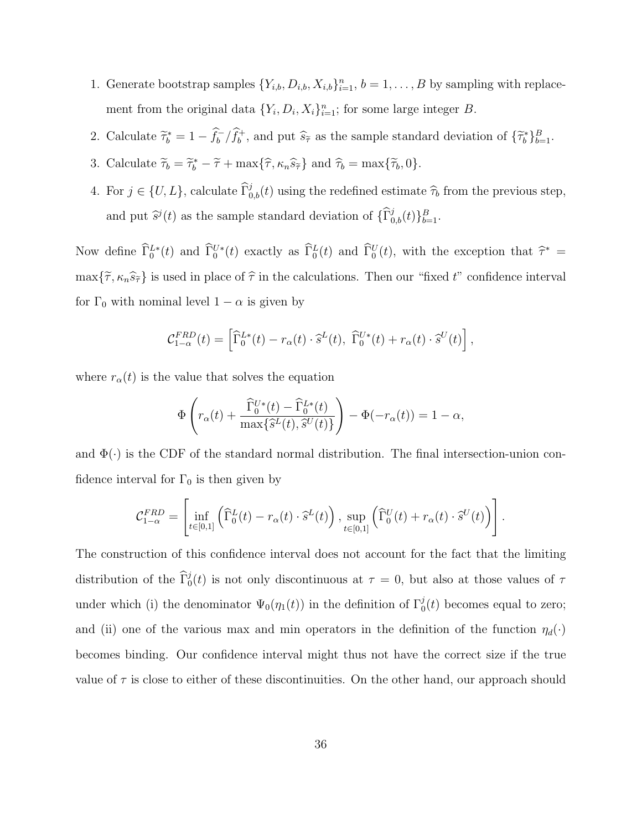- 1. Generate bootstrap samples  $\{Y_{i,b}, D_{i,b}, X_{i,b}\}_{i=1}^n$ ,  $b = 1, \ldots, B$  by sampling with replacement from the original data  $\{Y_i, D_i, X_i\}_{i=1}^n$ ; for some large integer *B*.
- 2. Calculate  $\tilde{\tau}_b^* = 1 \hat{f}_b^- / \hat{f}_b^+$ , and put  $\hat{s}_{\tilde{\tau}}$  as the sample standard deviation of  $\{\tilde{\tau}_b^*\}_{b=1}^B$ .
- 3. Calculate  $\widetilde{\tau}_b = \widetilde{\tau}_b^* \widetilde{\tau} + \max{\lbrace \widehat{\tau}, \kappa_n \widehat{s}_{\widetilde{\tau}} \rbrace}$  and  $\widehat{\tau}_b = \max{\lbrace \widetilde{\tau}_b, 0 \rbrace}$ .
- 4. For  $j \in \{U, L\}$ , calculate  $\widehat{\Gamma}_{0,b}^j(t)$  using the redefined estimate  $\widehat{\tau}_b$  from the previous step, and put  $\hat{s}^j(t)$  as the sample standard deviation of  $\{\widehat{\Gamma}^j_{0,b}(t)\}_{b=1}^B$ .

Now define  $\hat{\Gamma}_0^{L*}(t)$  and  $\hat{\Gamma}_0^{U*}(t)$  exactly as  $\hat{\Gamma}_0^{L}(t)$  and  $\hat{\Gamma}_0^{U}(t)$ , with the exception that  $\hat{\tau}^*$  =  $\max{\{\tilde{\tau}, \kappa_n \hat{s}_{\tilde{\tau}}\}}$  is used in place of  $\hat{\tau}$  in the calculations. Then our "fixed *t*" confidence interval for  $\Gamma_0$  with nominal level  $1 - \alpha$  is given by

$$
\mathcal{C}_{1-\alpha}^{FRD}(t) = \left[ \widehat{\Gamma}_0^{L*}(t) - r_\alpha(t) \cdot \widehat{s}^L(t), \ \widehat{\Gamma}_0^{U*}(t) + r_\alpha(t) \cdot \widehat{s}^U(t) \right],
$$

where  $r_\alpha(t)$  is the value that solves the equation

$$
\Phi\left(r_{\alpha}(t) + \frac{\widehat{\Gamma}_{0}^{U*}(t) - \widehat{\Gamma}_{0}^{L*}(t)}{\max\{\widehat{s}^{L}(t), \widehat{s}^{U}(t)\}}\right) - \Phi(-r_{\alpha}(t)) = 1 - \alpha,
$$

and  $\Phi(\cdot)$  is the CDF of the standard normal distribution. The final intersection-union confidence interval for  $\Gamma_0$  is then given by

$$
\mathcal{C}_{1-\alpha}^{FRD} = \left[ \inf_{t \in [0,1]} \left( \widehat{\Gamma}_0^L(t) - r_\alpha(t) \cdot \widehat{s}^L(t) \right), \sup_{t \in [0,1]} \left( \widehat{\Gamma}_0^U(t) + r_\alpha(t) \cdot \widehat{s}^U(t) \right) \right].
$$

The construction of this confidence interval does not account for the fact that the limiting distribution of the  $\hat{\Gamma}_0^j(t)$  is not only discontinuous at  $\tau = 0$ , but also at those values of  $\tau$ under which (i) the denominator  $\Psi_0(\eta_1(t))$  in the definition of  $\Gamma_0^j(t)$  becomes equal to zero; and (ii) one of the various max and min operators in the definition of the function  $\eta_d(\cdot)$ becomes binding. Our confidence interval might thus not have the correct size if the true value of  $\tau$  is close to either of these discontinuities. On the other hand, our approach should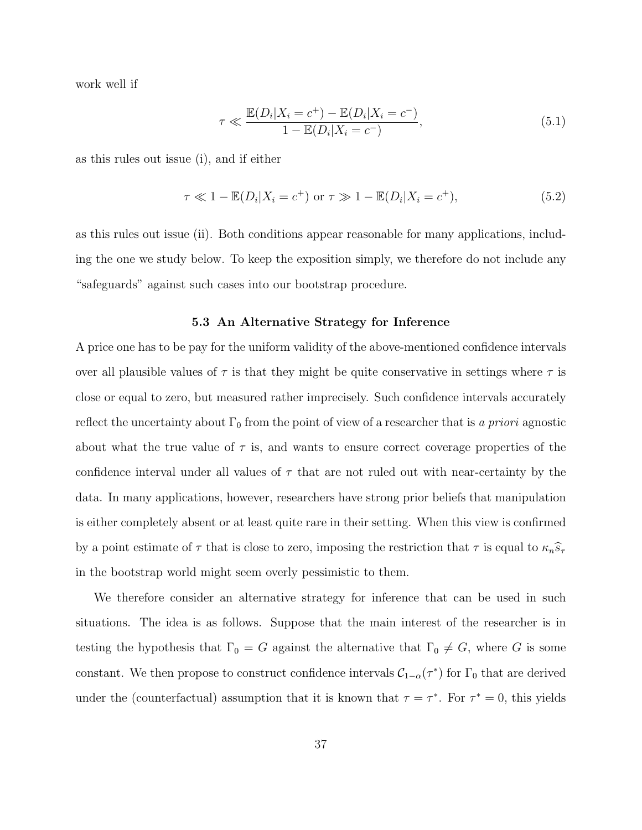work well if

$$
\tau \ll \frac{\mathbb{E}(D_i|X_i = c^+) - \mathbb{E}(D_i|X_i = c^-)}{1 - \mathbb{E}(D_i|X_i = c^-)},
$$
\n(5.1)

as this rules out issue (i), and if either

$$
\tau \ll 1 - \mathbb{E}(D_i | X_i = c^+)
$$
 or  $\tau \gg 1 - \mathbb{E}(D_i | X_i = c^+),$  (5.2)

as this rules out issue (ii). Both conditions appear reasonable for many applications, including the one we study below. To keep the exposition simply, we therefore do not include any "safeguards" against such cases into our bootstrap procedure.

## **5.3 An Alternative Strategy for Inference**

A price one has to be pay for the uniform validity of the above-mentioned confidence intervals over all plausible values of  $\tau$  is that they might be quite conservative in settings where  $\tau$  is close or equal to zero, but measured rather imprecisely. Such confidence intervals accurately reflect the uncertainty about  $\Gamma_0$  from the point of view of a researcher that is *a priori* agnostic about what the true value of  $\tau$  is, and wants to ensure correct coverage properties of the confidence interval under all values of *τ* that are not ruled out with near-certainty by the data. In many applications, however, researchers have strong prior beliefs that manipulation is either completely absent or at least quite rare in their setting. When this view is confirmed by a point estimate of  $\tau$  that is close to zero, imposing the restriction that  $\tau$  is equal to  $\kappa_n \hat{s}_\tau$ in the bootstrap world might seem overly pessimistic to them.

We therefore consider an alternative strategy for inference that can be used in such situations. The idea is as follows. Suppose that the main interest of the researcher is in testing the hypothesis that  $\Gamma_0 = G$  against the alternative that  $\Gamma_0 \neq G$ , where *G* is some constant. We then propose to construct confidence intervals  $C_{1-\alpha}(\tau^*)$  for  $\Gamma_0$  that are derived under the (counterfactual) assumption that it is known that  $\tau = \tau^*$ . For  $\tau^* = 0$ , this yields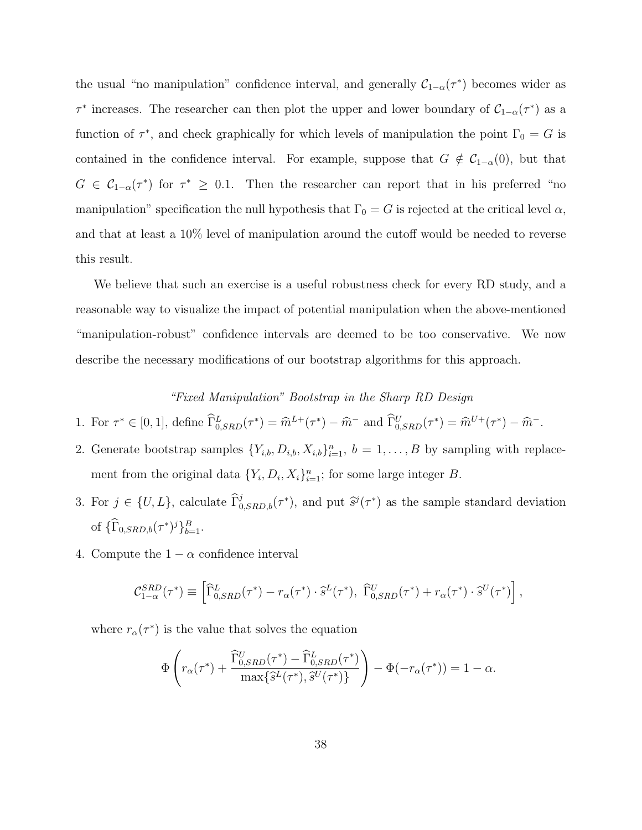the usual "no manipulation" confidence interval, and generally  $C_{1-\alpha}(\tau^*)$  becomes wider as *τ*<sup>\*</sup> increases. The researcher can then plot the upper and lower boundary of  $C_{1-\alpha}(\tau^*)$  as a function of  $\tau^*$ , and check graphically for which levels of manipulation the point  $\Gamma_0 = G$  is contained in the confidence interval. For example, suppose that  $G \notin C_{1-\alpha}(0)$ , but that  $G \in C_{1-\alpha}(\tau^*)$  for  $\tau^* \geq 0.1$ . Then the researcher can report that in his preferred "no manipulation" specification the null hypothesis that  $\Gamma_0 = G$  is rejected at the critical level  $\alpha$ , and that at least a 10% level of manipulation around the cutoff would be needed to reverse this result.

We believe that such an exercise is a useful robustness check for every RD study, and a reasonable way to visualize the impact of potential manipulation when the above-mentioned "manipulation-robust" confidence intervals are deemed to be too conservative. We now describe the necessary modifications of our bootstrap algorithms for this approach.

## *"Fixed Manipulation" Bootstrap in the Sharp RD Design*

- 1. For  $\tau^* \in [0,1]$ , define  $\widehat{\Gamma}_{0,SRD}^L(\tau^*) = \widehat{m}^{L+}(\tau^*) \widehat{m}^-$  and  $\widehat{\Gamma}_{0,SRD}^U(\tau^*) = \widehat{m}^{U+}(\tau^*) \widehat{m}^-$ .
- 2. Generate bootstrap samples  $\{Y_{i,b}, D_{i,b}, X_{i,b}\}_{i=1}^n$ ,  $b = 1, \ldots, B$  by sampling with replacement from the original data  $\{Y_i, D_i, X_i\}_{i=1}^n$ ; for some large integer *B*.
- 3. For  $j \in \{U, L\}$ , calculate  $\widehat{\Gamma}_{0,SRD,b}^j(\tau^*)$ , and put  $\widehat{s}^j(\tau^*)$  as the sample standard deviation of  ${\{\widehat{\Gamma}_{0,SRD,b}(\tau^*)^j\}}_{b=1}^B$ .
- 4. Compute the  $1 \alpha$  confidence interval

$$
\mathcal{C}_{1-\alpha}^{SRD}(\tau^*) \equiv \left[ \widehat{\Gamma}_{0,SRD}^L(\tau^*) - r_\alpha(\tau^*) \cdot \widehat{s}^L(\tau^*), \ \widehat{\Gamma}_{0,SRD}^U(\tau^*) + r_\alpha(\tau^*) \cdot \widehat{s}^U(\tau^*) \right],
$$

where  $r_{\alpha}(\tau^*)$  is the value that solves the equation

$$
\Phi\left(r_{\alpha}(\tau^*) + \frac{\widehat{\Gamma}_{0,SRD}^U(\tau^*) - \widehat{\Gamma}_{0,SRD}^L(\tau^*)}{\max\{\widehat{s}^L(\tau^*), \widehat{s}^U(\tau^*)\}}\right) - \Phi(-r_{\alpha}(\tau^*)) = 1 - \alpha.
$$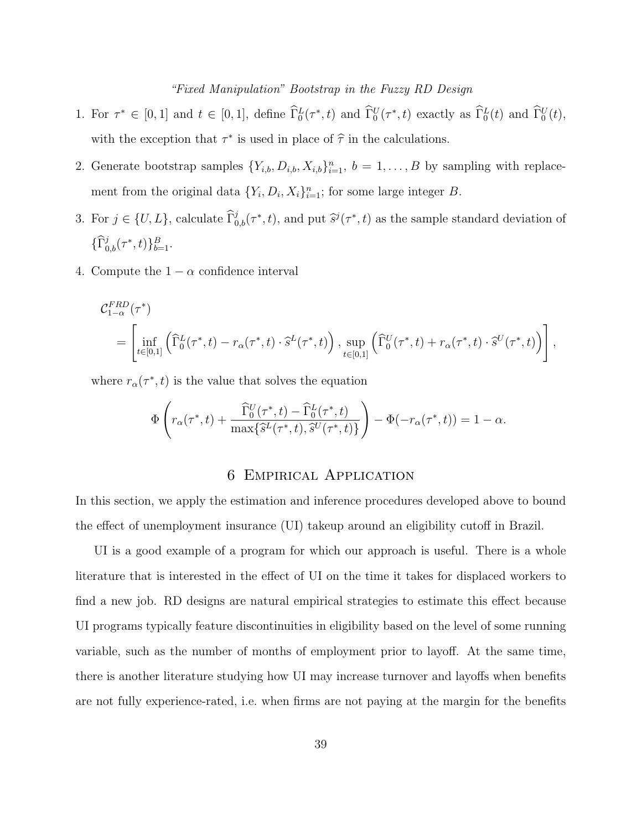## *"Fixed Manipulation" Bootstrap in the Fuzzy RD Design*

- 1. For  $\tau^* \in [0,1]$  and  $t \in [0,1]$ , define  $\tilde{\Gamma}_0^L(\tau^*, t)$  and  $\tilde{\Gamma}_0^U(\tau^*, t)$  exactly as  $\tilde{\Gamma}_0^L(t)$  and  $\tilde{\Gamma}_0^U(t)$ , with the exception that  $\tau^*$  is used in place of  $\hat{\tau}$  in the calculations.
- 2. Generate bootstrap samples  $\{Y_{i,b}, D_{i,b}, X_{i,b}\}_{i=1}^n$ ,  $b = 1, \ldots, B$  by sampling with replacement from the original data  $\{Y_i, D_i, X_i\}_{i=1}^n$ ; for some large integer *B*.
- 3. For  $j \in \{U, L\}$ , calculate  $\widehat{\Gamma}_{0,b}^j(\tau^*, t)$ , and put  $\widehat{s}^j(\tau^*, t)$  as the sample standard deviation of  ${\{\widehat{\Gamma}_{0,b}^j(\tau^*,t)\}_{b=1}^B}.$
- 4. Compute the  $1 \alpha$  confidence interval

$$
\begin{split} &\mathcal{C}^{FRD}_{1-\alpha}(\tau^*) \\ &= \left[\inf_{t\in[0,1]}\left(\widehat{\Gamma}^L_0(\tau^*,t)-r_\alpha(\tau^*,t)\cdot \widehat{s}^L(\tau^*,t)\right), \sup_{t\in[0,1]}\left(\widehat{\Gamma}^U_0(\tau^*,t)+r_\alpha(\tau^*,t)\cdot \widehat{s}^U(\tau^*,t)\right)\right], \end{split}
$$

where  $r_{\alpha}(\tau^*, t)$  is the value that solves the equation

$$
\Phi\left(r_{\alpha}(\tau^*,t) + \frac{\widehat{\Gamma}_0^U(\tau^*,t) - \widehat{\Gamma}_0^L(\tau^*,t)}{\max\{\widehat{s}^L(\tau^*,t),\widehat{s}^U(\tau^*,t)\}}\right) - \Phi(-r_{\alpha}(\tau^*,t)) = 1 - \alpha.
$$

## 6 Empirical Application

In this section, we apply the estimation and inference procedures developed above to bound the effect of unemployment insurance (UI) takeup around an eligibility cutoff in Brazil.

UI is a good example of a program for which our approach is useful. There is a whole literature that is interested in the effect of UI on the time it takes for displaced workers to find a new job. RD designs are natural empirical strategies to estimate this effect because UI programs typically feature discontinuities in eligibility based on the level of some running variable, such as the number of months of employment prior to layoff. At the same time, there is another literature studying how UI may increase turnover and layoffs when benefits are not fully experience-rated, i.e. when firms are not paying at the margin for the benefits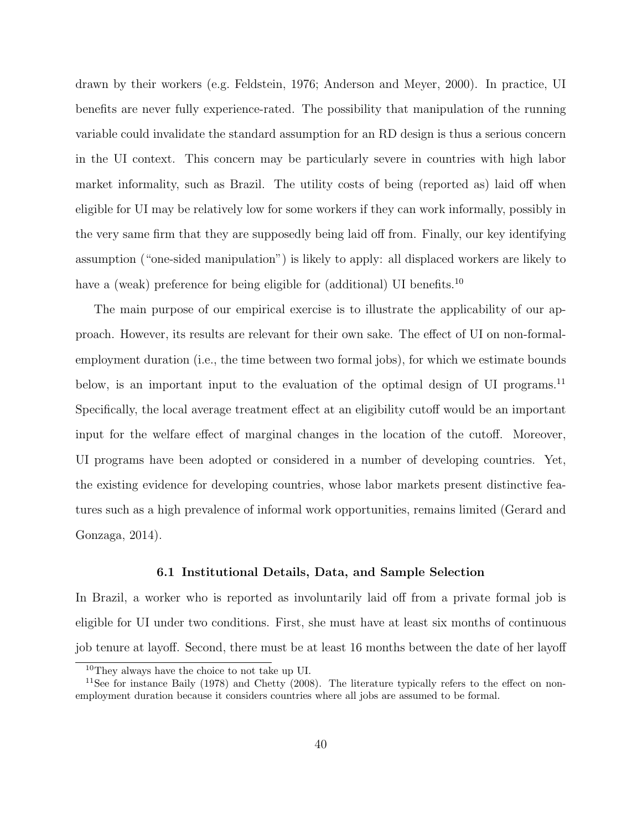drawn by their workers (e.g. Feldstein, 1976; Anderson and Meyer, 2000). In practice, UI benefits are never fully experience-rated. The possibility that manipulation of the running variable could invalidate the standard assumption for an RD design is thus a serious concern in the UI context. This concern may be particularly severe in countries with high labor market informality, such as Brazil. The utility costs of being (reported as) laid off when eligible for UI may be relatively low for some workers if they can work informally, possibly in the very same firm that they are supposedly being laid off from. Finally, our key identifying assumption ("one-sided manipulation") is likely to apply: all displaced workers are likely to have a (weak) preference for being eligible for (additional) UI benefits.<sup>10</sup>

The main purpose of our empirical exercise is to illustrate the applicability of our approach. However, its results are relevant for their own sake. The effect of UI on non-formalemployment duration (i.e., the time between two formal jobs), for which we estimate bounds below, is an important input to the evaluation of the optimal design of UI programs.<sup>11</sup> Specifically, the local average treatment effect at an eligibility cutoff would be an important input for the welfare effect of marginal changes in the location of the cutoff. Moreover, UI programs have been adopted or considered in a number of developing countries. Yet, the existing evidence for developing countries, whose labor markets present distinctive features such as a high prevalence of informal work opportunities, remains limited (Gerard and Gonzaga, 2014).

## **6.1 Institutional Details, Data, and Sample Selection**

In Brazil, a worker who is reported as involuntarily laid off from a private formal job is eligible for UI under two conditions. First, she must have at least six months of continuous job tenure at layoff. Second, there must be at least 16 months between the date of her layoff

<sup>10</sup>They always have the choice to not take up UI.

<sup>&</sup>lt;sup>11</sup>See for instance Baily (1978) and Chetty (2008). The literature typically refers to the effect on nonemployment duration because it considers countries where all jobs are assumed to be formal.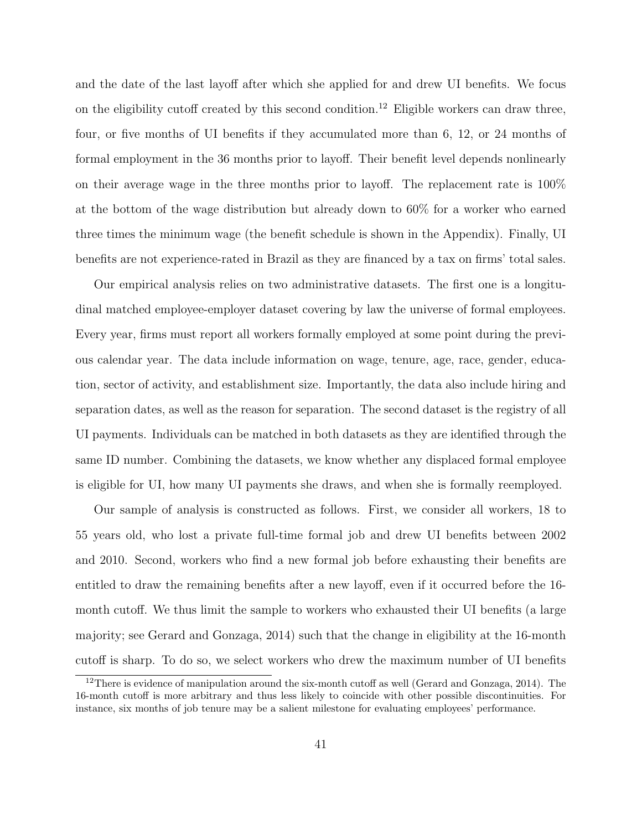and the date of the last layoff after which she applied for and drew UI benefits. We focus on the eligibility cutoff created by this second condition.<sup>12</sup> Eligible workers can draw three, four, or five months of UI benefits if they accumulated more than 6, 12, or 24 months of formal employment in the 36 months prior to layoff. Their benefit level depends nonlinearly on their average wage in the three months prior to layoff. The replacement rate is 100% at the bottom of the wage distribution but already down to 60% for a worker who earned three times the minimum wage (the benefit schedule is shown in the Appendix). Finally, UI benefits are not experience-rated in Brazil as they are financed by a tax on firms' total sales.

Our empirical analysis relies on two administrative datasets. The first one is a longitudinal matched employee-employer dataset covering by law the universe of formal employees. Every year, firms must report all workers formally employed at some point during the previous calendar year. The data include information on wage, tenure, age, race, gender, education, sector of activity, and establishment size. Importantly, the data also include hiring and separation dates, as well as the reason for separation. The second dataset is the registry of all UI payments. Individuals can be matched in both datasets as they are identified through the same ID number. Combining the datasets, we know whether any displaced formal employee is eligible for UI, how many UI payments she draws, and when she is formally reemployed.

Our sample of analysis is constructed as follows. First, we consider all workers, 18 to 55 years old, who lost a private full-time formal job and drew UI benefits between 2002 and 2010. Second, workers who find a new formal job before exhausting their benefits are entitled to draw the remaining benefits after a new layoff, even if it occurred before the 16 month cutoff. We thus limit the sample to workers who exhausted their UI benefits (a large majority; see Gerard and Gonzaga, 2014) such that the change in eligibility at the 16-month cutoff is sharp. To do so, we select workers who drew the maximum number of UI benefits

<sup>&</sup>lt;sup>12</sup>There is evidence of manipulation around the six-month cutoff as well (Gerard and Gonzaga, 2014). The 16-month cutoff is more arbitrary and thus less likely to coincide with other possible discontinuities. For instance, six months of job tenure may be a salient milestone for evaluating employees' performance.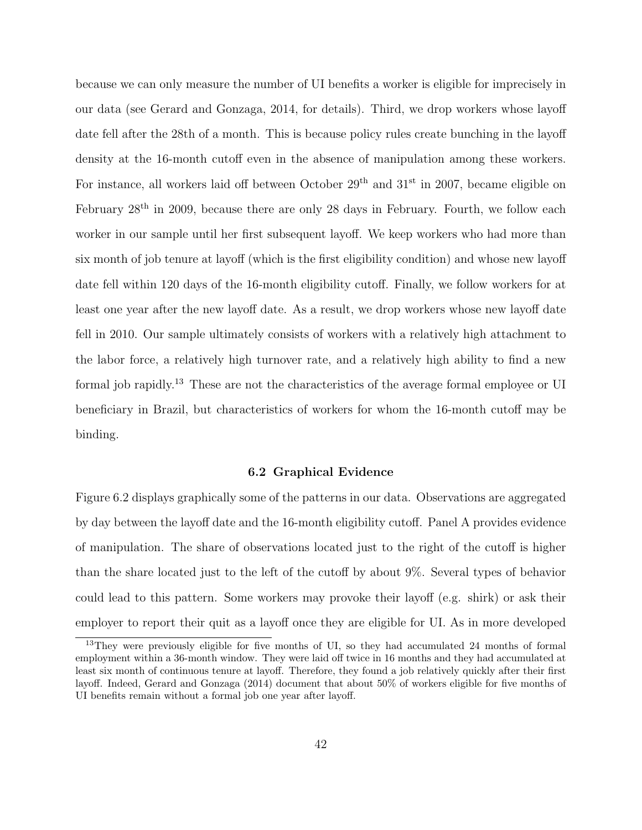because we can only measure the number of UI benefits a worker is eligible for imprecisely in our data (see Gerard and Gonzaga, 2014, for details). Third, we drop workers whose layoff date fell after the 28th of a month. This is because policy rules create bunching in the layoff density at the 16-month cutoff even in the absence of manipulation among these workers. For instance, all workers laid off between October  $29<sup>th</sup>$  and  $31<sup>st</sup>$  in 2007, became eligible on February  $28<sup>th</sup>$  in 2009, because there are only 28 days in February. Fourth, we follow each worker in our sample until her first subsequent layoff. We keep workers who had more than six month of job tenure at layoff (which is the first eligibility condition) and whose new layoff date fell within 120 days of the 16-month eligibility cutoff. Finally, we follow workers for at least one year after the new layoff date. As a result, we drop workers whose new layoff date fell in 2010. Our sample ultimately consists of workers with a relatively high attachment to the labor force, a relatively high turnover rate, and a relatively high ability to find a new formal job rapidly.<sup>13</sup> These are not the characteristics of the average formal employee or UI beneficiary in Brazil, but characteristics of workers for whom the 16-month cutoff may be binding.

## **6.2 Graphical Evidence**

Figure 6.2 displays graphically some of the patterns in our data. Observations are aggregated by day between the layoff date and the 16-month eligibility cutoff. Panel A provides evidence of manipulation. The share of observations located just to the right of the cutoff is higher than the share located just to the left of the cutoff by about 9%. Several types of behavior could lead to this pattern. Some workers may provoke their layoff (e.g. shirk) or ask their employer to report their quit as a layoff once they are eligible for UI. As in more developed

<sup>&</sup>lt;sup>13</sup>They were previously eligible for five months of UI, so they had accumulated 24 months of formal employment within a 36-month window. They were laid off twice in 16 months and they had accumulated at least six month of continuous tenure at layoff. Therefore, they found a job relatively quickly after their first layoff. Indeed, Gerard and Gonzaga (2014) document that about 50% of workers eligible for five months of UI benefits remain without a formal job one year after layoff.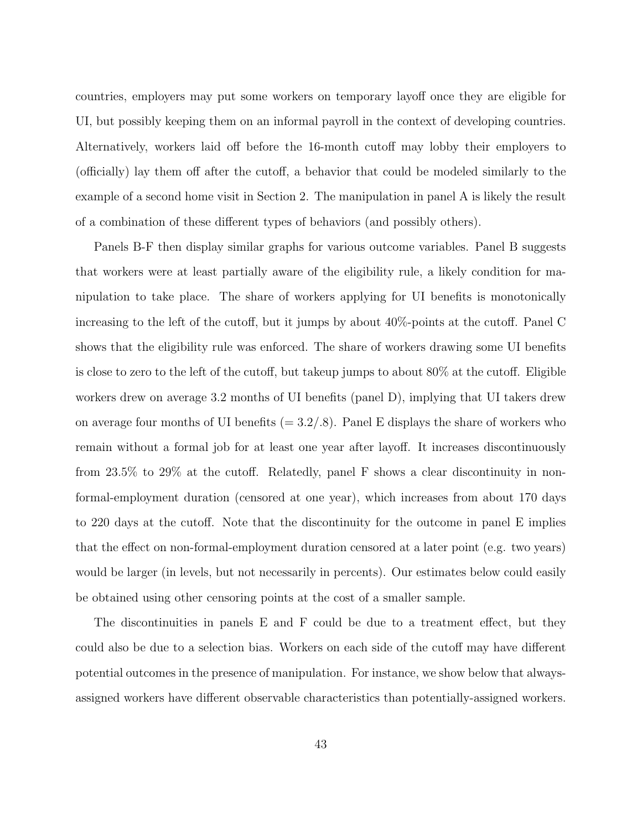countries, employers may put some workers on temporary layoff once they are eligible for UI, but possibly keeping them on an informal payroll in the context of developing countries. Alternatively, workers laid off before the 16-month cutoff may lobby their employers to (officially) lay them off after the cutoff, a behavior that could be modeled similarly to the example of a second home visit in Section 2. The manipulation in panel A is likely the result of a combination of these different types of behaviors (and possibly others).

Panels B-F then display similar graphs for various outcome variables. Panel B suggests that workers were at least partially aware of the eligibility rule, a likely condition for manipulation to take place. The share of workers applying for UI benefits is monotonically increasing to the left of the cutoff, but it jumps by about 40%-points at the cutoff. Panel C shows that the eligibility rule was enforced. The share of workers drawing some UI benefits is close to zero to the left of the cutoff, but takeup jumps to about 80% at the cutoff. Eligible workers drew on average 3.2 months of UI benefits (panel D), implying that UI takers drew on average four months of UI benefits  $(= 3.2/.8)$ . Panel E displays the share of workers who remain without a formal job for at least one year after layoff. It increases discontinuously from 23.5% to 29% at the cutoff. Relatedly, panel F shows a clear discontinuity in nonformal-employment duration (censored at one year), which increases from about 170 days to 220 days at the cutoff. Note that the discontinuity for the outcome in panel E implies that the effect on non-formal-employment duration censored at a later point (e.g. two years) would be larger (in levels, but not necessarily in percents). Our estimates below could easily be obtained using other censoring points at the cost of a smaller sample.

The discontinuities in panels E and F could be due to a treatment effect, but they could also be due to a selection bias. Workers on each side of the cutoff may have different potential outcomes in the presence of manipulation. For instance, we show below that alwaysassigned workers have different observable characteristics than potentially-assigned workers.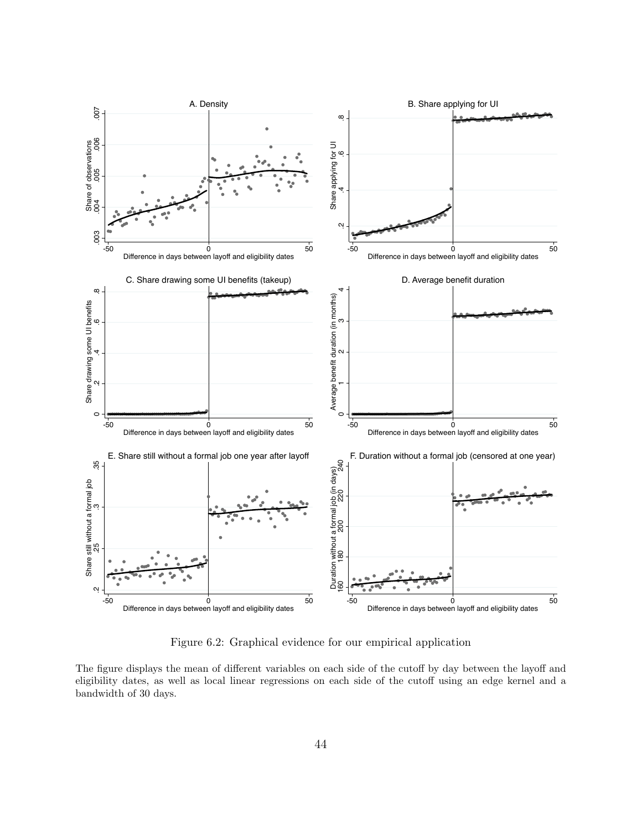

Figure 6.2: Graphical evidence for our empirical application

The figure displays the mean of different variables on each side of the cutoff by day between the layoff and eligibility dates, as well as local linear regressions on each side of the cutoff using an edge kernel and a bandwidth of 30 days.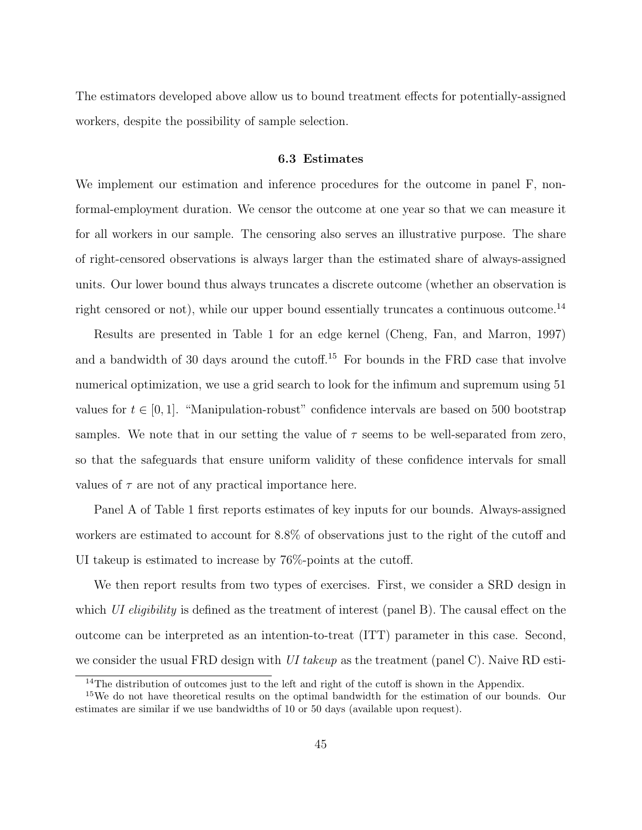The estimators developed above allow us to bound treatment effects for potentially-assigned workers, despite the possibility of sample selection.

## **6.3 Estimates**

We implement our estimation and inference procedures for the outcome in panel F, nonformal-employment duration. We censor the outcome at one year so that we can measure it for all workers in our sample. The censoring also serves an illustrative purpose. The share of right-censored observations is always larger than the estimated share of always-assigned units. Our lower bound thus always truncates a discrete outcome (whether an observation is right censored or not), while our upper bound essentially truncates a continuous outcome.<sup>14</sup>

Results are presented in Table 1 for an edge kernel (Cheng, Fan, and Marron, 1997) and a bandwidth of 30 days around the cutoff.<sup>15</sup> For bounds in the FRD case that involve numerical optimization, we use a grid search to look for the infimum and supremum using 51 values for  $t \in [0, 1]$ . "Manipulation-robust" confidence intervals are based on 500 bootstrap samples. We note that in our setting the value of  $\tau$  seems to be well-separated from zero, so that the safeguards that ensure uniform validity of these confidence intervals for small values of  $\tau$  are not of any practical importance here.

Panel A of Table 1 first reports estimates of key inputs for our bounds. Always-assigned workers are estimated to account for 8.8% of observations just to the right of the cutoff and UI takeup is estimated to increase by 76%-points at the cutoff.

We then report results from two types of exercises. First, we consider a SRD design in which *UI eligibility* is defined as the treatment of interest (panel B). The causal effect on the outcome can be interpreted as an intention-to-treat (ITT) parameter in this case. Second, we consider the usual FRD design with *UI takeup* as the treatment (panel C). Naive RD esti-

<sup>&</sup>lt;sup>14</sup>The distribution of outcomes just to the left and right of the cutoff is shown in the Appendix.

<sup>&</sup>lt;sup>15</sup>We do not have theoretical results on the optimal bandwidth for the estimation of our bounds. Our estimates are similar if we use bandwidths of 10 or 50 days (available upon request).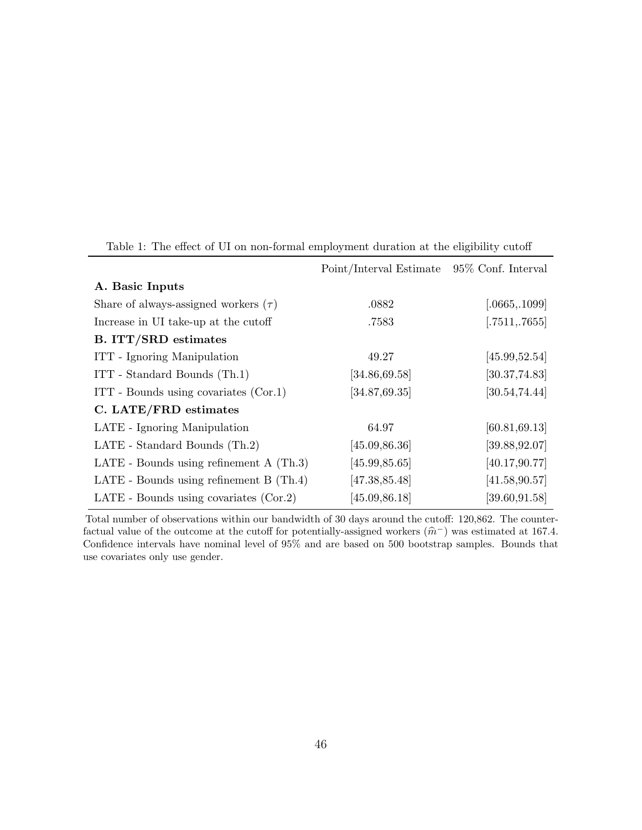|                                           | Point/Interval Estimate 95% Conf. Interval |                |
|-------------------------------------------|--------------------------------------------|----------------|
| A. Basic Inputs                           |                                            |                |
| Share of always-assigned workers $(\tau)$ | .0882                                      | [.0665, .1099] |
| Increase in UI take-up at the cutoff      | .7583                                      | [.7511, .7655] |
| <b>B.</b> ITT/SRD estimates               |                                            |                |
| ITT - Ignoring Manipulation               | 49.27                                      | [45.99, 52.54] |
| ITT - Standard Bounds (Th.1)              | [34.86, 69.58]                             | [30.37, 74.83] |
| ITT - Bounds using covariates (Cor.1)     | [34.87, 69.35]                             | [30.54, 74.44] |
| C. LATE/FRD estimates                     |                                            |                |
| LATE - Ignoring Manipulation              | 64.97                                      | [60.81, 69.13] |
| LATE - Standard Bounds (Th.2)             | [45.09, 86.36]                             | [39.88, 92.07] |
| LATE - Bounds using refinement $A(Th.3)$  | [45.99, 85.65]                             | [40.17, 90.77] |
| LATE - Bounds using refinement $B(Th.4)$  | [47.38, 85.48]                             | [41.58, 90.57] |
| LATE - Bounds using covariates $(Cor.2)$  | [45.09, 86.18]                             | [39.60, 91.58] |

Table 1: The effect of UI on non-formal employment duration at the eligibility cutoff

Total number of observations within our bandwidth of 30 days around the cutoff: 120,862. The counterfactual value of the outcome at the cutoff for potentially-assigned workers  $(\hat{m}^-)$  was estimated at 167.4.<br>Confidence intervals have nominal level of 95% and are based on 500 bootstrap samples. Bounds that Confidence intervals have nominal level of 95% and are based on 500 bootstrap samples. Bounds that use covariates only use gender.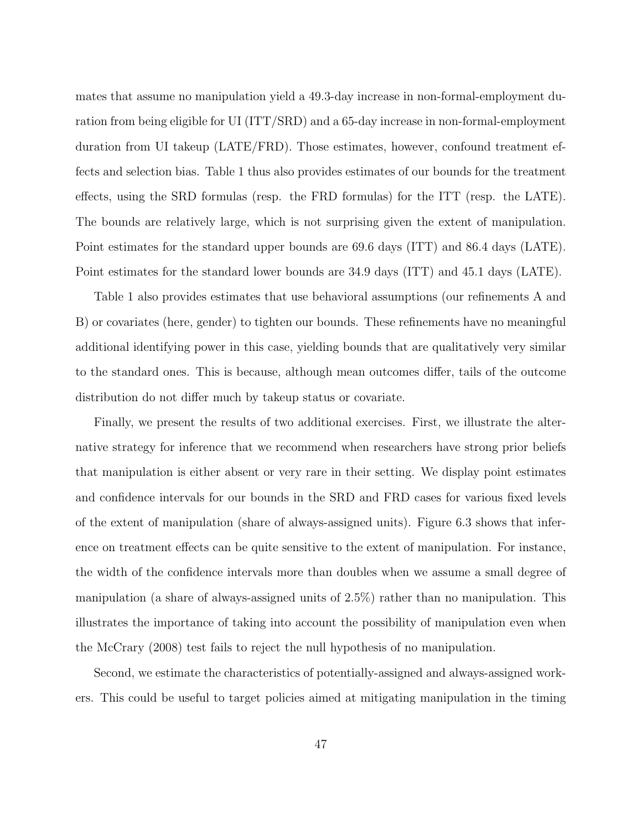mates that assume no manipulation yield a 49.3-day increase in non-formal-employment duration from being eligible for UI (ITT/SRD) and a 65-day increase in non-formal-employment duration from UI takeup (LATE/FRD). Those estimates, however, confound treatment effects and selection bias. Table 1 thus also provides estimates of our bounds for the treatment effects, using the SRD formulas (resp. the FRD formulas) for the ITT (resp. the LATE). The bounds are relatively large, which is not surprising given the extent of manipulation. Point estimates for the standard upper bounds are 69.6 days (ITT) and 86.4 days (LATE). Point estimates for the standard lower bounds are 34.9 days (ITT) and 45.1 days (LATE).

Table 1 also provides estimates that use behavioral assumptions (our refinements A and B) or covariates (here, gender) to tighten our bounds. These refinements have no meaningful additional identifying power in this case, yielding bounds that are qualitatively very similar to the standard ones. This is because, although mean outcomes differ, tails of the outcome distribution do not differ much by takeup status or covariate.

Finally, we present the results of two additional exercises. First, we illustrate the alternative strategy for inference that we recommend when researchers have strong prior beliefs that manipulation is either absent or very rare in their setting. We display point estimates and confidence intervals for our bounds in the SRD and FRD cases for various fixed levels of the extent of manipulation (share of always-assigned units). Figure 6.3 shows that inference on treatment effects can be quite sensitive to the extent of manipulation. For instance, the width of the confidence intervals more than doubles when we assume a small degree of manipulation (a share of always-assigned units of 2.5%) rather than no manipulation. This illustrates the importance of taking into account the possibility of manipulation even when the McCrary (2008) test fails to reject the null hypothesis of no manipulation.

Second, we estimate the characteristics of potentially-assigned and always-assigned workers. This could be useful to target policies aimed at mitigating manipulation in the timing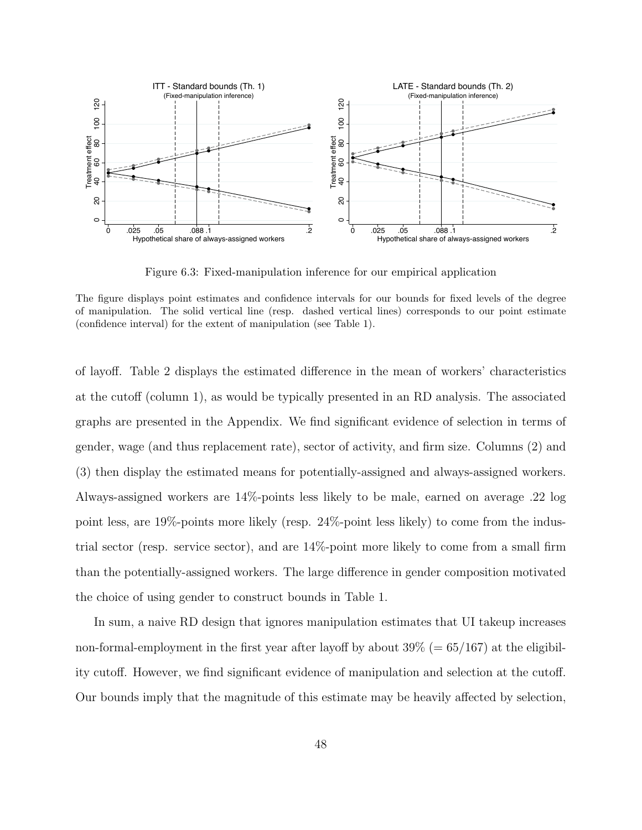

Figure 6.3: Fixed-manipulation inference for our empirical application

of layoff. Table 2 displays the estimated difference in the mean of workers' characteristics at the cutoff (column 1), as would be typically presented in an RD analysis. The associated graphs are presented in the Appendix. We find significant evidence of selection in terms of gender, wage (and thus replacement rate), sector of activity, and firm size. Columns (2) and (3) then display the estimated means for potentially-assigned and always-assigned workers. Always-assigned workers are 14%-points less likely to be male, earned on average .22 log point less, are 19%-points more likely (resp. 24%-point less likely) to come from the industrial sector (resp. service sector), and are 14%-point more likely to come from a small firm than the potentially-assigned workers. The large difference in gender composition motivated the choice of using gender to construct bounds in Table 1.

In sum, a naive RD design that ignores manipulation estimates that UI takeup increases non-formal-employment in the first year after layoff by about 39% (= 65*/*167) at the eligibility cutoff. However, we find significant evidence of manipulation and selection at the cutoff. Our bounds imply that the magnitude of this estimate may be heavily affected by selection,

The figure displays point estimates and confidence intervals for our bounds for fixed levels of the degree of manipulation. The solid vertical line (resp. dashed vertical lines) corresponds to our point estimate (confidence interval) for the extent of manipulation (see Table 1).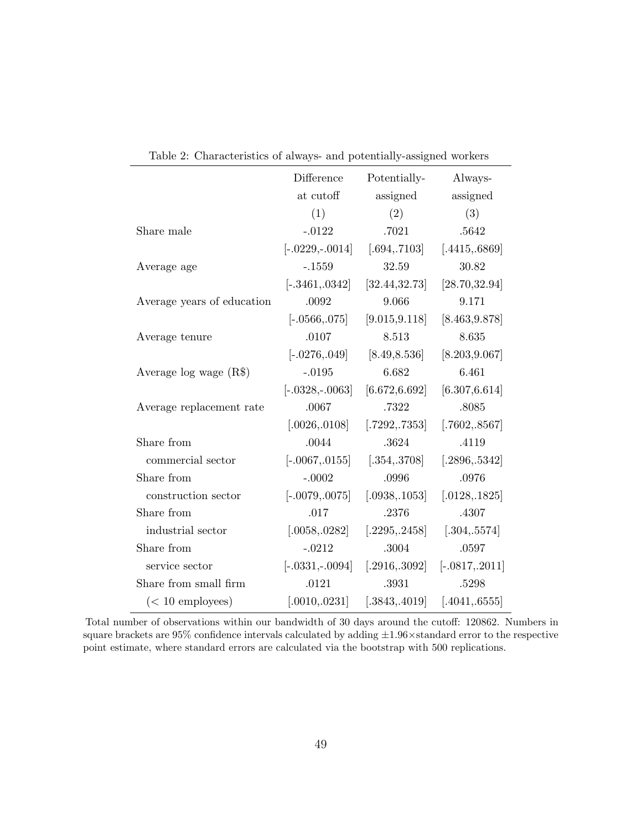| Characteristics of armage and potentially assigned morners |                                   |                |                   |
|------------------------------------------------------------|-----------------------------------|----------------|-------------------|
|                                                            | Difference                        | Potentially-   | Always-           |
|                                                            | at cutoff                         | assigned       | assigned          |
|                                                            | (1)                               | (2)            | (3)               |
| Share male                                                 | $-.0122$                          | .7021          | .5642             |
|                                                            | $[-.0229, -.0014]$                | [.694, .7103]  | [.4415, .6869]    |
| Average age                                                | $-.1559$                          | 32.59          | 30.82             |
|                                                            | $[-.3461, .0342]$                 | [32.44, 32.73] | [28.70, 32.94]    |
| Average years of education                                 | .0092                             | 9.066          | 9.171             |
|                                                            | $[-.0566, .075]$                  | [9.015, 9.118] | [8.463, 9.878]    |
| Average tenure                                             | .0107                             | 8.513          | 8.635             |
|                                                            | $[-.0276, .049]$                  | [8.49, 8.536]  | [8.203, 9.067]    |
| Average $log$ wage $(R$)$                                  | $-.0195$                          | 6.682          | 6.461             |
|                                                            | $[-.0328, -.0063]$                | [6.672, 6.692] | [6.307, 6.614]    |
| Average replacement rate                                   | .0067                             | .7322          | .8085             |
|                                                            | [.0026, .0108]                    | [.7292, .7353] | [.7602, .8567]    |
| Share from                                                 | .0044                             | .3624          | .4119             |
| commercial sector                                          | $[-.0067, .0155]$ $[.354, .3708]$ |                | [.2896, .5342]    |
| Share from                                                 | $-.0002$                          | .0996          | .0976             |
| construction sector                                        | $[-.0079, .0075]$                 | [.0938, .1053] | [.0128, .1825]    |
| Share from                                                 | .017                              | .2376          | .4307             |
| industrial sector                                          | [.0058, .0282]                    | [.2295, .2458] | [.304, .5574]     |
| Share from                                                 | $-.0212$                          | .3004          | .0597             |
| service sector                                             | $[-.0331, -.0094]$                | [.2916, .3092] | $[-.0817, .2011]$ |
| Share from small firm                                      | .0121                             | .3931          | .5298             |
| $(< 10$ employees)                                         | [.0010, .0231]                    | [.3843, .4019] | [.4041, .6555]    |

Table 2: Characteristics of always- and potentially-assigned workers

Total number of observations within our bandwidth of 30 days around the cutoff: 120862. Numbers in square brackets are 95% confidence intervals calculated by adding *±*1*.*96*×*standard error to the respective point estimate, where standard errors are calculated via the bootstrap with 500 replications.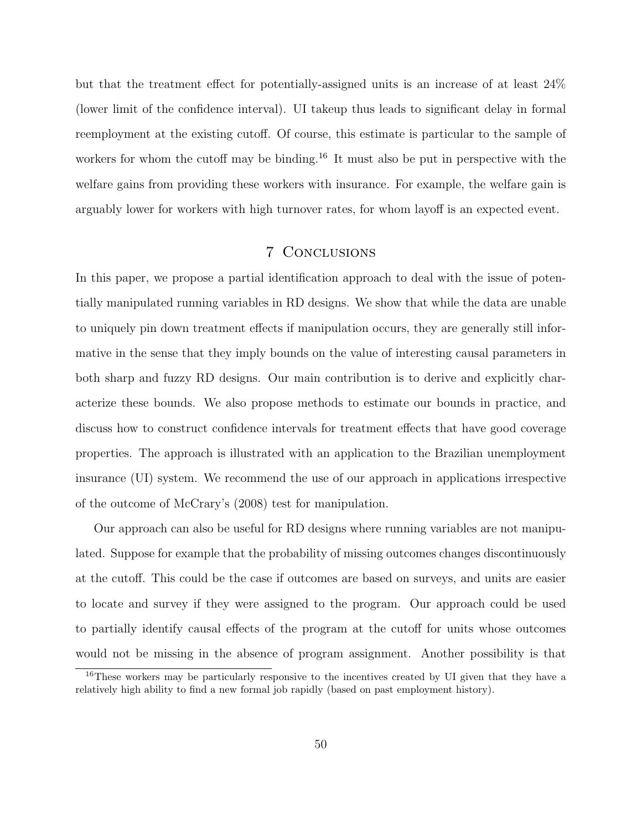but that the treatment effect for potentially-assigned units is an increase of at least 24% (lower limit of the confidence interval). UI takeup thus leads to significant delay in formal reemployment at the existing cutoff. Of course, this estimate is particular to the sample of workers for whom the cutoff may be binding.<sup>16</sup> It must also be put in perspective with the welfare gains from providing these workers with insurance. For example, the welfare gain is arguably lower for workers with high turnover rates, for whom layoff is an expected event.

## 7 Conclusions

In this paper, we propose a partial identification approach to deal with the issue of potentially manipulated running variables in RD designs. We show that while the data are unable to uniquely pin down treatment effects if manipulation occurs, they are generally still informative in the sense that they imply bounds on the value of interesting causal parameters in both sharp and fuzzy RD designs. Our main contribution is to derive and explicitly characterize these bounds. We also propose methods to estimate our bounds in practice, and discuss how to construct confidence intervals for treatment effects that have good coverage properties. The approach is illustrated with an application to the Brazilian unemployment insurance (UI) system. We recommend the use of our approach in applications irrespective of the outcome of McCrary's (2008) test for manipulation.

Our approach can also be useful for RD designs where running variables are not manipulated. Suppose for example that the probability of missing outcomes changes discontinuously at the cutoff. This could be the case if outcomes are based on surveys, and units are easier to locate and survey if they were assigned to the program. Our approach could be used to partially identify causal effects of the program at the cutoff for units whose outcomes would not be missing in the absence of program assignment. Another possibility is that

<sup>&</sup>lt;sup>16</sup>These workers may be particularly responsive to the incentives created by UI given that they have a relatively high ability to find a new formal job rapidly (based on past employment history).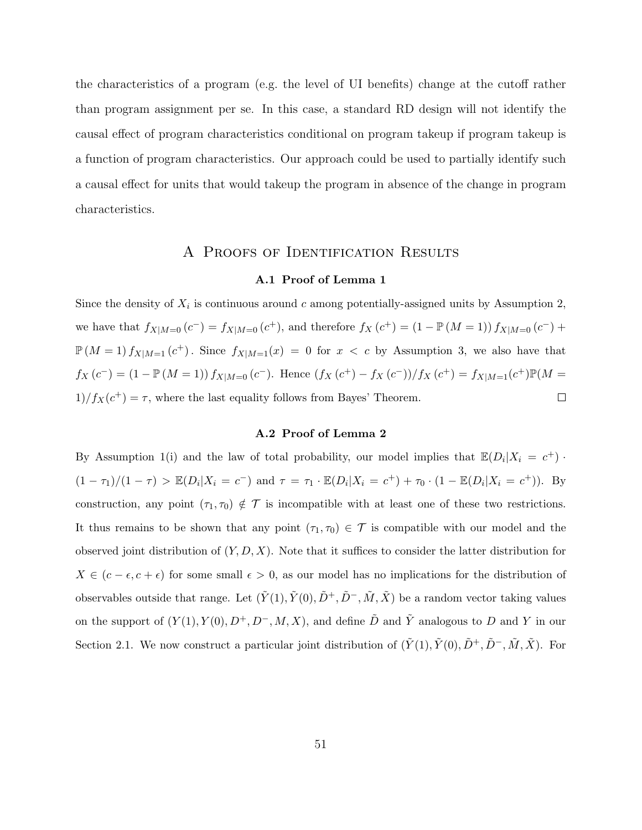the characteristics of a program (e.g. the level of UI benefits) change at the cutoff rather than program assignment per se. In this case, a standard RD design will not identify the causal effect of program characteristics conditional on program takeup if program takeup is a function of program characteristics. Our approach could be used to partially identify such a causal effect for units that would takeup the program in absence of the change in program characteristics.

## A Proofs of Identification Results

#### **A.1 Proof of Lemma 1**

Since the density of  $X_i$  is continuous around  $c$  among potentially-assigned units by Assumption 2, we have that  $f_{X|M=0}(c^-) = f_{X|M=0}(c^+),$  and therefore  $f_X(c^+) = (1 - \mathbb{P}(M=1)) f_{X|M=0}(c^-) +$  $\mathbb{P}(M=1) f_{X|M=1}(c^+)$ . Since  $f_{X|M=1}(x) = 0$  for  $x < c$  by Assumption 3, we also have that  $f_X(c^-) = (1 - \mathbb{P}(M = 1)) f_{X|M=0}(c^-)$ . Hence  $(f_X(c^+) - f_X(c^-))/f_X(c^+) = f_{X|M=1}(c^+) \mathbb{P}(M =$  $1)/f_X(c^+) = \tau$ , where the last equality follows from Bayes' Theorem.  $\Box$ 

## **A.2 Proof of Lemma 2**

By Assumption 1(i) and the law of total probability, our model implies that  $\mathbb{E}(D_i|X_i = c^+)$ .  $(1 - \tau_1)/(1 - \tau) > \mathbb{E}(D_i | X_i = c^{-})$  and  $\tau = \tau_1 \cdot \mathbb{E}(D_i | X_i = c^{+}) + \tau_0 \cdot (1 - \mathbb{E}(D_i | X_i = c^{+}))$ . By construction, any point  $(\tau_1, \tau_0) \notin \mathcal{T}$  is incompatible with at least one of these two restrictions. It thus remains to be shown that any point  $(\tau_1, \tau_0) \in \mathcal{T}$  is compatible with our model and the observed joint distribution of (*Y, D, X*). Note that it suffices to consider the latter distribution for *X* ∈ ( $c$  −  $\epsilon$ ,  $c$  +  $\epsilon$ ) for some small  $\epsilon$  > 0, as our model has no implications for the distribution of observables outside that range. Let  $(\tilde{Y}(1), \tilde{Y}(0), \tilde{D}^+, \tilde{D}^-, \tilde{M}, \tilde{X})$  be a random vector taking values on the support of  $(Y(1), Y(0), D^+, D^-, M, X)$ , and define  $\tilde{D}$  and  $\tilde{Y}$  analogous to  $D$  and  $Y$  in our Section 2.1. We now construct a particular joint distribution of  $(\tilde{Y}(1), \tilde{Y}(0), \tilde{D}^+, \tilde{D}^-, \tilde{M}, \tilde{X})$ . For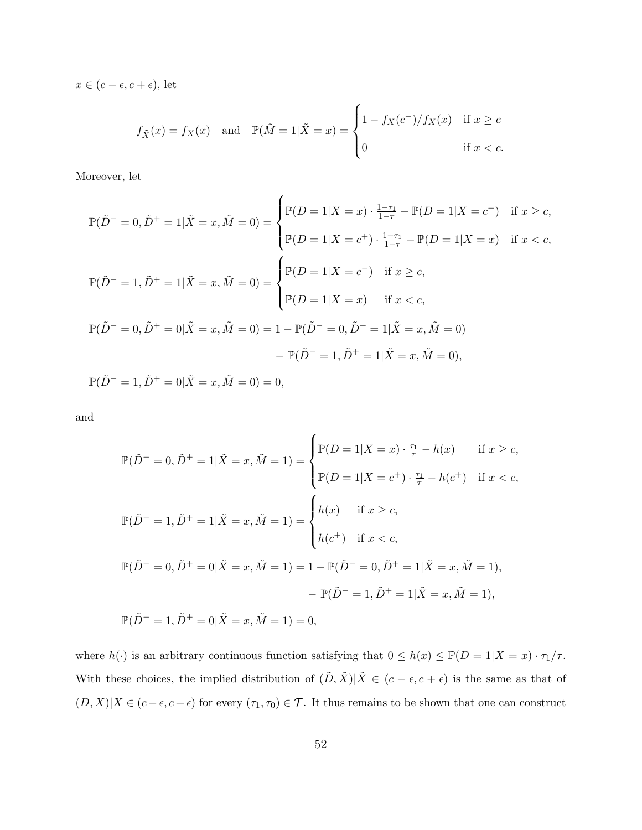$x \in (c - \epsilon, c + \epsilon)$ , let

$$
f_{\tilde{X}}(x) = f_X(x) \quad \text{and} \quad \mathbb{P}(\tilde{M} = 1 | \tilde{X} = x) = \begin{cases} 1 - f_X(c^-) / f_X(x) & \text{if } x \ge c \\ 0 & \text{if } x < c. \end{cases}
$$

Moreover, let

$$
\mathbb{P}(\tilde{D}^{-} = 0, \tilde{D}^{+} = 1 | \tilde{X} = x, \tilde{M} = 0) = \begin{cases} \mathbb{P}(D = 1 | X = x) \cdot \frac{1 - \tau_{1}}{1 - \tau} - \mathbb{P}(D = 1 | X = c^{-}) & \text{if } x \ge c, \\ \mathbb{P}(D = 1 | X = c^{+}) \cdot \frac{1 - \tau_{1}}{1 - \tau} - \mathbb{P}(D = 1 | X = x) & \text{if } x < c, \end{cases}
$$

$$
\mathbb{P}(\tilde{D}^{-} = 1, \tilde{D}^{+} = 1 | \tilde{X} = x, \tilde{M} = 0) = \begin{cases} \mathbb{P}(D = 1 | X = c^{-}) & \text{if } x \ge c, \\ \mathbb{P}(D = 1 | X = x) & \text{if } x < c, \\ \mathbb{P}(D = 1 | X = x) & \text{if } x < c, \end{cases}
$$

$$
\mathbb{P}(\tilde{D}^{-} = 0, \tilde{D}^{+} = 0 | \tilde{X} = x, \tilde{M} = 0) = 1 - \mathbb{P}(\tilde{D}^{-} = 0, \tilde{D}^{+} = 1 | \tilde{X} = x, \tilde{M} = 0)
$$

$$
- \mathbb{P}(\tilde{D}^{-} = 1, \tilde{D}^{+} = 0 | \tilde{X} = x, \tilde{M} = 0) = 0,
$$

and

$$
\mathbb{P}(\tilde{D}^{-} = 0, \tilde{D}^{+} = 1 | \tilde{X} = x, \tilde{M} = 1) = \begin{cases} \mathbb{P}(D = 1 | X = x) \cdot \frac{\tau_{1}}{\tau} - h(x) & \text{if } x \ge c, \\ \mathbb{P}(D = 1 | X = c^{+}) \cdot \frac{\tau_{1}}{\tau} - h(c^{+}) & \text{if } x < c, \end{cases}
$$

$$
\mathbb{P}(\tilde{D}^{-} = 1, \tilde{D}^{+} = 1 | \tilde{X} = x, \tilde{M} = 1) = \begin{cases} h(x) & \text{if } x \ge c, \\ h(c^{+}) & \text{if } x < c, \end{cases}
$$

$$
\mathbb{P}(\tilde{D}^{-} = 0, \tilde{D}^{+} = 0 | \tilde{X} = x, \tilde{M} = 1) = 1 - \mathbb{P}(\tilde{D}^{-} = 0, \tilde{D}^{+} = 1 | \tilde{X} = x, \tilde{M} = 1), - \mathbb{P}(\tilde{D}^{-} = 1, \tilde{D}^{+} = 1 | \tilde{X} = x, \tilde{M} = 1),
$$

$$
\mathbb{P}(\tilde{D}^{-} = 1, \tilde{D}^{+} = 0 | \tilde{X} = x, \tilde{M} = 1) = 0,
$$

where  $h(\cdot)$  is an arbitrary continuous function satisfying that  $0 \le h(x) \le \mathbb{P}(D = 1 | X = x) \cdot \tau_1 / \tau$ . With these choices, the implied distribution of  $(\tilde{D}, \tilde{X})|\tilde{X} \in (c - \epsilon, c + \epsilon)$  is the same as that of  $(D, X)|X \in (c - \epsilon, c + \epsilon)$  for every  $(\tau_1, \tau_0) \in \mathcal{T}$ . It thus remains to be shown that one can construct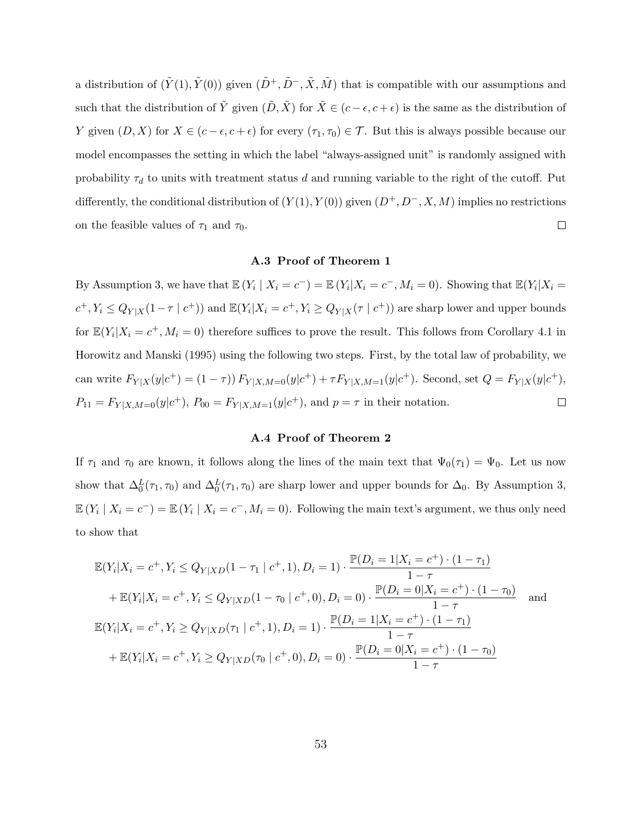a distribution of  $(\tilde{Y}(1), \tilde{Y}(0))$  given  $(\tilde{D}^+, \tilde{D}^-, \tilde{X}, \tilde{M})$  that is compatible with our assumptions and such that the distribution of  $\tilde{Y}$  given  $(\tilde{D}, \tilde{X})$  for  $\tilde{X} \in (c - \epsilon, c + \epsilon)$  is the same as the distribution of *Y* given  $(D, X)$  for  $X \in (c - \epsilon, c + \epsilon)$  for every  $(\tau_1, \tau_0) \in \mathcal{T}$ . But this is always possible because our model encompasses the setting in which the label "always-assigned unit" is randomly assigned with probability  $\tau_d$  to units with treatment status *d* and running variable to the right of the cutoff. Put differently, the conditional distribution of  $(Y(1), Y(0))$  given  $(D^+, D^-, X, M)$  implies no restrictions  $\Box$ on the feasible values of  $\tau_1$  and  $\tau_0$ .

## **A.3 Proof of Theorem 1**

By Assumption 3, we have that  $\mathbb{E}(Y_i | X_i = c^-) = \mathbb{E}(Y_i | X_i = c^-, M_i = 0)$ . Showing that  $\mathbb{E}(Y_i | X_i = c^-)$  $c^+, Y_i \le Q_{Y|X}(1-\tau | c^+))$  and  $\mathbb{E}(Y_i | X_i = c^+, Y_i \ge Q_{Y|X}(\tau | c^+))$  are sharp lower and upper bounds for  $\mathbb{E}(Y_i|X_i = c^+, M_i = 0)$  therefore suffices to prove the result. This follows from Corollary 4.1 in Horowitz and Manski (1995) using the following two steps. First, by the total law of probability, we can write  $F_{Y|X}(y|c^+) = (1 - \tau) F_{Y|X,M=0}(y|c^+) + \tau F_{Y|X,M=1}(y|c^+).$  Second, set  $Q = F_{Y|X}(y|c^+),$  $P_{11} = F_{Y|X,M=0}(y|c^+), P_{00} = F_{Y|X,M=1}(y|c^+), \text{ and } p = \tau \text{ in their notation.}$  $\Box$ 

### **A.4 Proof of Theorem 2**

If  $\tau_1$  and  $\tau_0$  are known, it follows along the lines of the main text that  $\Psi_0(\tau_1) = \Psi_0$ . Let us now show that  $\Delta_0^L(\tau_1, \tau_0)$  and  $\Delta_0^L(\tau_1, \tau_0)$  are sharp lower and upper bounds for  $\Delta_0$ . By Assumption 3,  $\mathbb{E}(Y_i \mid X_i = c^-) = \mathbb{E}(Y_i \mid X_i = c^-, M_i = 0)$ . Following the main text's argument, we thus only need to show that

$$
\mathbb{E}(Y_i|X_i = c^+, Y_i \le Q_{Y|XD}(1 - \tau_1 \mid c^+, 1), D_i = 1) \cdot \frac{\mathbb{P}(D_i = 1 | X_i = c^+) \cdot (1 - \tau_1)}{1 - \tau} \n+ \mathbb{E}(Y_i|X_i = c^+, Y_i \le Q_{Y|XD}(1 - \tau_0 \mid c^+, 0), D_i = 0) \cdot \frac{\mathbb{P}(D_i = 0 | X_i = c^+) \cdot (1 - \tau_0)}{1 - \tau} \n\mathbb{E}(Y_i|X_i = c^+, Y_i \ge Q_{Y|XD}(\tau_1 \mid c^+, 1), D_i = 1) \cdot \frac{\mathbb{P}(D_i = 1 | X_i = c^+) \cdot (1 - \tau_1)}{1 - \tau} \n+ \mathbb{E}(Y_i|X_i = c^+, Y_i \ge Q_{Y|XD}(\tau_0 \mid c^+, 0), D_i = 0) \cdot \frac{\mathbb{P}(D_i = 0 | X_i = c^+) \cdot (1 - \tau_0)}{1 - \tau}
$$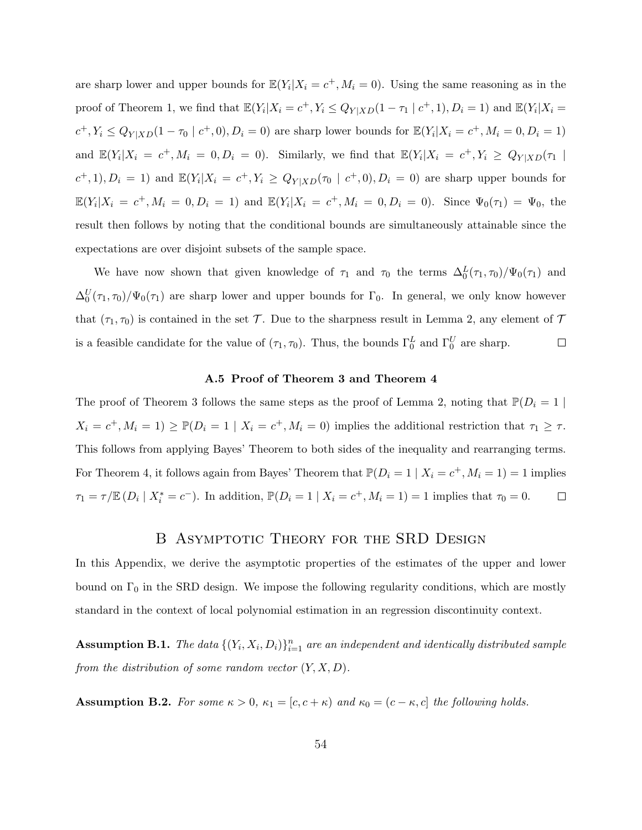are sharp lower and upper bounds for  $\mathbb{E}(Y_i | X_i = c^+, M_i = 0)$ . Using the same reasoning as in the proof of Theorem 1, we find that  $\mathbb{E}(Y_i|X_i = c^+, Y_i \le Q_{Y|XD}(1-\tau_1 | c^+, 1), D_i = 1)$  and  $\mathbb{E}(Y_i|X_i = c^+, Y_i \le Q_{Y|XD}(1-\tau_1 | c^+, 1), D_i = 1)$  $c^+, Y_i \le Q_{Y|XD}(1 - \tau_0 \mid c^+, 0), D_i = 0)$  are sharp lower bounds for  $\mathbb{E}(Y_i | X_i = c^+, M_i = 0, D_i = 1)$ and  $\mathbb{E}(Y_i|X_i = c^+, M_i = 0, D_i = 0)$ . Similarly, we find that  $\mathbb{E}(Y_i|X_i = c^+, Y_i \ge Q_{Y|XD}(\tau_1 | \tau_1)$  $(c^+,1), D_i = 1$  and  $\mathbb{E}(Y_i | X_i = c^+, Y_i \ge Q_{Y|XD}(\tau_0 | c^+, 0), D_i = 0)$  are sharp upper bounds for  $\mathbb{E}(Y_i|X_i = c^+, M_i = 0, D_i = 1)$  and  $\mathbb{E}(Y_i|X_i = c^+, M_i = 0, D_i = 0)$ . Since  $\Psi_0(\tau_1) = \Psi_0$ , the result then follows by noting that the conditional bounds are simultaneously attainable since the expectations are over disjoint subsets of the sample space.

We have now shown that given knowledge of  $\tau_1$  and  $\tau_0$  the terms  $\Delta_0^L(\tau_1, \tau_0)/\Psi_0(\tau_1)$  and  $\Delta_0^U(\tau_1, \tau_0)/\Psi_0(\tau_1)$  are sharp lower and upper bounds for  $\Gamma_0$ . In general, we only know however that  $(\tau_1, \tau_0)$  is contained in the set  $\mathcal T$ . Due to the sharpness result in Lemma 2, any element of  $\mathcal T$ is a feasible candidate for the value of  $(\tau_1, \tau_0)$ . Thus, the bounds  $\Gamma_0^L$  and  $\Gamma_0^U$  are sharp.  $\Box$ 

### **A.5 Proof of Theorem 3 and Theorem 4**

The proof of Theorem 3 follows the same steps as the proof of Lemma 2, noting that  $\mathbb{P}(D_i = 1 | \mathbb{P}(D_i = 1 | \mathbb{P}(D_i = 1 | \mathbb{P}(D_i = 1 | \mathbb{P}(D_i = 1 | \mathbb{P}(D_i = 1 | \mathbb{P}(D_i = 1 | \mathbb{P}(D_i = 1 | \mathbb{P}(D_i = 1 | \mathbb{P}(D_i = 1 | \mathbb{P}(D_i = 1 | \mathbb{P$  $X_i = c^+, M_i = 1$ )  $\geq \mathbb{P}(D_i = 1 | X_i = c^+, M_i = 0)$  implies the additional restriction that  $\tau_1 \geq \tau$ . This follows from applying Bayes' Theorem to both sides of the inequality and rearranging terms. For Theorem 4, it follows again from Bayes' Theorem that  $\mathbb{P}(D_i = 1 | X_i = c^+, M_i = 1) = 1$  implies  $\tau_1 = \tau / \mathbb{E} (D_i | X_i^* = c^-)$ . In addition,  $\mathbb{P}(D_i = 1 | X_i = c^+, M_i = 1) = 1$  implies that  $\tau_0 = 0$ .  $\Box$ 

## B ASYMPTOTIC THEORY FOR THE SRD DESIGN

In this Appendix, we derive the asymptotic properties of the estimates of the upper and lower bound on  $\Gamma_0$  in the SRD design. We impose the following regularity conditions, which are mostly standard in the context of local polynomial estimation in an regression discontinuity context.

**Assumption B.1.** *The data*  $\{(Y_i, X_i, D_i)\}_{i=1}^n$  *are an independent and identically distributed sample from the distribution of some random vector* (*Y, X, D*)*.*

**Assumption B.2.** *For some*  $\kappa > 0$ ,  $\kappa_1 = [c, c + \kappa)$  *and*  $\kappa_0 = (c - \kappa, c]$  *the following holds.*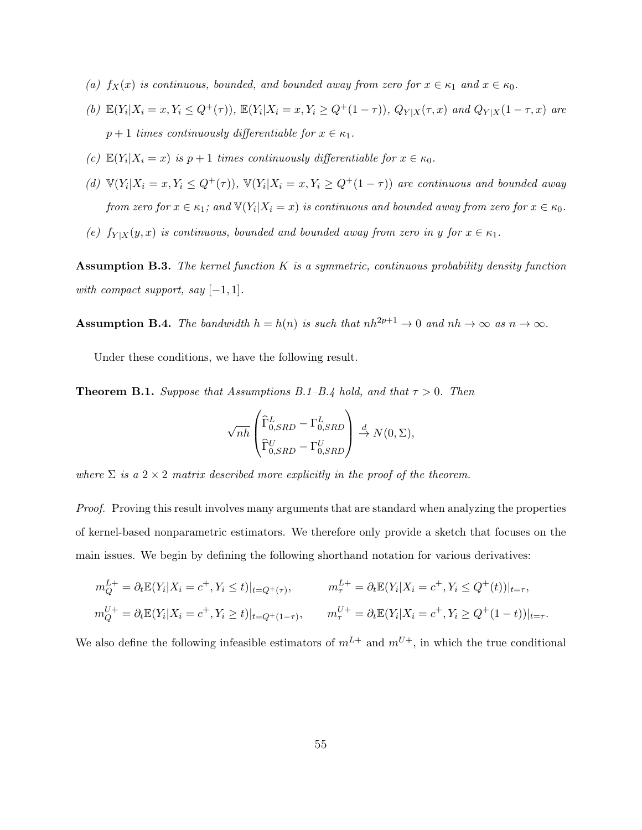- *(a)*  $f_X(x)$  *is continuous, bounded, and bounded away from zero for*  $x \in \kappa_1$  *and*  $x \in \kappa_0$ *.*
- (b)  $\mathbb{E}(Y_i|X_i=x,Y_i\leq Q^+(\tau))$ ,  $\mathbb{E}(Y_i|X_i=x,Y_i\geq Q^+(1-\tau))$ ,  $Q_{Y|X}(\tau,x)$  and  $Q_{Y|X}(1-\tau,x)$  are  $p + 1$  *times continuously differentiable for*  $x \in \kappa_1$ *.*
- *(c)*  $\mathbb{E}(Y_i | X_i = x)$  *is*  $p + 1$  *times continuously differentiable for*  $x \in \kappa_0$ *.*
- (d)  $\mathbb{V}(Y_i|X_i=x,Y_i\leq Q^+(\tau))$ ,  $\mathbb{V}(Y_i|X_i=x,Y_i\geq Q^+(1-\tau))$  are continuous and bounded away *from zero for*  $x \in \kappa_1$ ; and  $\mathbb{V}(Y_i | X_i = x)$  *is continuous and bounded away from zero for*  $x \in \kappa_0$ *.*
- *(e)*  $f_{Y|X}(y, x)$  *is continuous, bounded and bounded away from zero in y for*  $x \in \kappa_1$ *.*

**Assumption B.3.** *The kernel function K is a symmetric, continuous probability density function with compact support, say* [*−*1*,* 1]*.*

**Assumption B.4.** *The bandwidth*  $h = h(n)$  *is such that*  $nh^{2p+1} \to 0$  *and*  $nh \to \infty$  *as*  $n \to \infty$ *.* 

Under these conditions, we have the following result.

**Theorem B.1.** *Suppose that Assumptions B.1–B.4 hold, and that*  $\tau > 0$ *. Then* 

$$
\sqrt{nh} \begin{pmatrix} \widehat{\Gamma}_{0,SRD}^{L} - \Gamma_{0,SRD}^{L} \\ \widehat{\Gamma}_{0,SRD}^{U} - \Gamma_{0,SRD}^{U} \end{pmatrix} \stackrel{d}{\rightarrow} N(0, \Sigma),
$$

*where*  $\Sigma$  *is a* 2  $\times$  2 *matrix described more explicitly in the proof of the theorem.* 

*Proof.* Proving this result involves many arguments that are standard when analyzing the properties of kernel-based nonparametric estimators. We therefore only provide a sketch that focuses on the main issues. We begin by defining the following shorthand notation for various derivatives:

$$
m_Q^{L+} = \partial_t \mathbb{E}(Y_i | X_i = c^+, Y_i \le t)|_{t = Q^+(\tau)}, \qquad m_\tau^{L+} = \partial_t \mathbb{E}(Y_i | X_i = c^+, Y_i \le Q^+(t))|_{t = \tau},
$$
  

$$
m_Q^{U+} = \partial_t \mathbb{E}(Y_i | X_i = c^+, Y_i \ge t)|_{t = Q^+(1-\tau)}, \qquad m_\tau^{U+} = \partial_t \mathbb{E}(Y_i | X_i = c^+, Y_i \ge Q^+(1-t))|_{t = \tau}.
$$

We also define the following infeasible estimators of  $m^{L+}$  and  $m^{U+}$ , in which the true conditional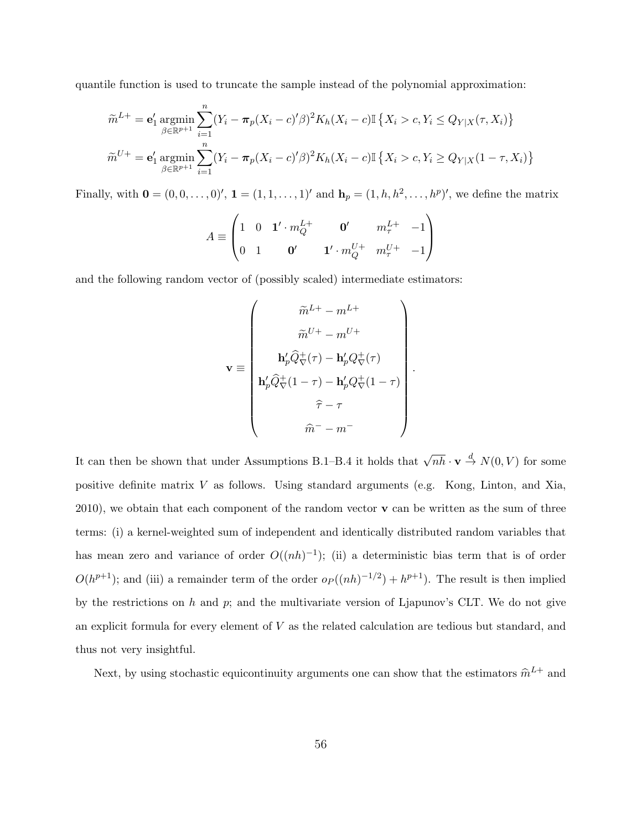quantile function is used to truncate the sample instead of the polynomial approximation:

$$
\widetilde{m}^{L+} = \mathbf{e}'_1 \operatorname*{argmin}_{\beta \in \mathbb{R}^{p+1}} \sum_{i=1}^n (Y_i - \pi_p (X_i - c)^{\prime} \beta)^2 K_h(X_i - c) \mathbb{I} \{ X_i > c, Y_i \le Q_{Y|X}(\tau, X_i) \}
$$

$$
\widetilde{m}^{U+} = \mathbf{e}'_1 \operatorname*{argmin}_{\beta \in \mathbb{R}^{p+1}} \sum_{i=1}^n (Y_i - \pi_p (X_i - c)^{\prime} \beta)^2 K_h(X_i - c) \mathbb{I} \{ X_i > c, Y_i \ge Q_{Y|X} (1 - \tau, X_i) \}
$$

Finally, with  $\mathbf{0} = (0, 0, \dots, 0)$ <sup>'</sup>,  $\mathbf{1} = (1, 1, \dots, 1)$ <sup>'</sup> and  $\mathbf{h}_p = (1, h, h^2, \dots, h^p)$ <sup>'</sup>, we define the matrix

$$
A \equiv \begin{pmatrix} 1 & 0 & \mathbf{1}' \cdot m_Q^{L+} & \mathbf{0}' & m_\tau^{L+} & -1 \\ 0 & 1 & \mathbf{0}' & \mathbf{1}' \cdot m_Q^{U+} & m_\tau^{U+} & -1 \end{pmatrix}
$$

and the following random vector of (possibly scaled) intermediate estimators:

$$
\mathbf{v} \equiv \begin{pmatrix} \widetilde{m}^{L+} - m^{L+} \\ \widetilde{m}^{U+} - m^{U+} \\ \mathbf{h}_p^{\prime} \widehat{Q}_{\nabla}^{+}(\tau) - \mathbf{h}_p^{\prime} Q_{\nabla}^{+}(\tau) \\ \mathbf{h}_p^{\prime} \widehat{Q}_{\nabla}^{+}(1-\tau) - \mathbf{h}_p^{\prime} Q_{\nabla}^{+}(1-\tau) \\ \widehat{\tau} - \tau \\ \widehat{m}^{-} - m^{-} \end{pmatrix}.
$$

It can then be shown that under Assumptions B.1–B.4 it holds that  $\sqrt{nh} \cdot \mathbf{v} \stackrel{d}{\rightarrow} N(0, V)$  for some positive definite matrix *V* as follows. Using standard arguments (e.g. Kong, Linton, and Xia, 2010), we obtain that each component of the random vector **v** can be written as the sum of three terms: (i) a kernel-weighted sum of independent and identically distributed random variables that has mean zero and variance of order  $O((nh)^{-1})$ ; (ii) a deterministic bias term that is of order  $O(h^{p+1})$ ; and (iii) a remainder term of the order  $o_P((nh)^{-1/2}) + h^{p+1}$ ). The result is then implied by the restrictions on *h* and *p*; and the multivariate version of Ljapunov's CLT. We do not give an explicit formula for every element of *V* as the related calculation are tedious but standard, and thus not very insightful.

Next, by using stochastic equicontinuity arguments one can show that the estimators  $\hat{m}^{L+}$  and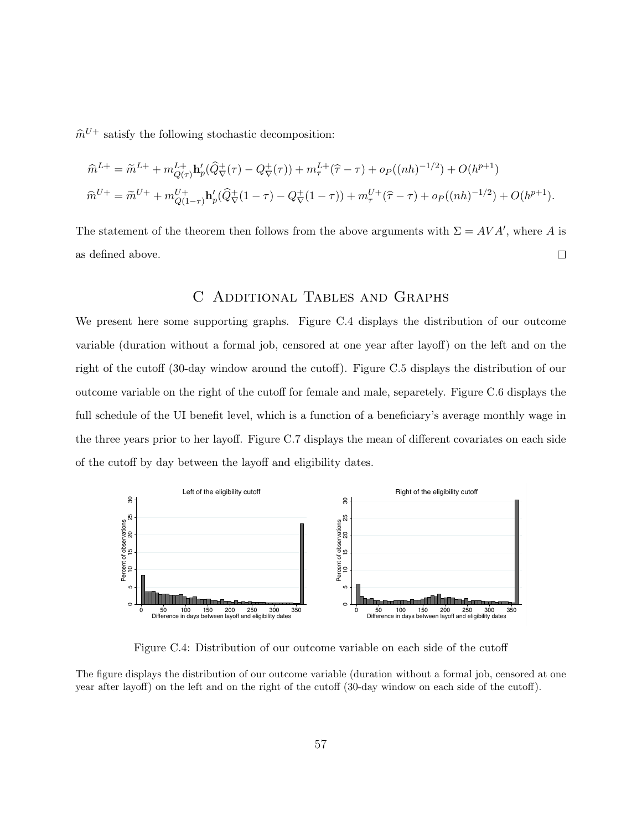$\hat{m}^{U+}$  satisfy the following stochastic decomposition:

$$
\hat{m}^{L+} = \tilde{m}^{L+} + m_{Q(\tau)}^{L+} \mathbf{h}'_p(\hat{Q}^+_{\nabla}(\tau) - Q^+_{\nabla}(\tau)) + m_{\tau}^{L+}(\hat{\tau} - \tau) + o_P((nh)^{-1/2}) + O(h^{p+1})
$$
  

$$
\hat{m}^{U+} = \tilde{m}^{U+} + m_{Q(1-\tau)}^{U+} \mathbf{h}'_p(\hat{Q}^+_{\nabla}(1-\tau) - Q^+_{\nabla}(1-\tau)) + m_{\tau}^{U+}(\hat{\tau} - \tau) + o_P((nh)^{-1/2}) + O(h^{p+1}).
$$

The statement of the theorem then follows from the above arguments with  $\Sigma = AVA'$ , where *A* is as defined above.  $\Box$ 

## C Additional Tables and Graphs

We present here some supporting graphs. Figure C.4 displays the distribution of our outcome variable (duration without a formal job, censored at one year after layoff) on the left and on the right of the cutoff (30-day window around the cutoff). Figure C.5 displays the distribution of our outcome variable on the right of the cutoff for female and male, separetely. Figure C.6 displays the full schedule of the UI benefit level, which is a function of a beneficiary's average monthly wage in the three years prior to her layoff. Figure C.7 displays the mean of different covariates on each side of the cutoff by day between the layoff and eligibility dates.



Figure C.4: Distribution of our outcome variable on each side of the cutoff

The figure displays the distribution of our outcome variable (duration without a formal job, censored at one year after layoff) on the left and on the right of the cutoff (30-day window on each side of the cutoff).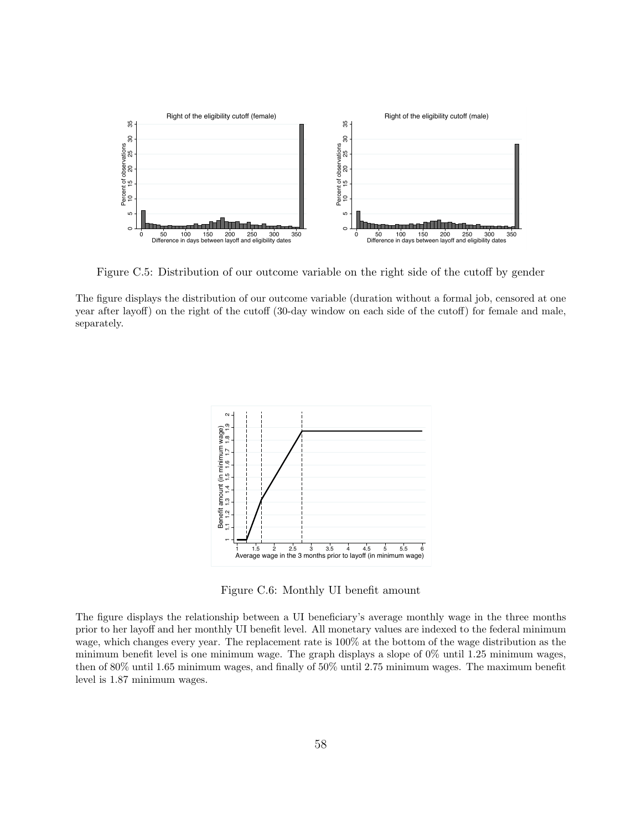

Figure C.5: Distribution of our outcome variable on the right side of the cutoff by gender

The figure displays the distribution of our outcome variable (duration without a formal job, censored at one year after layoff) on the right of the cutoff (30-day window on each side of the cutoff) for female and male, separately.



Figure C.6: Monthly UI benefit amount

The figure displays the relationship between a UI beneficiary's average monthly wage in the three months prior to her layoff and her monthly UI benefit level. All monetary values are indexed to the federal minimum wage, which changes every year. The replacement rate is 100% at the bottom of the wage distribution as the minimum benefit level is one minimum wage. The graph displays a slope of 0% until 1.25 minimum wages, then of 80% until 1.65 minimum wages, and finally of 50% until 2.75 minimum wages. The maximum benefit level is 1.87 minimum wages.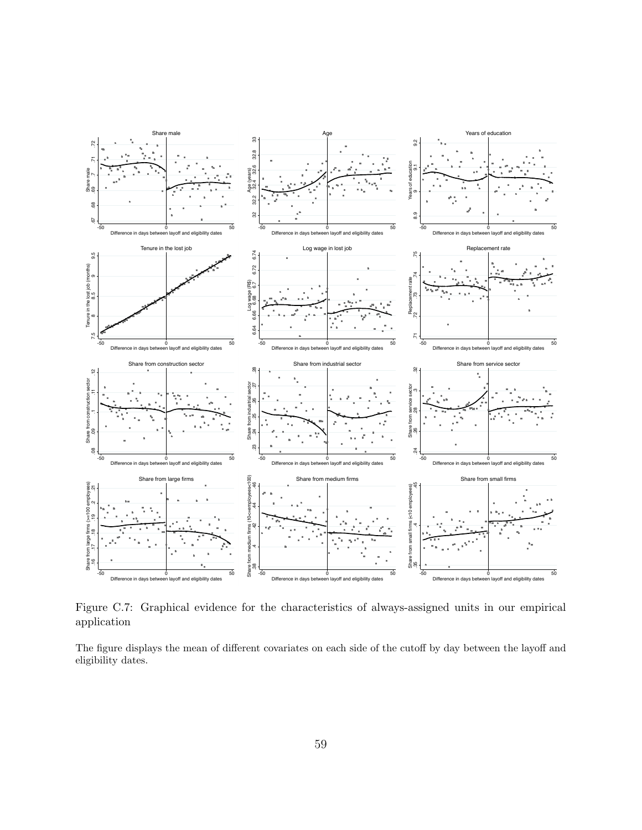

Figure C.7: Graphical evidence for the characteristics of always-assigned units in our empirical application

The figure displays the mean of different covariates on each side of the cutoff by day between the layoff and eligibility dates.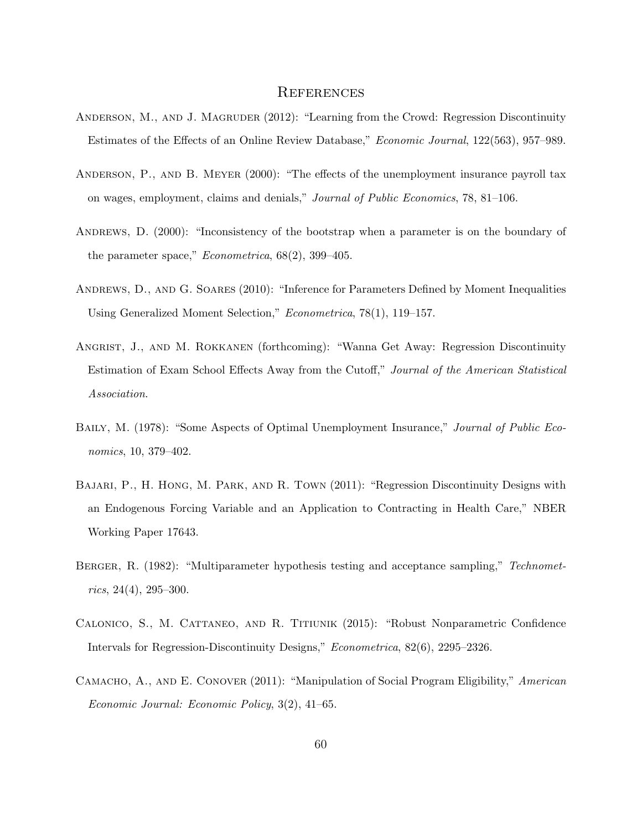## **REFERENCES**

- ANDERSON, M., AND J. MAGRUDER (2012): "Learning from the Crowd: Regression Discontinuity Estimates of the Effects of an Online Review Database," *Economic Journal*, 122(563), 957–989.
- Anderson, P., and B. Meyer (2000): "The effects of the unemployment insurance payroll tax on wages, employment, claims and denials," *Journal of Public Economics*, 78, 81–106.
- ANDREWS, D. (2000): "Inconsistency of the bootstrap when a parameter is on the boundary of the parameter space," *Econometrica*, 68(2), 399–405.
- Andrews, D., and G. Soares (2010): "Inference for Parameters Defined by Moment Inequalities Using Generalized Moment Selection," *Econometrica*, 78(1), 119–157.
- Angrist, J., and M. Rokkanen (forthcoming): "Wanna Get Away: Regression Discontinuity Estimation of Exam School Effects Away from the Cutoff," *Journal of the American Statistical Association*.
- Baily, M. (1978): "Some Aspects of Optimal Unemployment Insurance," *Journal of Public Economics*, 10, 379–402.
- Bajari, P., H. Hong, M. Park, and R. Town (2011): "Regression Discontinuity Designs with an Endogenous Forcing Variable and an Application to Contracting in Health Care," NBER Working Paper 17643.
- Berger, R. (1982): "Multiparameter hypothesis testing and acceptance sampling," *Technometrics*, 24(4), 295–300.
- Calonico, S., M. Cattaneo, and R. Titiunik (2015): "Robust Nonparametric Confidence Intervals for Regression-Discontinuity Designs," *Econometrica*, 82(6), 2295–2326.
- Camacho, A., and E. Conover (2011): "Manipulation of Social Program Eligibility," *American Economic Journal: Economic Policy*, 3(2), 41–65.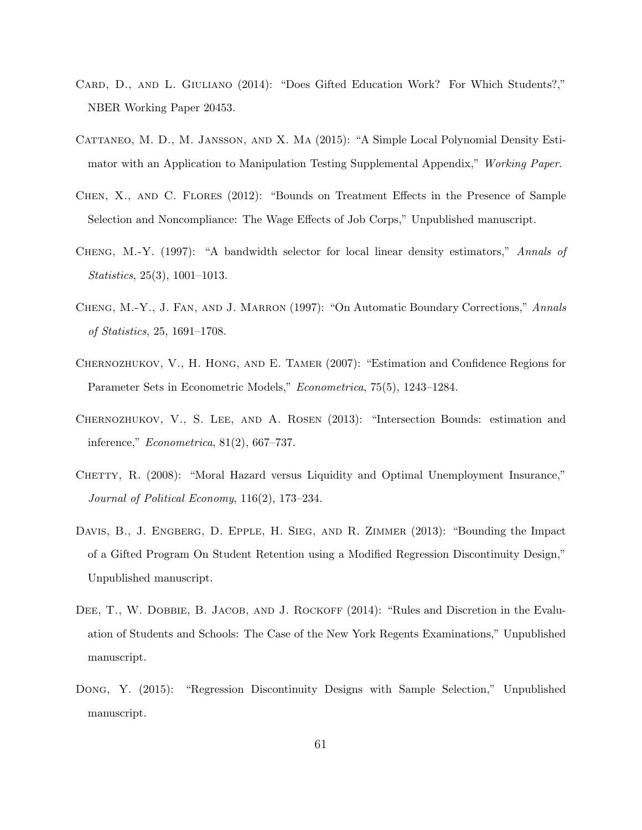- CARD, D., AND L. GIULIANO (2014): "Does Gifted Education Work? For Which Students?," NBER Working Paper 20453.
- Cattaneo, M. D., M. Jansson, and X. Ma (2015): "A Simple Local Polynomial Density Estimator with an Application to Manipulation Testing Supplemental Appendix," *Working Paper*.
- Chen, X., and C. Flores (2012): "Bounds on Treatment Effects in the Presence of Sample Selection and Noncompliance: The Wage Effects of Job Corps," Unpublished manuscript.
- Cheng, M.-Y. (1997): "A bandwidth selector for local linear density estimators," *Annals of Statistics*, 25(3), 1001–1013.
- Cheng, M.-Y., J. Fan, and J. Marron (1997): "On Automatic Boundary Corrections," *Annals of Statistics*, 25, 1691–1708.
- Chernozhukov, V., H. Hong, and E. Tamer (2007): "Estimation and Confidence Regions for Parameter Sets in Econometric Models," *Econometrica*, 75(5), 1243–1284.
- Chernozhukov, V., S. Lee, and A. Rosen (2013): "Intersection Bounds: estimation and inference," *Econometrica*, 81(2), 667–737.
- CHETTY, R. (2008): "Moral Hazard versus Liquidity and Optimal Unemployment Insurance," *Journal of Political Economy*, 116(2), 173–234.
- DAVIS, B., J. ENGBERG, D. EPPLE, H. SIEG, AND R. ZIMMER (2013): "Bounding the Impact of a Gifted Program On Student Retention using a Modified Regression Discontinuity Design," Unpublished manuscript.
- DEE, T., W. DOBBIE, B. JACOB, AND J. ROCKOFF (2014): "Rules and Discretion in the Evaluation of Students and Schools: The Case of the New York Regents Examinations," Unpublished manuscript.
- Dong, Y. (2015): "Regression Discontinuity Designs with Sample Selection," Unpublished manuscript.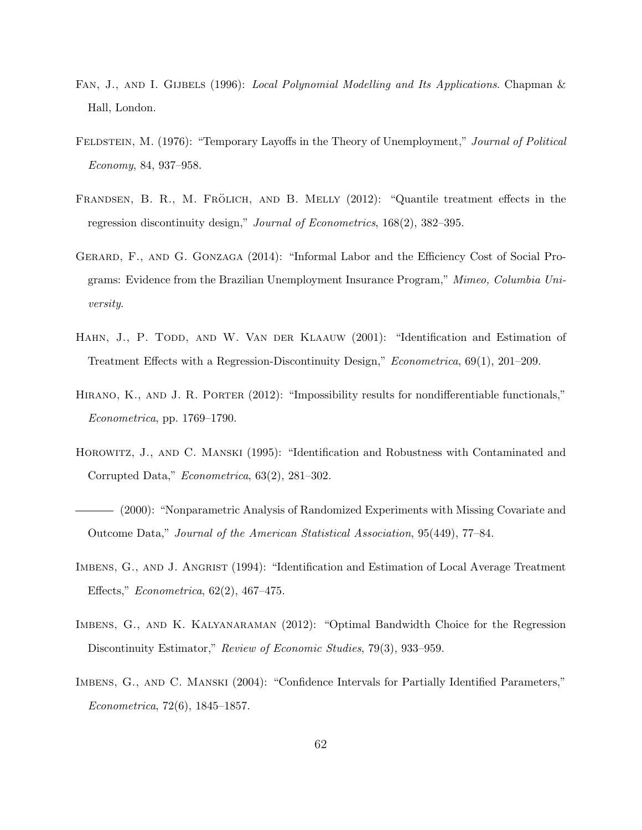- FAN, J., AND I. GIJBELS (1996): *Local Polynomial Modelling and Its Applications*. Chapman & Hall, London.
- Feldstein, M. (1976): "Temporary Layoffs in the Theory of Unemployment," *Journal of Political Economy*, 84, 937–958.
- FRANDSEN, B. R., M. FRÖLICH, AND B. MELLY (2012): "Quantile treatment effects in the regression discontinuity design," *Journal of Econometrics*, 168(2), 382–395.
- Gerard, F., and G. Gonzaga (2014): "Informal Labor and the Efficiency Cost of Social Programs: Evidence from the Brazilian Unemployment Insurance Program," *Mimeo, Columbia University*.
- HAHN, J., P. TODD, AND W. VAN DER KLAAUW (2001): "Identification and Estimation of Treatment Effects with a Regression-Discontinuity Design," *Econometrica*, 69(1), 201–209.
- HIRANO, K., AND J. R. PORTER (2012): "Impossibility results for nondifferentiable functionals," *Econometrica*, pp. 1769–1790.
- Horowitz, J., and C. Manski (1995): "Identification and Robustness with Contaminated and Corrupted Data," *Econometrica*, 63(2), 281–302.
- (2000): "Nonparametric Analysis of Randomized Experiments with Missing Covariate and Outcome Data," *Journal of the American Statistical Association*, 95(449), 77–84.
- IMBENS, G., AND J. ANGRIST (1994): "Identification and Estimation of Local Average Treatment Effects," *Econometrica*, 62(2), 467–475.
- IMBENS, G., AND K. KALYANARAMAN (2012): "Optimal Bandwidth Choice for the Regression Discontinuity Estimator," *Review of Economic Studies*, 79(3), 933–959.
- Imbens, G., and C. Manski (2004): "Confidence Intervals for Partially Identified Parameters," *Econometrica*, 72(6), 1845–1857.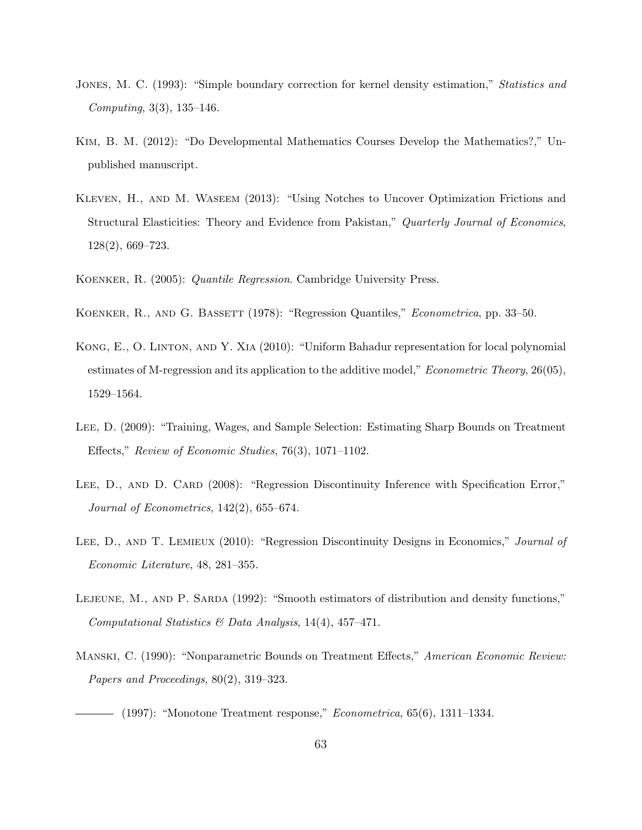- Jones, M. C. (1993): "Simple boundary correction for kernel density estimation," *Statistics and Computing*, 3(3), 135–146.
- Kim, B. M. (2012): "Do Developmental Mathematics Courses Develop the Mathematics?," Unpublished manuscript.
- Kleven, H., and M. Waseem (2013): "Using Notches to Uncover Optimization Frictions and Structural Elasticities: Theory and Evidence from Pakistan," *Quarterly Journal of Economics*, 128(2), 669–723.
- Koenker, R. (2005): *Quantile Regression*. Cambridge University Press.
- Koenker, R., and G. Bassett (1978): "Regression Quantiles," *Econometrica*, pp. 33–50.
- Kong, E., O. Linton, and Y. Xia (2010): "Uniform Bahadur representation for local polynomial estimates of M-regression and its application to the additive model," *Econometric Theory*, 26(05), 1529–1564.
- Lee, D. (2009): "Training, Wages, and Sample Selection: Estimating Sharp Bounds on Treatment Effects," *Review of Economic Studies*, 76(3), 1071–1102.
- LEE, D., AND D. CARD (2008): "Regression Discontinuity Inference with Specification Error," *Journal of Econometrics*, 142(2), 655–674.
- Lee, D., and T. Lemieux (2010): "Regression Discontinuity Designs in Economics," *Journal of Economic Literature*, 48, 281–355.
- LEJEUNE, M., AND P. SARDA (1992): "Smooth estimators of distribution and density functions," *Computational Statistics & Data Analysis*, 14(4), 457–471.
- Manski, C. (1990): "Nonparametric Bounds on Treatment Effects," *American Economic Review: Papers and Proceedings*, 80(2), 319–323.

(1997): "Monotone Treatment response," *Econometrica*, 65(6), 1311–1334.